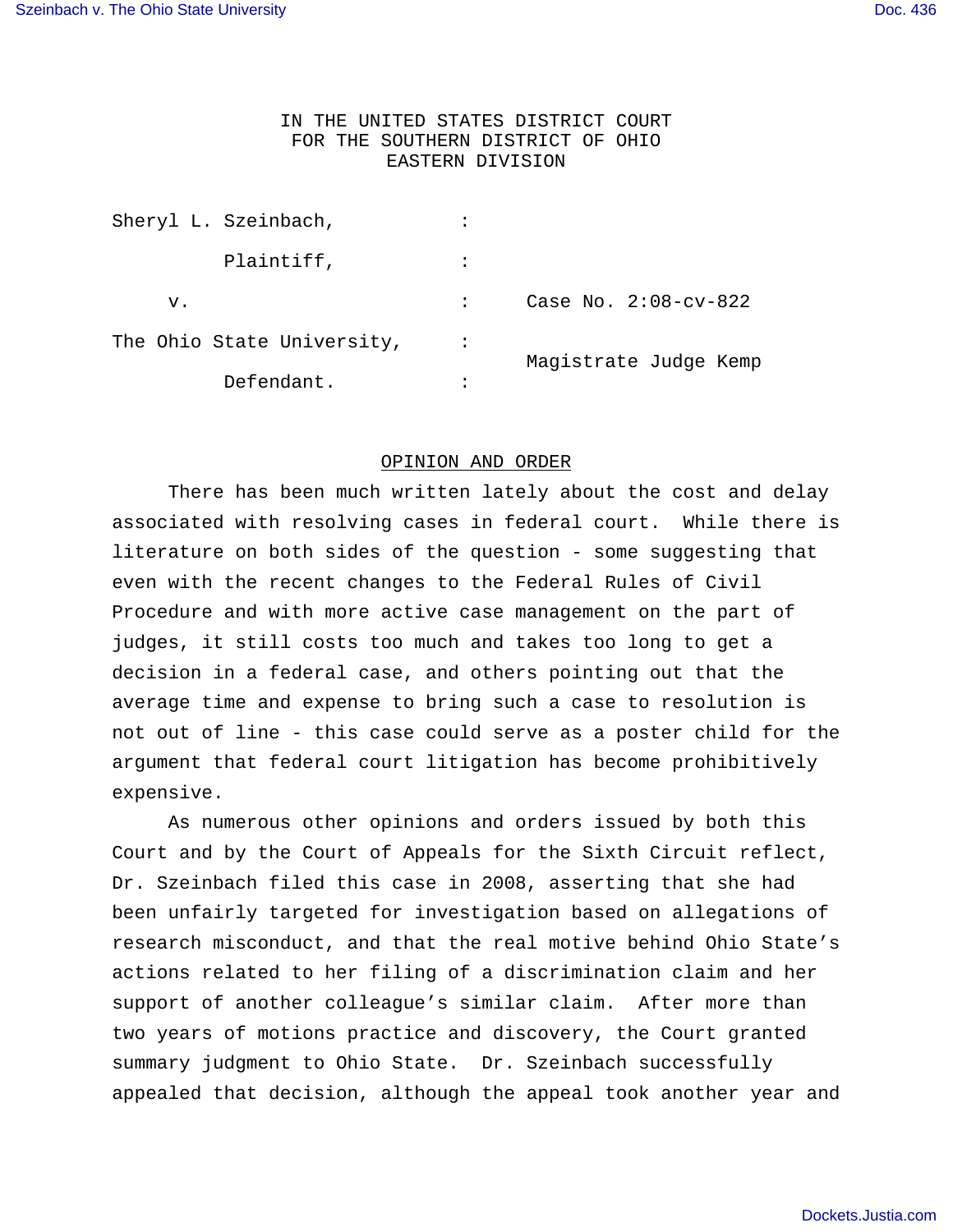# IN THE UNITED STATES DISTRICT COURT FOR THE SOUTHERN DISTRICT OF OHIO EASTERN DIVISION

| Sheryl L. Szeinbach,       | $\bullet$ |                         |
|----------------------------|-----------|-------------------------|
| Plaintiff,                 |           |                         |
| v.                         |           | Case No. $2:08$ -cv-822 |
| The Ohio State University, |           | Magistrate Judge Kemp   |
| Defendant.                 |           |                         |

## OPINION AND ORDER

There has been much written lately about the cost and delay associated with resolving cases in federal court. While there is literature on both sides of the question - some suggesting that even with the recent changes to the Federal Rules of Civil Procedure and with more active case management on the part of judges, it still costs too much and takes too long to get a decision in a federal case, and others pointing out that the average time and expense to bring such a case to resolution is not out of line - this case could serve as a poster child for the argument that federal court litigation has become prohibitively expensive.

As numerous other opinions and orders issued by both this Court and by the Court of Appeals for the Sixth Circuit reflect, Dr. Szeinbach filed this case in 2008, asserting that she had been unfairly targeted for investigation based on allegations of research misconduct, and that the real motive behind Ohio State's actions related to her filing of a discrimination claim and her support of another colleague's similar claim. After more than two years of motions practice and discovery, the Court granted summary judgment to Ohio State. Dr. Szeinbach successfully appealed that decision, although the appeal took another year and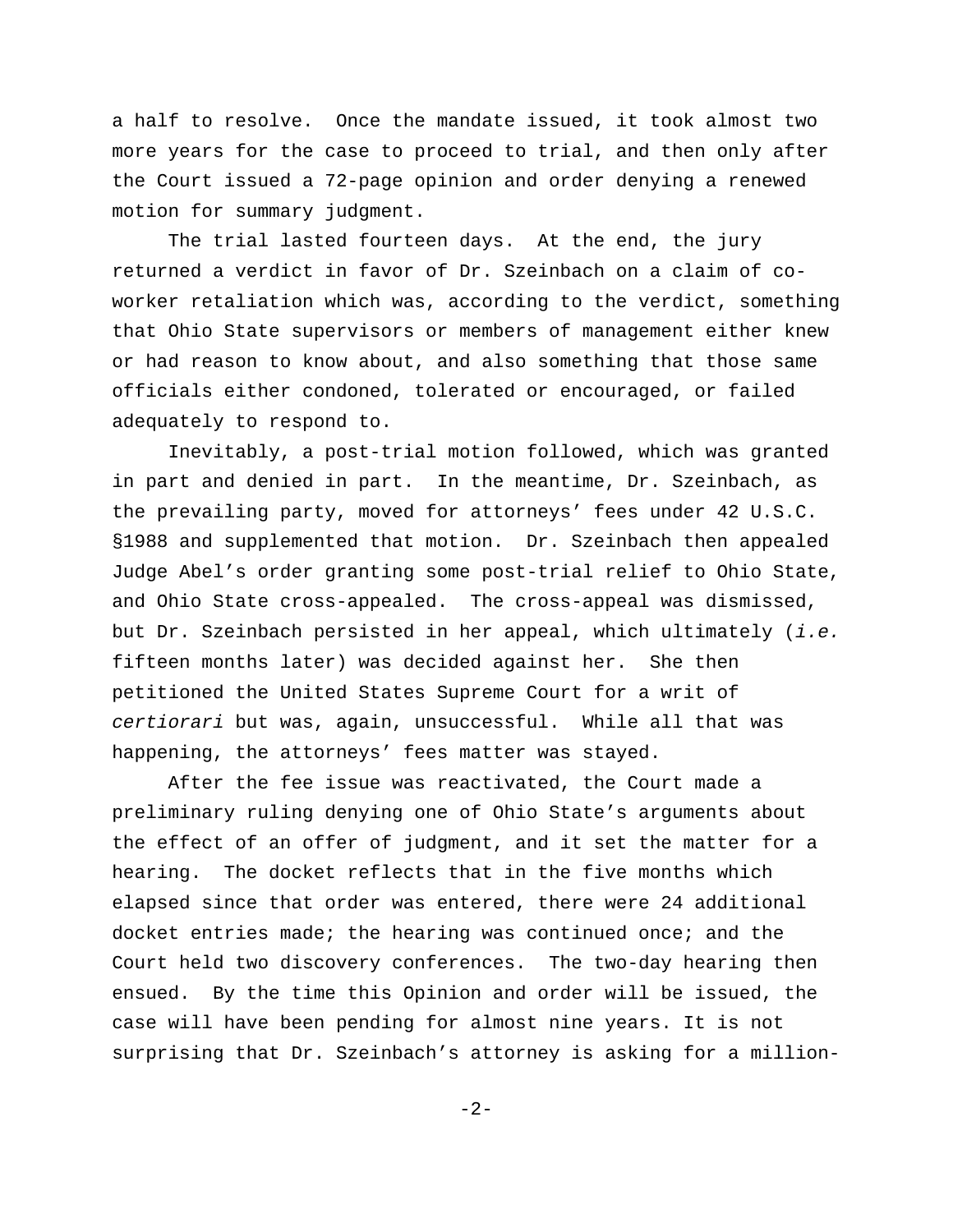a half to resolve. Once the mandate issued, it took almost two more years for the case to proceed to trial, and then only after the Court issued a 72-page opinion and order denying a renewed motion for summary judgment.

The trial lasted fourteen days. At the end, the jury returned a verdict in favor of Dr. Szeinbach on a claim of coworker retaliation which was, according to the verdict, something that Ohio State supervisors or members of management either knew or had reason to know about, and also something that those same officials either condoned, tolerated or encouraged, or failed adequately to respond to.

Inevitably, a post-trial motion followed, which was granted in part and denied in part. In the meantime, Dr. Szeinbach, as the prevailing party, moved for attorneys' fees under 42 U.S.C. §1988 and supplemented that motion. Dr. Szeinbach then appealed Judge Abel's order granting some post-trial relief to Ohio State, and Ohio State cross-appealed. The cross-appeal was dismissed, but Dr. Szeinbach persisted in her appeal, which ultimately (i.e. fifteen months later) was decided against her. She then petitioned the United States Supreme Court for a writ of certiorari but was, again, unsuccessful. While all that was happening, the attorneys' fees matter was stayed.

After the fee issue was reactivated, the Court made a preliminary ruling denying one of Ohio State's arguments about the effect of an offer of judgment, and it set the matter for a hearing. The docket reflects that in the five months which elapsed since that order was entered, there were 24 additional docket entries made; the hearing was continued once; and the Court held two discovery conferences. The two-day hearing then ensued. By the time this Opinion and order will be issued, the case will have been pending for almost nine years. It is not surprising that Dr. Szeinbach's attorney is asking for a million-

-2-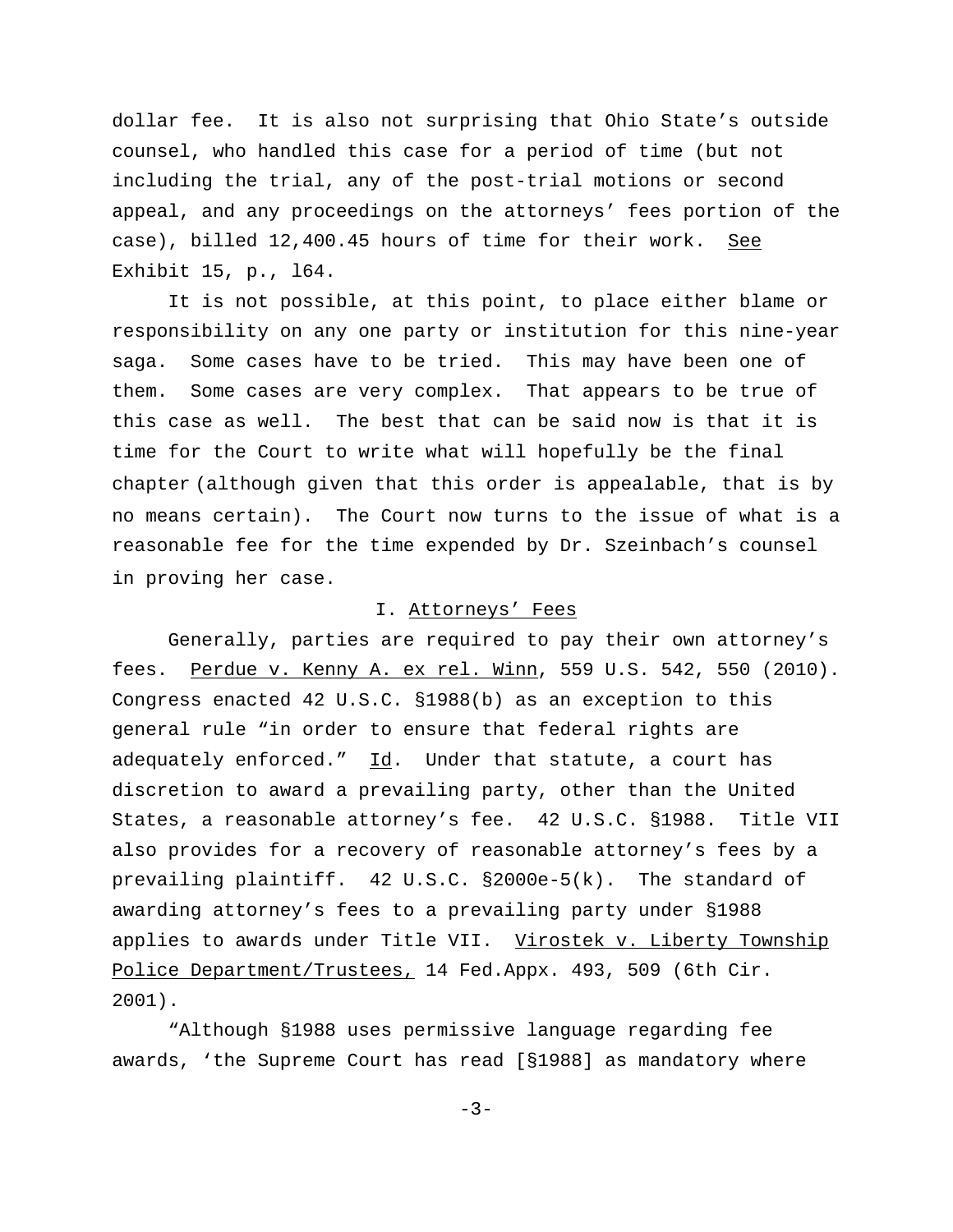dollar fee. It is also not surprising that Ohio State's outside counsel, who handled this case for a period of time (but not including the trial, any of the post-trial motions or second appeal, and any proceedings on the attorneys' fees portion of the case), billed 12,400.45 hours of time for their work. See Exhibit 15, p., l64.

It is not possible, at this point, to place either blame or responsibility on any one party or institution for this nine-year saga. Some cases have to be tried. This may have been one of them. Some cases are very complex. That appears to be true of this case as well. The best that can be said now is that it is time for the Court to write what will hopefully be the final chapter (although given that this order is appealable, that is by no means certain). The Court now turns to the issue of what is a reasonable fee for the time expended by Dr. Szeinbach's counsel in proving her case.

## I. Attorneys' Fees

Generally, parties are required to pay their own attorney's fees. Perdue v. Kenny A. ex rel. Winn, 559 U.S. 542, 550 (2010). Congress enacted 42 U.S.C. §1988(b) as an exception to this general rule "in order to ensure that federal rights are adequately enforced."  $Id.$  Under that statute, a court has discretion to award a prevailing party, other than the United States, a reasonable attorney's fee. 42 U.S.C. §1988. Title VII also provides for a recovery of reasonable attorney's fees by a prevailing plaintiff. 42 U.S.C. §2000e-5(k). The standard of awarding attorney's fees to a prevailing party under §1988 applies to awards under Title VII. Virostek v. Liberty Township Police Department/Trustees, 14 Fed.Appx. 493, 509 (6th Cir. 2001).

"Although §1988 uses permissive language regarding fee awards, 'the Supreme Court has read [§1988] as mandatory where

 $-3-$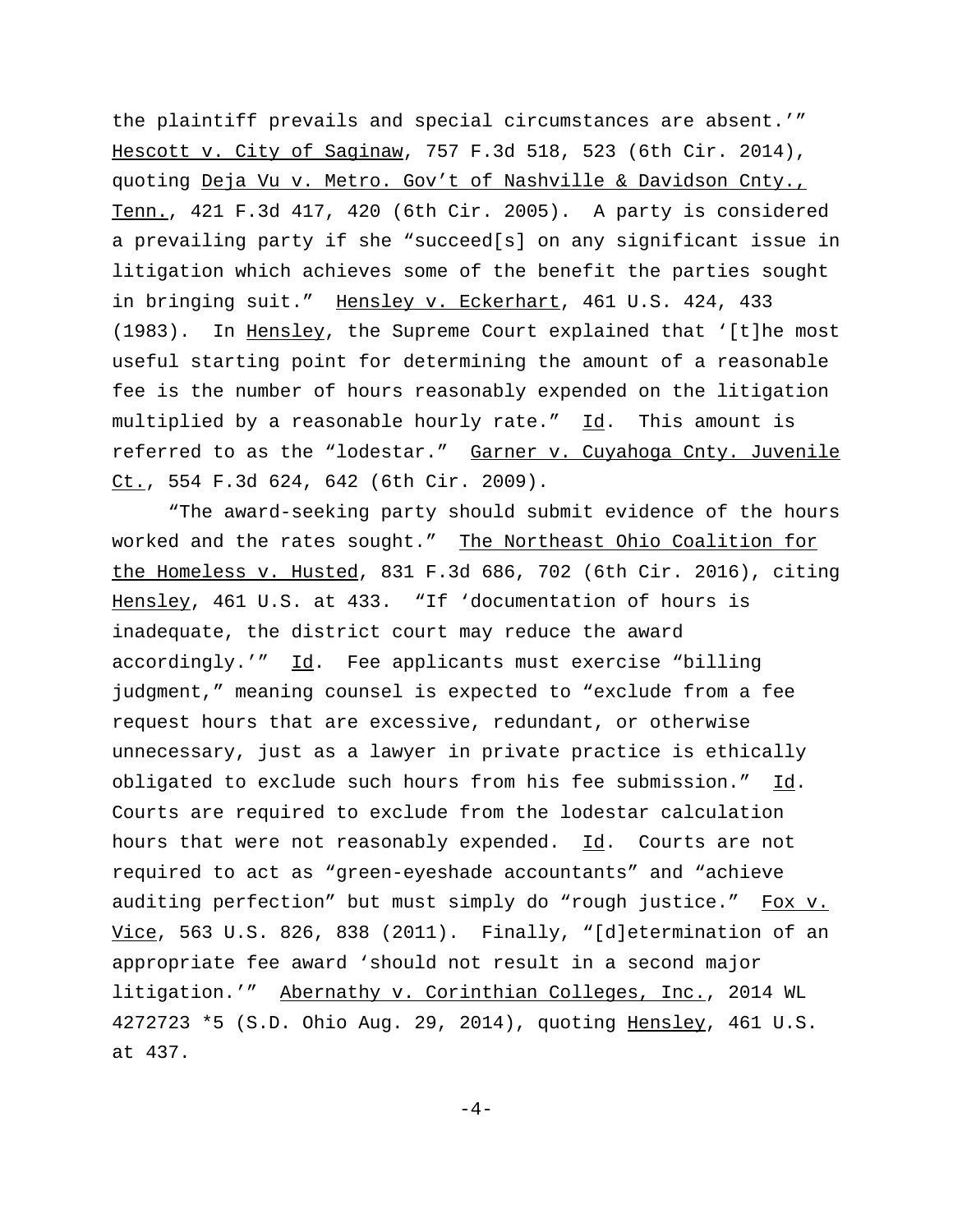the plaintiff prevails and special circumstances are absent.'" Hescott v. City of Saginaw, 757 F.3d 518, 523 (6th Cir. 2014), quoting Deja Vu v. Metro. Gov't of Nashville & Davidson Cnty., Tenn., 421 F.3d 417, 420 (6th Cir. 2005). A party is considered a prevailing party if she "succeed[s] on any significant issue in litigation which achieves some of the benefit the parties sought in bringing suit." Hensley v. Eckerhart, 461 U.S. 424, 433 (1983). In Hensley, the Supreme Court explained that '[t]he most useful starting point for determining the amount of a reasonable fee is the number of hours reasonably expended on the litigation multiplied by a reasonable hourly rate." Id. This amount is referred to as the "lodestar." Garner v. Cuyahoga Cnty. Juvenile Ct., 554 F.3d 624, 642 (6th Cir. 2009).

"The award-seeking party should submit evidence of the hours worked and the rates sought." The Northeast Ohio Coalition for the Homeless v. Husted, 831 F.3d 686, 702 (6th Cir. 2016), citing Hensley, 461 U.S. at 433. "If 'documentation of hours is inadequate, the district court may reduce the award accordingly.'" Id. Fee applicants must exercise "billing judgment," meaning counsel is expected to "exclude from a fee request hours that are excessive, redundant, or otherwise unnecessary, just as a lawyer in private practice is ethically obligated to exclude such hours from his fee submission." Id. Courts are required to exclude from the lodestar calculation hours that were not reasonably expended. Id. Courts are not required to act as "green-eyeshade accountants" and "achieve auditing perfection" but must simply do "rough justice." Fox v. Vice, 563 U.S. 826, 838 (2011). Finally, "[d]etermination of an appropriate fee award 'should not result in a second major litigation.'" Abernathy v. Corinthian Colleges, Inc., 2014 WL 4272723 \*5 (S.D. Ohio Aug. 29, 2014), quoting Hensley, 461 U.S. at 437.

 $-4-$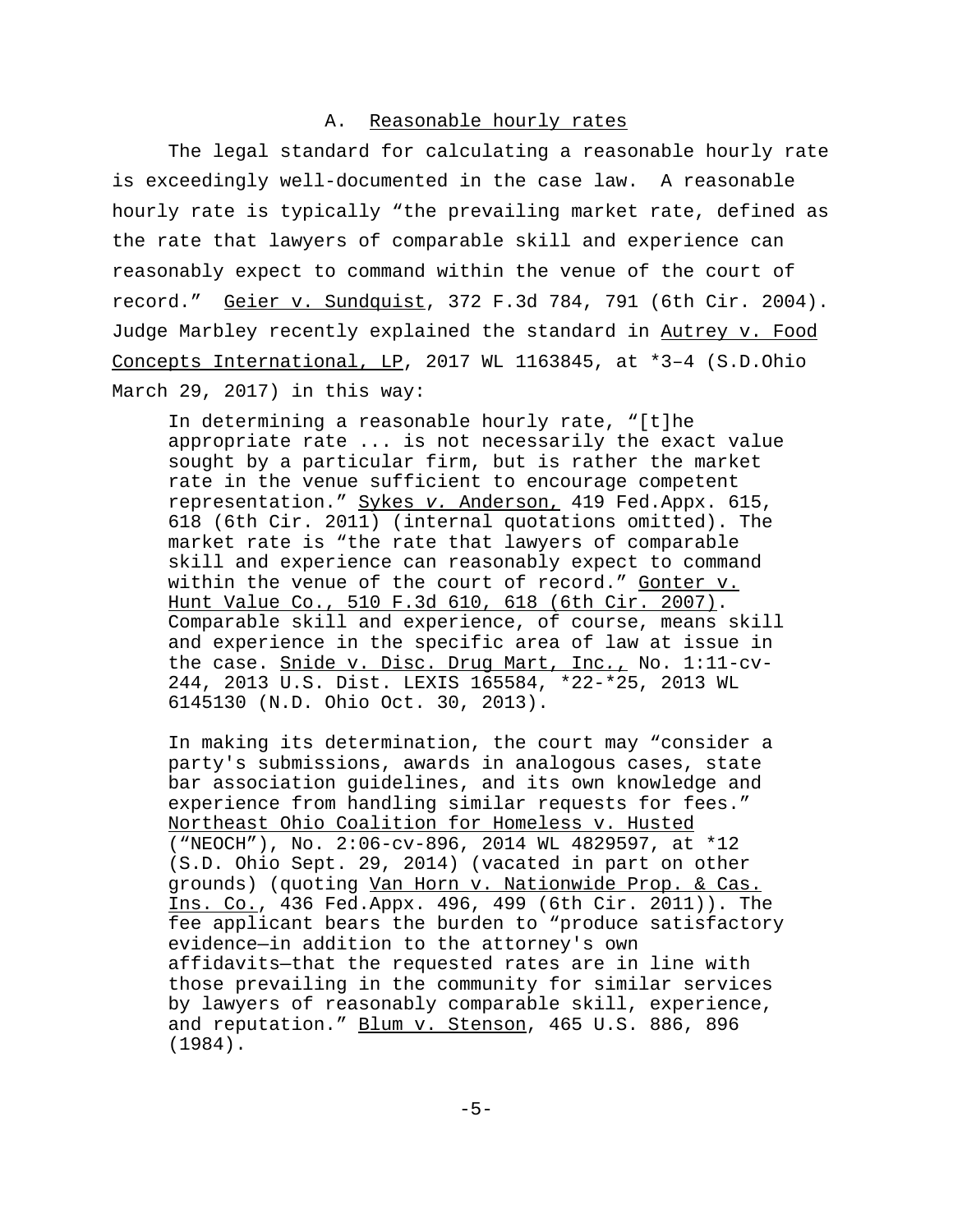# A. Reasonable hourly rates

The legal standard for calculating a reasonable hourly rate is exceedingly well-documented in the case law. A reasonable hourly rate is typically "the prevailing market rate, defined as the rate that lawyers of comparable skill and experience can reasonably expect to command within the venue of the court of record." Geier v. Sundquist, 372 F.3d 784, 791 (6th Cir. 2004). Judge Marbley recently explained the standard in Autrey v. Food Concepts International, LP, 2017 WL 1163845, at \*3–4 (S.D.Ohio March 29, 2017) in this way:

In determining a reasonable hourly rate, "[t]he appropriate rate ... is not necessarily the exact value sought by a particular firm, but is rather the market rate in the venue sufficient to encourage competent representation." Sykes v. Anderson, 419 Fed.Appx. 615, 618 (6th Cir. 2011) (internal quotations omitted). The market rate is "the rate that lawyers of comparable skill and experience can reasonably expect to command within the venue of the court of record." Gonter v. Hunt Value Co., 510 F.3d 610, 618 (6th Cir. 2007). Comparable skill and experience, of course, means skill and experience in the specific area of law at issue in the case. Snide v. Disc. Drug Mart, Inc., No. 1:11-cv-244, 2013 U.S. Dist. LEXIS 165584, \*22-\*25, 2013 WL 6145130 (N.D. Ohio Oct. 30, 2013).

In making its determination, the court may "consider a party's submissions, awards in analogous cases, state bar association guidelines, and its own knowledge and experience from handling similar requests for fees." Northeast Ohio Coalition for Homeless v. Husted ("NEOCH"), No. 2:06-cv-896, 2014 WL 4829597, at \*12 (S.D. Ohio Sept. 29, 2014) (vacated in part on other grounds) (quoting Van Horn v. Nationwide Prop. & Cas. Ins. Co., 436 Fed.Appx. 496, 499 (6th Cir. 2011)). The fee applicant bears the burden to "produce satisfactory evidence—in addition to the attorney's own affidavits—that the requested rates are in line with those prevailing in the community for similar services by lawyers of reasonably comparable skill, experience, and reputation." Blum v. Stenson, 465 U.S. 886, 896 (1984).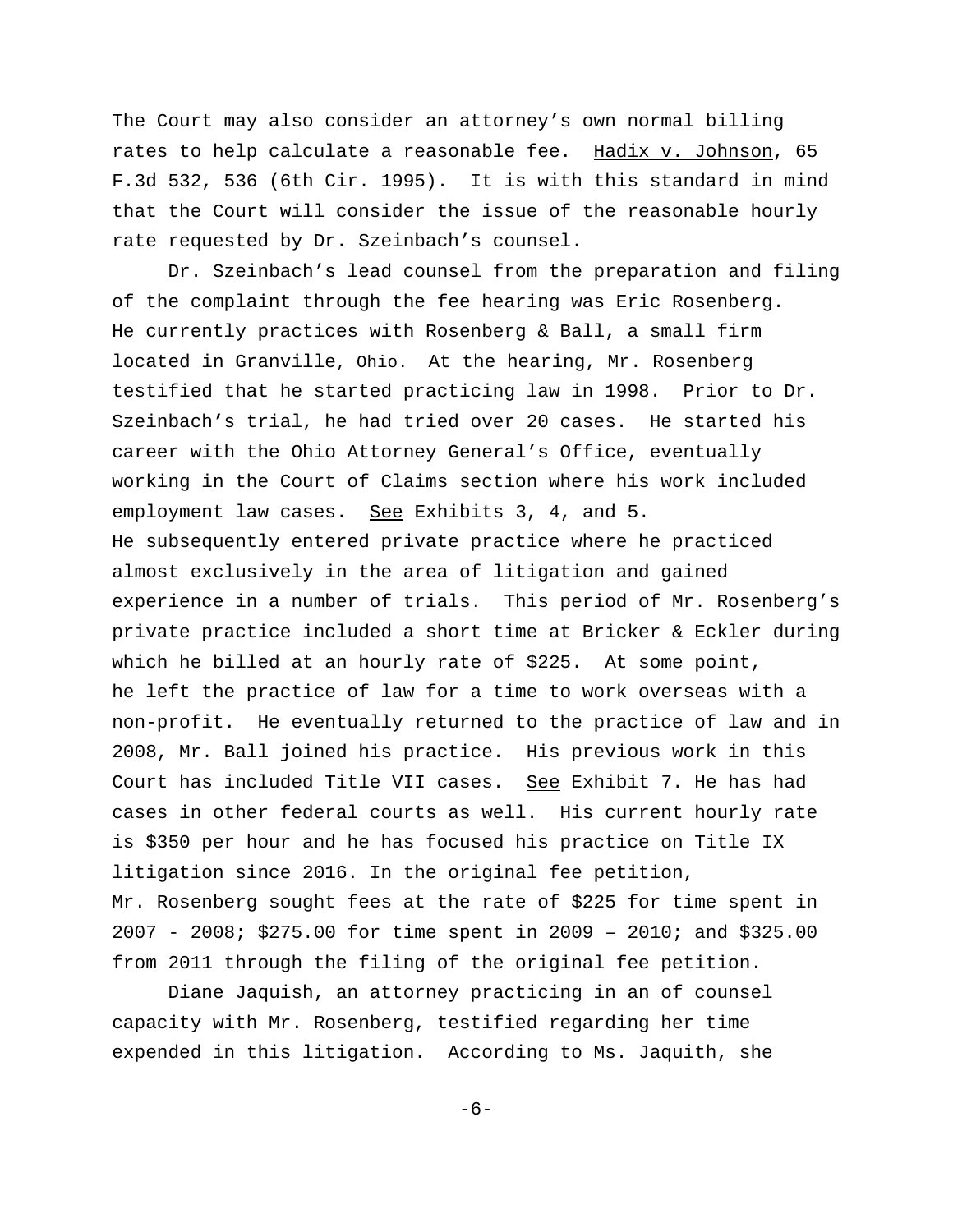The Court may also consider an attorney's own normal billing rates to help calculate a reasonable fee. Hadix v. Johnson, 65 F.3d 532, 536 (6th Cir. 1995). It is with this standard in mind that the Court will consider the issue of the reasonable hourly rate requested by Dr. Szeinbach's counsel.

Dr. Szeinbach's lead counsel from the preparation and filing of the complaint through the fee hearing was Eric Rosenberg. He currently practices with Rosenberg & Ball, a small firm located in Granville, Ohio. At the hearing, Mr. Rosenberg testified that he started practicing law in 1998. Prior to Dr. Szeinbach's trial, he had tried over 20 cases. He started his career with the Ohio Attorney General's Office, eventually working in the Court of Claims section where his work included employment law cases. See Exhibits 3, 4, and 5. He subsequently entered private practice where he practiced almost exclusively in the area of litigation and gained experience in a number of trials. This period of Mr. Rosenberg's private practice included a short time at Bricker & Eckler during which he billed at an hourly rate of \$225. At some point, he left the practice of law for a time to work overseas with a non-profit. He eventually returned to the practice of law and in 2008, Mr. Ball joined his practice. His previous work in this Court has included Title VII cases. See Exhibit 7. He has had cases in other federal courts as well. His current hourly rate is \$350 per hour and he has focused his practice on Title IX litigation since 2016. In the original fee petition, Mr. Rosenberg sought fees at the rate of \$225 for time spent in 2007 - 2008; \$275.00 for time spent in 2009 – 2010; and \$325.00 from 2011 through the filing of the original fee petition.

Diane Jaquish, an attorney practicing in an of counsel capacity with Mr. Rosenberg, testified regarding her time expended in this litigation. According to Ms. Jaquith, she

-6-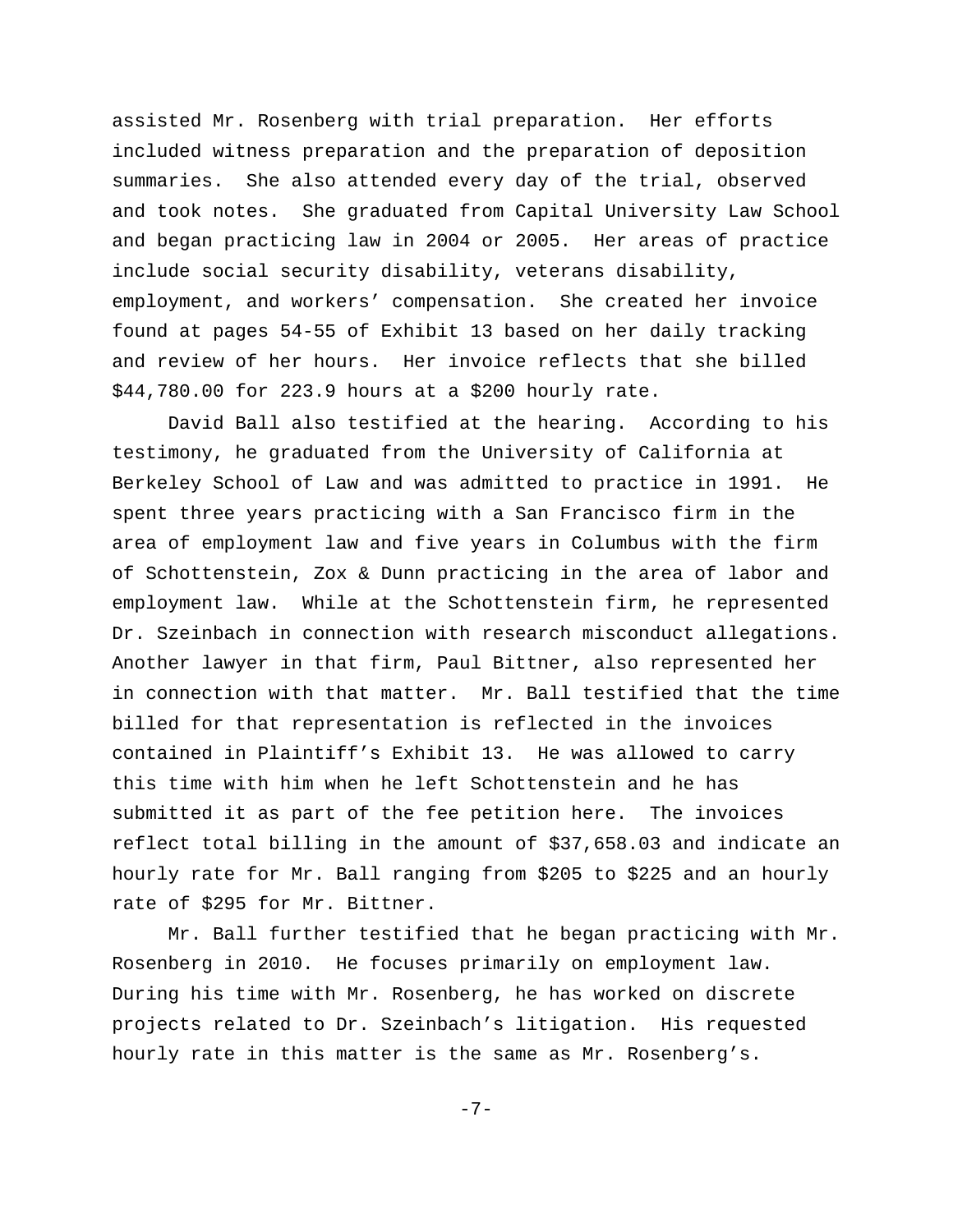assisted Mr. Rosenberg with trial preparation. Her efforts included witness preparation and the preparation of deposition summaries. She also attended every day of the trial, observed and took notes. She graduated from Capital University Law School and began practicing law in 2004 or 2005. Her areas of practice include social security disability, veterans disability, employment, and workers' compensation. She created her invoice found at pages 54-55 of Exhibit 13 based on her daily tracking and review of her hours. Her invoice reflects that she billed \$44,780.00 for 223.9 hours at a \$200 hourly rate.

 David Ball also testified at the hearing. According to his testimony, he graduated from the University of California at Berkeley School of Law and was admitted to practice in 1991. He spent three years practicing with a San Francisco firm in the area of employment law and five years in Columbus with the firm of Schottenstein, Zox & Dunn practicing in the area of labor and employment law. While at the Schottenstein firm, he represented Dr. Szeinbach in connection with research misconduct allegations. Another lawyer in that firm, Paul Bittner, also represented her in connection with that matter. Mr. Ball testified that the time billed for that representation is reflected in the invoices contained in Plaintiff's Exhibit 13. He was allowed to carry this time with him when he left Schottenstein and he has submitted it as part of the fee petition here. The invoices reflect total billing in the amount of \$37,658.03 and indicate an hourly rate for Mr. Ball ranging from \$205 to \$225 and an hourly rate of \$295 for Mr. Bittner.

Mr. Ball further testified that he began practicing with Mr. Rosenberg in 2010. He focuses primarily on employment law. During his time with Mr. Rosenberg, he has worked on discrete projects related to Dr. Szeinbach's litigation. His requested hourly rate in this matter is the same as Mr. Rosenberg's.

-7-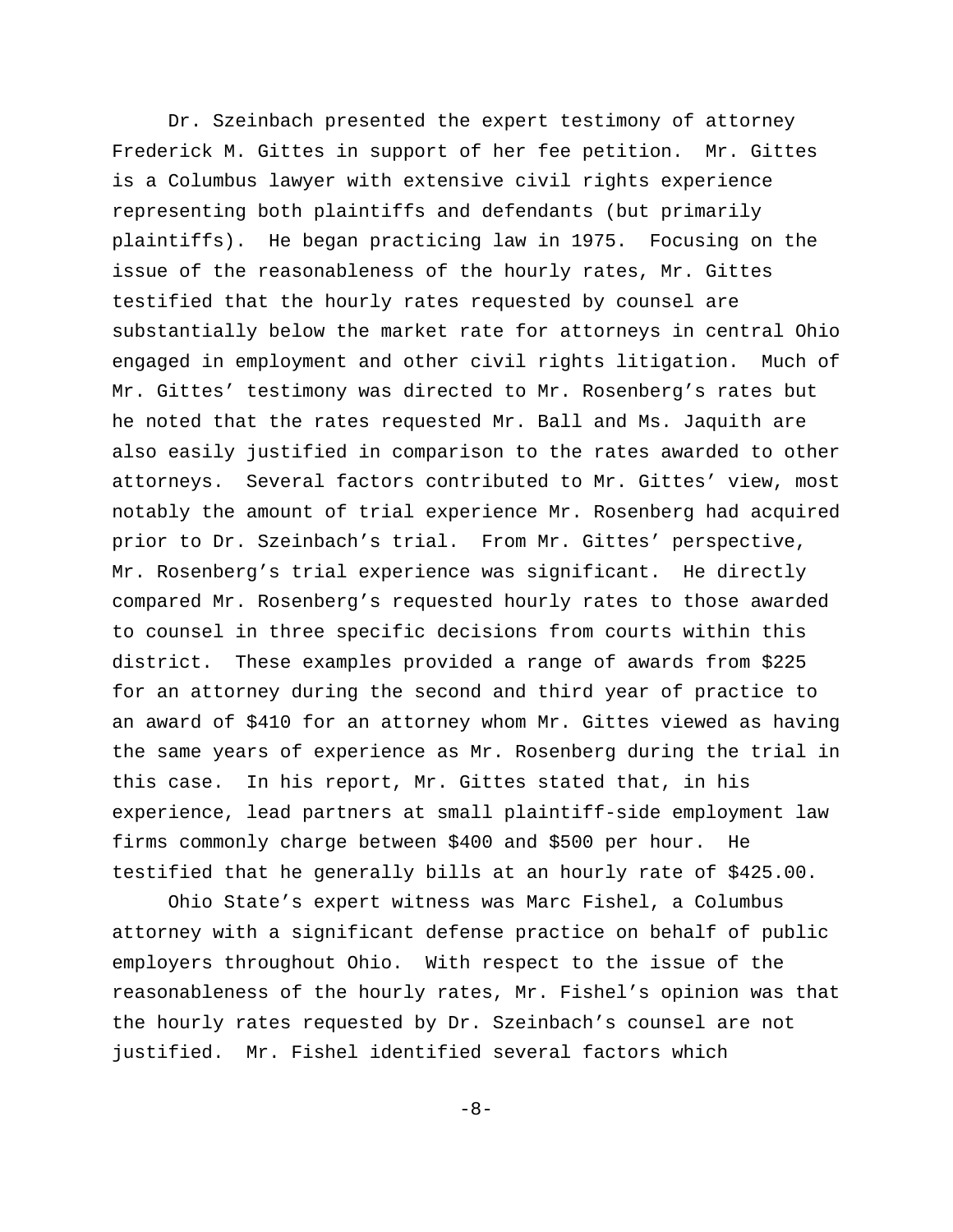Dr. Szeinbach presented the expert testimony of attorney Frederick M. Gittes in support of her fee petition. Mr. Gittes is a Columbus lawyer with extensive civil rights experience representing both plaintiffs and defendants (but primarily plaintiffs). He began practicing law in 1975. Focusing on the issue of the reasonableness of the hourly rates, Mr. Gittes testified that the hourly rates requested by counsel are substantially below the market rate for attorneys in central Ohio engaged in employment and other civil rights litigation. Much of Mr. Gittes' testimony was directed to Mr. Rosenberg's rates but he noted that the rates requested Mr. Ball and Ms. Jaquith are also easily justified in comparison to the rates awarded to other attorneys. Several factors contributed to Mr. Gittes' view, most notably the amount of trial experience Mr. Rosenberg had acquired prior to Dr. Szeinbach's trial. From Mr. Gittes' perspective, Mr. Rosenberg's trial experience was significant. He directly compared Mr. Rosenberg's requested hourly rates to those awarded to counsel in three specific decisions from courts within this district. These examples provided a range of awards from \$225 for an attorney during the second and third year of practice to an award of \$410 for an attorney whom Mr. Gittes viewed as having the same years of experience as Mr. Rosenberg during the trial in this case. In his report, Mr. Gittes stated that, in his experience, lead partners at small plaintiff-side employment law firms commonly charge between \$400 and \$500 per hour. He testified that he generally bills at an hourly rate of \$425.00.

Ohio State's expert witness was Marc Fishel, a Columbus attorney with a significant defense practice on behalf of public employers throughout Ohio. With respect to the issue of the reasonableness of the hourly rates, Mr. Fishel's opinion was that the hourly rates requested by Dr. Szeinbach's counsel are not justified. Mr. Fishel identified several factors which

-8-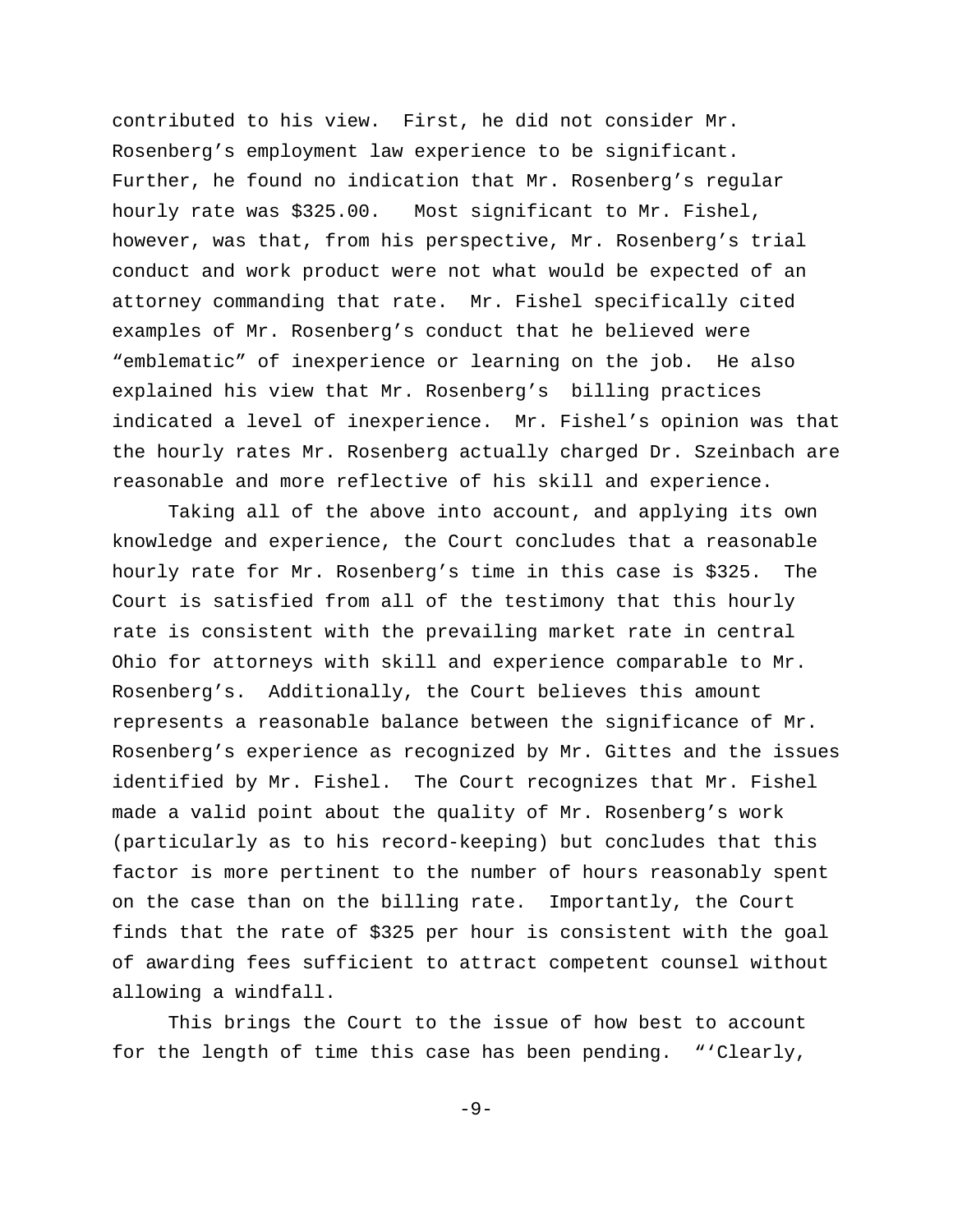contributed to his view. First, he did not consider Mr. Rosenberg's employment law experience to be significant. Further, he found no indication that Mr. Rosenberg's regular hourly rate was \$325.00. Most significant to Mr. Fishel, however, was that, from his perspective, Mr. Rosenberg's trial conduct and work product were not what would be expected of an attorney commanding that rate. Mr. Fishel specifically cited examples of Mr. Rosenberg's conduct that he believed were "emblematic" of inexperience or learning on the job. He also explained his view that Mr. Rosenberg's billing practices indicated a level of inexperience. Mr. Fishel's opinion was that the hourly rates Mr. Rosenberg actually charged Dr. Szeinbach are reasonable and more reflective of his skill and experience.

Taking all of the above into account, and applying its own knowledge and experience, the Court concludes that a reasonable hourly rate for Mr. Rosenberg's time in this case is \$325. The Court is satisfied from all of the testimony that this hourly rate is consistent with the prevailing market rate in central Ohio for attorneys with skill and experience comparable to Mr. Rosenberg's. Additionally, the Court believes this amount represents a reasonable balance between the significance of Mr. Rosenberg's experience as recognized by Mr. Gittes and the issues identified by Mr. Fishel. The Court recognizes that Mr. Fishel made a valid point about the quality of Mr. Rosenberg's work (particularly as to his record-keeping) but concludes that this factor is more pertinent to the number of hours reasonably spent on the case than on the billing rate. Importantly, the Court finds that the rate of \$325 per hour is consistent with the goal of awarding fees sufficient to attract competent counsel without allowing a windfall.

 This brings the Court to the issue of how best to account for the length of time this case has been pending. "'Clearly,

-9-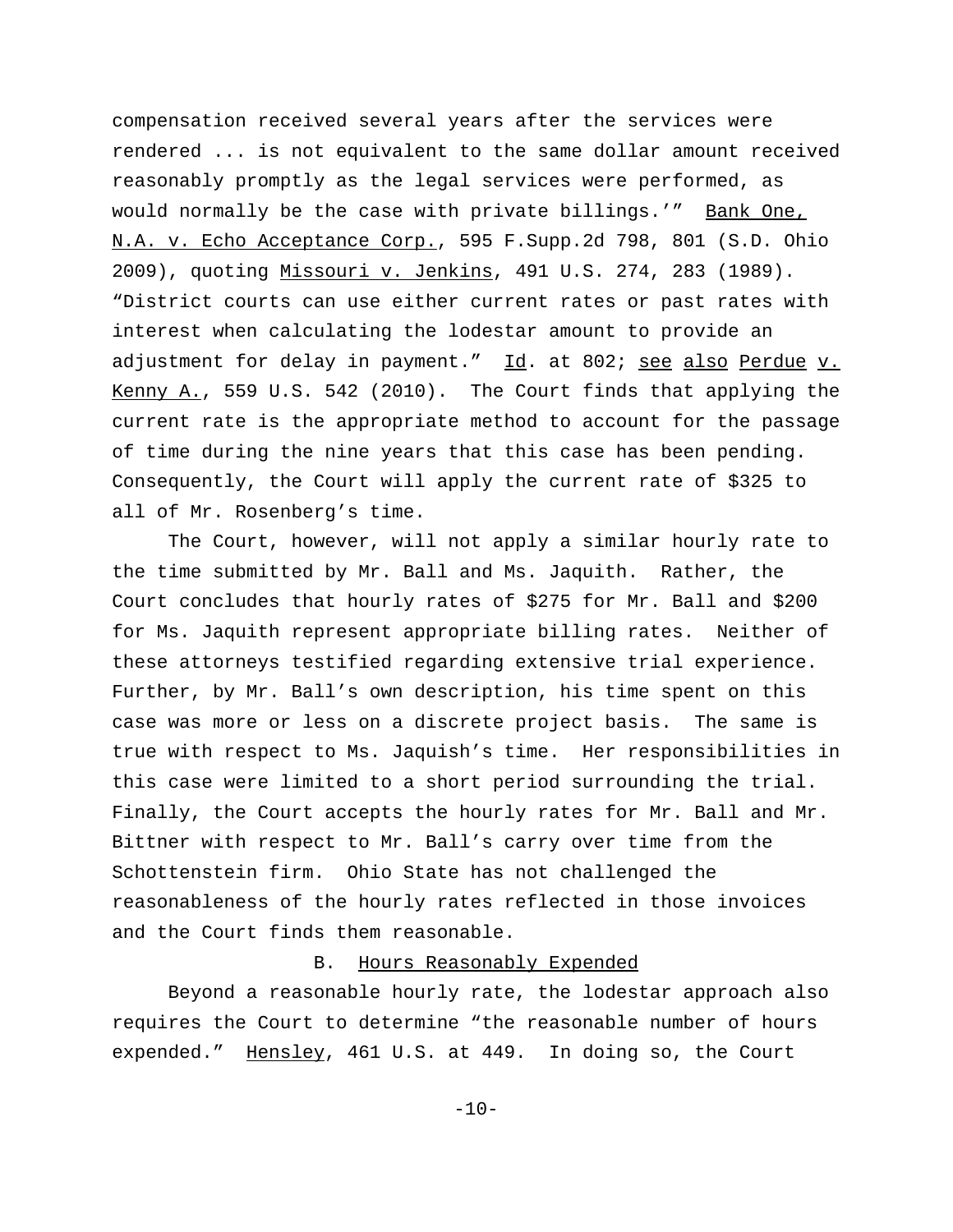compensation received several years after the services were rendered ... is not equivalent to the same dollar amount received reasonably promptly as the legal services were performed, as would normally be the case with private billings.'" Bank One, N.A. v. Echo Acceptance Corp., 595 F.Supp.2d 798, 801 (S.D. Ohio 2009), quoting Missouri v. Jenkins, 491 U.S. 274, 283 (1989). "District courts can use either current rates or past rates with interest when calculating the lodestar amount to provide an adjustment for delay in payment." Id. at 802; see also Perdue v. Kenny A., 559 U.S. 542 (2010). The Court finds that applying the current rate is the appropriate method to account for the passage of time during the nine years that this case has been pending. Consequently, the Court will apply the current rate of \$325 to all of Mr. Rosenberg's time.

 The Court, however, will not apply a similar hourly rate to the time submitted by Mr. Ball and Ms. Jaquith. Rather, the Court concludes that hourly rates of \$275 for Mr. Ball and \$200 for Ms. Jaquith represent appropriate billing rates. Neither of these attorneys testified regarding extensive trial experience. Further, by Mr. Ball's own description, his time spent on this case was more or less on a discrete project basis. The same is true with respect to Ms. Jaquish's time. Her responsibilities in this case were limited to a short period surrounding the trial. Finally, the Court accepts the hourly rates for Mr. Ball and Mr. Bittner with respect to Mr. Ball's carry over time from the Schottenstein firm. Ohio State has not challenged the reasonableness of the hourly rates reflected in those invoices and the Court finds them reasonable.

#### B. Hours Reasonably Expended

Beyond a reasonable hourly rate, the lodestar approach also requires the Court to determine "the reasonable number of hours expended." Hensley, 461 U.S. at 449. In doing so, the Court

 $-10-$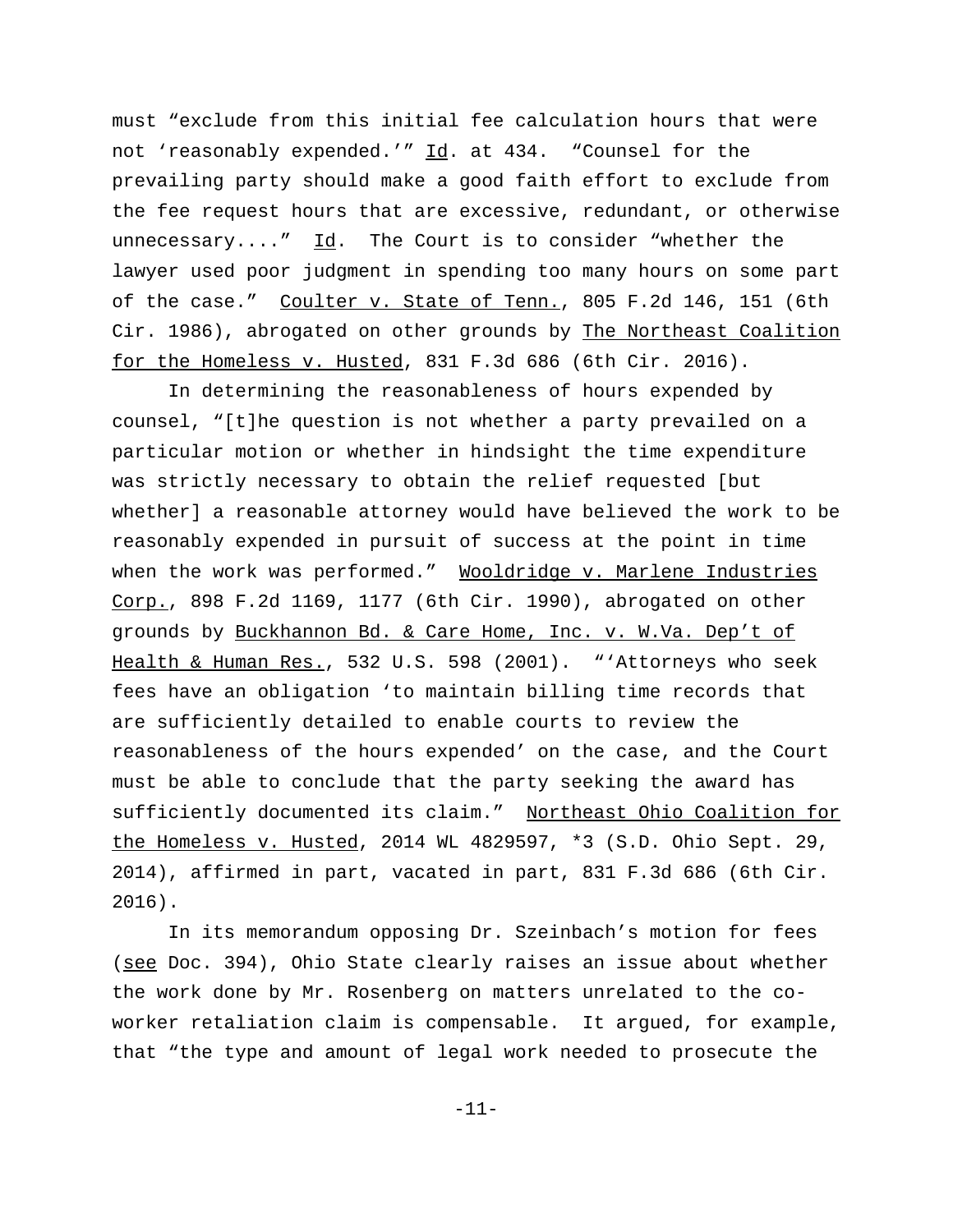must "exclude from this initial fee calculation hours that were not 'reasonably expended.'" Id. at 434. "Counsel for the prevailing party should make a good faith effort to exclude from the fee request hours that are excessive, redundant, or otherwise unnecessary...."  $\underline{Id}$ . The Court is to consider "whether the lawyer used poor judgment in spending too many hours on some part of the case." Coulter v. State of Tenn., 805 F.2d 146, 151 (6th Cir. 1986), abrogated on other grounds by The Northeast Coalition for the Homeless v. Husted, 831 F.3d 686 (6th Cir. 2016).

In determining the reasonableness of hours expended by counsel, "[t]he question is not whether a party prevailed on a particular motion or whether in hindsight the time expenditure was strictly necessary to obtain the relief requested [but whether] a reasonable attorney would have believed the work to be reasonably expended in pursuit of success at the point in time when the work was performed." Wooldridge v. Marlene Industries Corp., 898 F.2d 1169, 1177 (6th Cir. 1990), abrogated on other grounds by Buckhannon Bd. & Care Home, Inc. v. W.Va. Dep't of Health & Human Res., 532 U.S. 598 (2001). "'Attorneys who seek fees have an obligation 'to maintain billing time records that are sufficiently detailed to enable courts to review the reasonableness of the hours expended' on the case, and the Court must be able to conclude that the party seeking the award has sufficiently documented its claim." Northeast Ohio Coalition for the Homeless v. Husted, 2014 WL 4829597, \*3 (S.D. Ohio Sept. 29, 2014), affirmed in part, vacated in part, 831 F.3d 686 (6th Cir. 2016).

In its memorandum opposing Dr. Szeinbach's motion for fees (see Doc. 394), Ohio State clearly raises an issue about whether the work done by Mr. Rosenberg on matters unrelated to the coworker retaliation claim is compensable. It argued, for example, that "the type and amount of legal work needed to prosecute the

-11-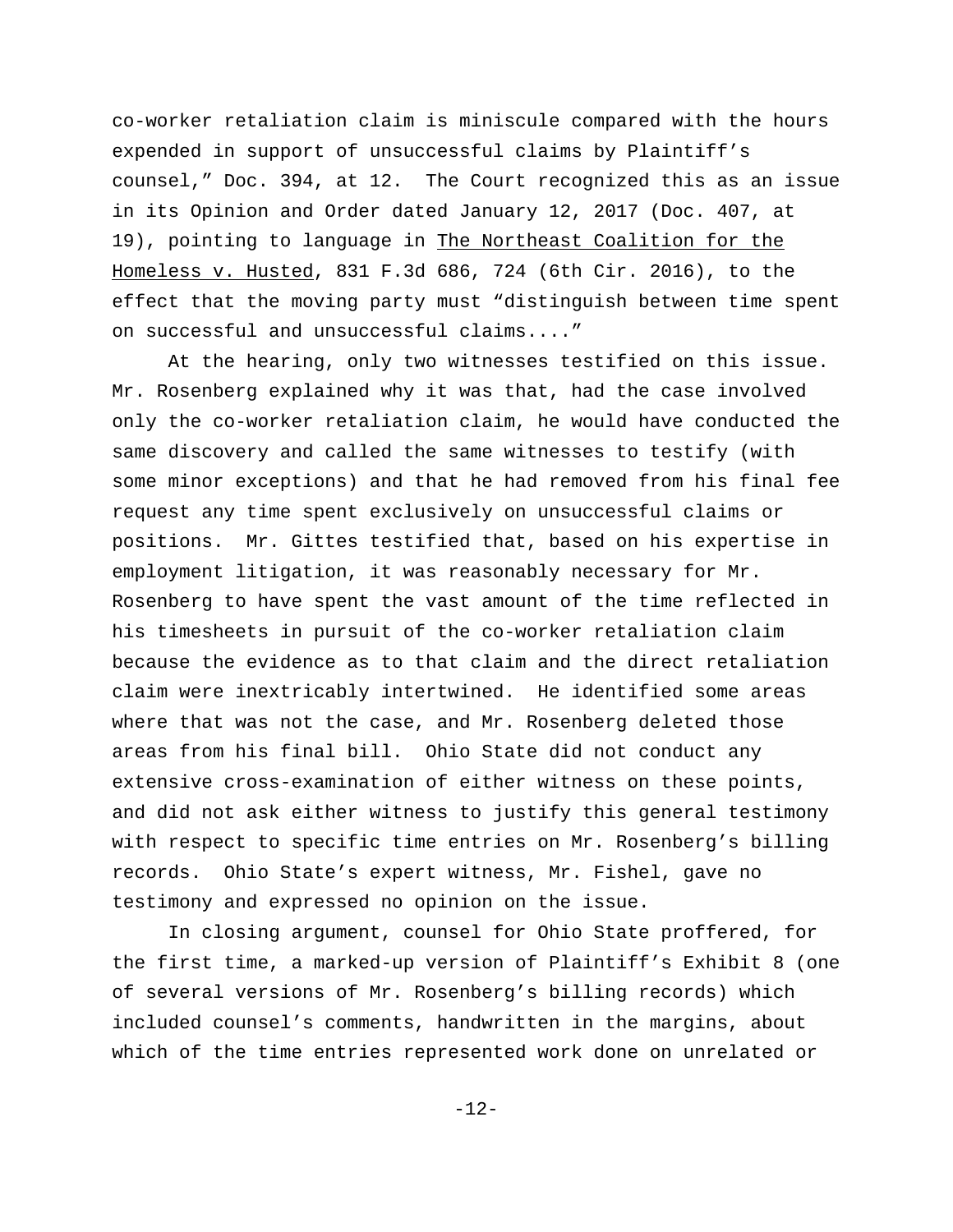co-worker retaliation claim is miniscule compared with the hours expended in support of unsuccessful claims by Plaintiff's counsel," Doc. 394, at 12. The Court recognized this as an issue in its Opinion and Order dated January 12, 2017 (Doc. 407, at 19), pointing to language in The Northeast Coalition for the Homeless v. Husted, 831 F.3d 686, 724 (6th Cir. 2016), to the effect that the moving party must "distinguish between time spent on successful and unsuccessful claims...."

At the hearing, only two witnesses testified on this issue. Mr. Rosenberg explained why it was that, had the case involved only the co-worker retaliation claim, he would have conducted the same discovery and called the same witnesses to testify (with some minor exceptions) and that he had removed from his final fee request any time spent exclusively on unsuccessful claims or positions. Mr. Gittes testified that, based on his expertise in employment litigation, it was reasonably necessary for Mr. Rosenberg to have spent the vast amount of the time reflected in his timesheets in pursuit of the co-worker retaliation claim because the evidence as to that claim and the direct retaliation claim were inextricably intertwined. He identified some areas where that was not the case, and Mr. Rosenberg deleted those areas from his final bill. Ohio State did not conduct any extensive cross-examination of either witness on these points, and did not ask either witness to justify this general testimony with respect to specific time entries on Mr. Rosenberg's billing records. Ohio State's expert witness, Mr. Fishel, gave no testimony and expressed no opinion on the issue.

In closing argument, counsel for Ohio State proffered, for the first time, a marked-up version of Plaintiff's Exhibit 8 (one of several versions of Mr. Rosenberg's billing records) which included counsel's comments, handwritten in the margins, about which of the time entries represented work done on unrelated or

-12-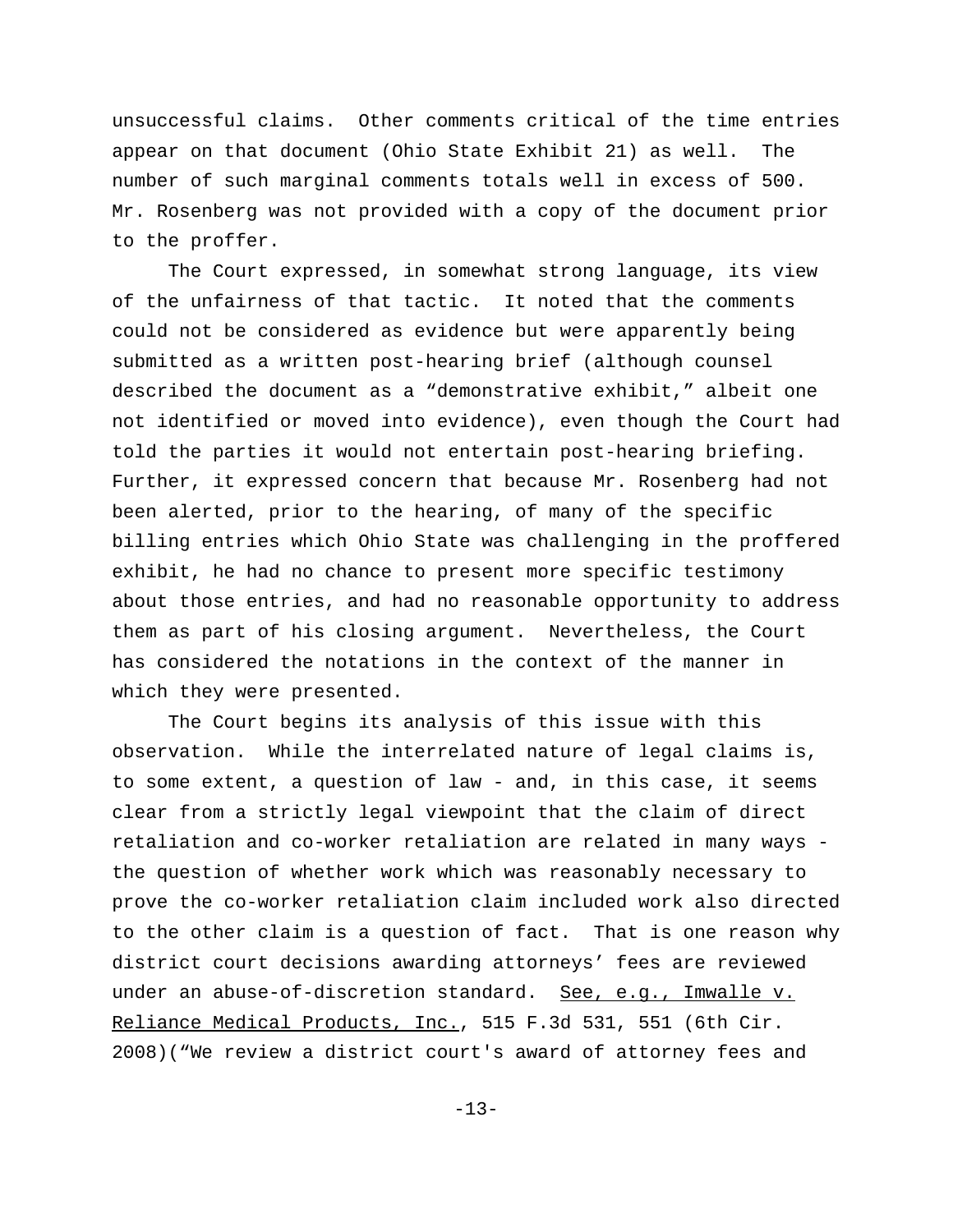unsuccessful claims. Other comments critical of the time entries appear on that document (Ohio State Exhibit 21) as well. The number of such marginal comments totals well in excess of 500. Mr. Rosenberg was not provided with a copy of the document prior to the proffer.

The Court expressed, in somewhat strong language, its view of the unfairness of that tactic. It noted that the comments could not be considered as evidence but were apparently being submitted as a written post-hearing brief (although counsel described the document as a "demonstrative exhibit," albeit one not identified or moved into evidence), even though the Court had told the parties it would not entertain post-hearing briefing. Further, it expressed concern that because Mr. Rosenberg had not been alerted, prior to the hearing, of many of the specific billing entries which Ohio State was challenging in the proffered exhibit, he had no chance to present more specific testimony about those entries, and had no reasonable opportunity to address them as part of his closing argument. Nevertheless, the Court has considered the notations in the context of the manner in which they were presented.

The Court begins its analysis of this issue with this observation. While the interrelated nature of legal claims is, to some extent, a question of law - and, in this case, it seems clear from a strictly legal viewpoint that the claim of direct retaliation and co-worker retaliation are related in many ways the question of whether work which was reasonably necessary to prove the co-worker retaliation claim included work also directed to the other claim is a question of fact. That is one reason why district court decisions awarding attorneys' fees are reviewed under an abuse-of-discretion standard. See, e.g., Imwalle v. Reliance Medical Products, Inc., 515 F.3d 531, 551 (6th Cir. 2008)("We review a district court's award of attorney fees and

-13-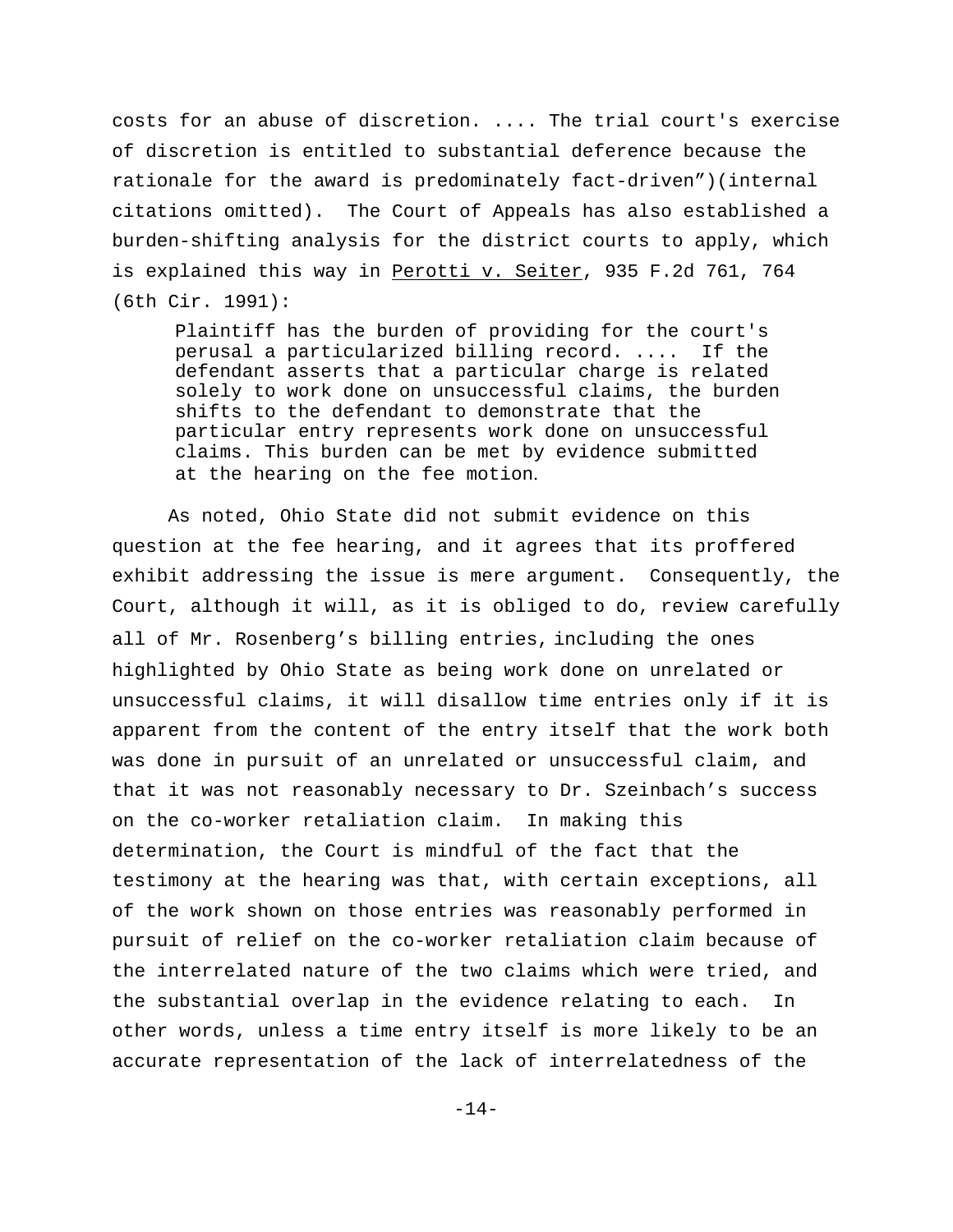costs for an abuse of discretion. .... The trial court's exercise of discretion is entitled to substantial deference because the rationale for the award is predominately fact-driven")(internal citations omitted). The Court of Appeals has also established a burden-shifting analysis for the district courts to apply, which is explained this way in Perotti v. Seiter, 935 F.2d 761, 764 (6th Cir. 1991):

Plaintiff has the burden of providing for the court's perusal a particularized billing record. .... If the defendant asserts that a particular charge is related solely to work done on unsuccessful claims, the burden shifts to the defendant to demonstrate that the particular entry represents work done on unsuccessful claims. This burden can be met by evidence submitted at the hearing on the fee motion.

As noted, Ohio State did not submit evidence on this question at the fee hearing, and it agrees that its proffered exhibit addressing the issue is mere argument. Consequently, the Court, although it will, as it is obliged to do, review carefully all of Mr. Rosenberg's billing entries, including the ones highlighted by Ohio State as being work done on unrelated or unsuccessful claims, it will disallow time entries only if it is apparent from the content of the entry itself that the work both was done in pursuit of an unrelated or unsuccessful claim, and that it was not reasonably necessary to Dr. Szeinbach's success on the co-worker retaliation claim. In making this determination, the Court is mindful of the fact that the testimony at the hearing was that, with certain exceptions, all of the work shown on those entries was reasonably performed in pursuit of relief on the co-worker retaliation claim because of the interrelated nature of the two claims which were tried, and the substantial overlap in the evidence relating to each. In other words, unless a time entry itself is more likely to be an accurate representation of the lack of interrelatedness of the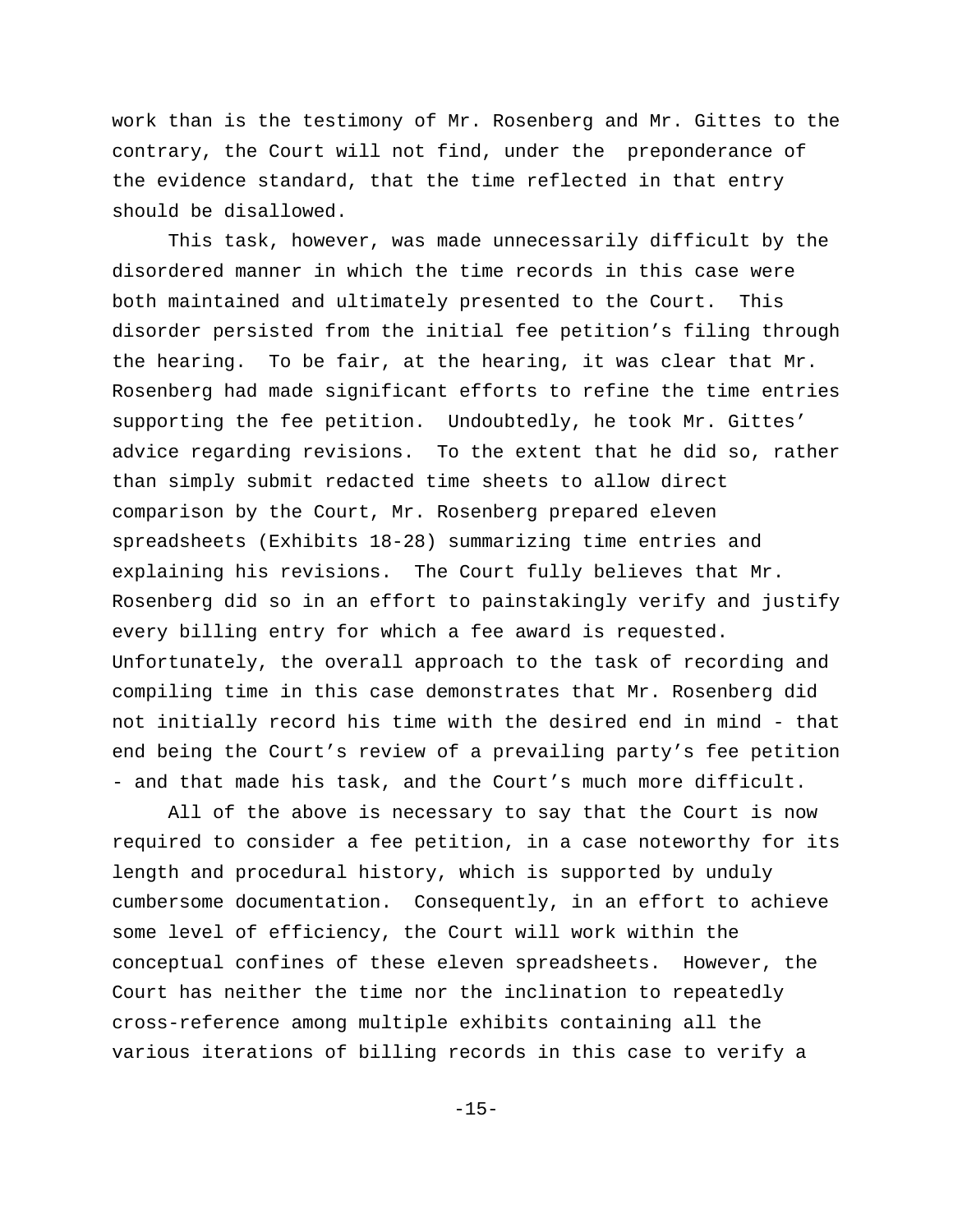work than is the testimony of Mr. Rosenberg and Mr. Gittes to the contrary, the Court will not find, under the preponderance of the evidence standard, that the time reflected in that entry should be disallowed.

 This task, however, was made unnecessarily difficult by the disordered manner in which the time records in this case were both maintained and ultimately presented to the Court. This disorder persisted from the initial fee petition's filing through the hearing. To be fair, at the hearing, it was clear that Mr. Rosenberg had made significant efforts to refine the time entries supporting the fee petition. Undoubtedly, he took Mr. Gittes' advice regarding revisions. To the extent that he did so, rather than simply submit redacted time sheets to allow direct comparison by the Court, Mr. Rosenberg prepared eleven spreadsheets (Exhibits 18-28) summarizing time entries and explaining his revisions. The Court fully believes that Mr. Rosenberg did so in an effort to painstakingly verify and justify every billing entry for which a fee award is requested. Unfortunately, the overall approach to the task of recording and compiling time in this case demonstrates that Mr. Rosenberg did not initially record his time with the desired end in mind - that end being the Court's review of a prevailing party's fee petition - and that made his task, and the Court's much more difficult.

All of the above is necessary to say that the Court is now required to consider a fee petition, in a case noteworthy for its length and procedural history, which is supported by unduly cumbersome documentation. Consequently, in an effort to achieve some level of efficiency, the Court will work within the conceptual confines of these eleven spreadsheets. However, the Court has neither the time nor the inclination to repeatedly cross-reference among multiple exhibits containing all the various iterations of billing records in this case to verify a

-15-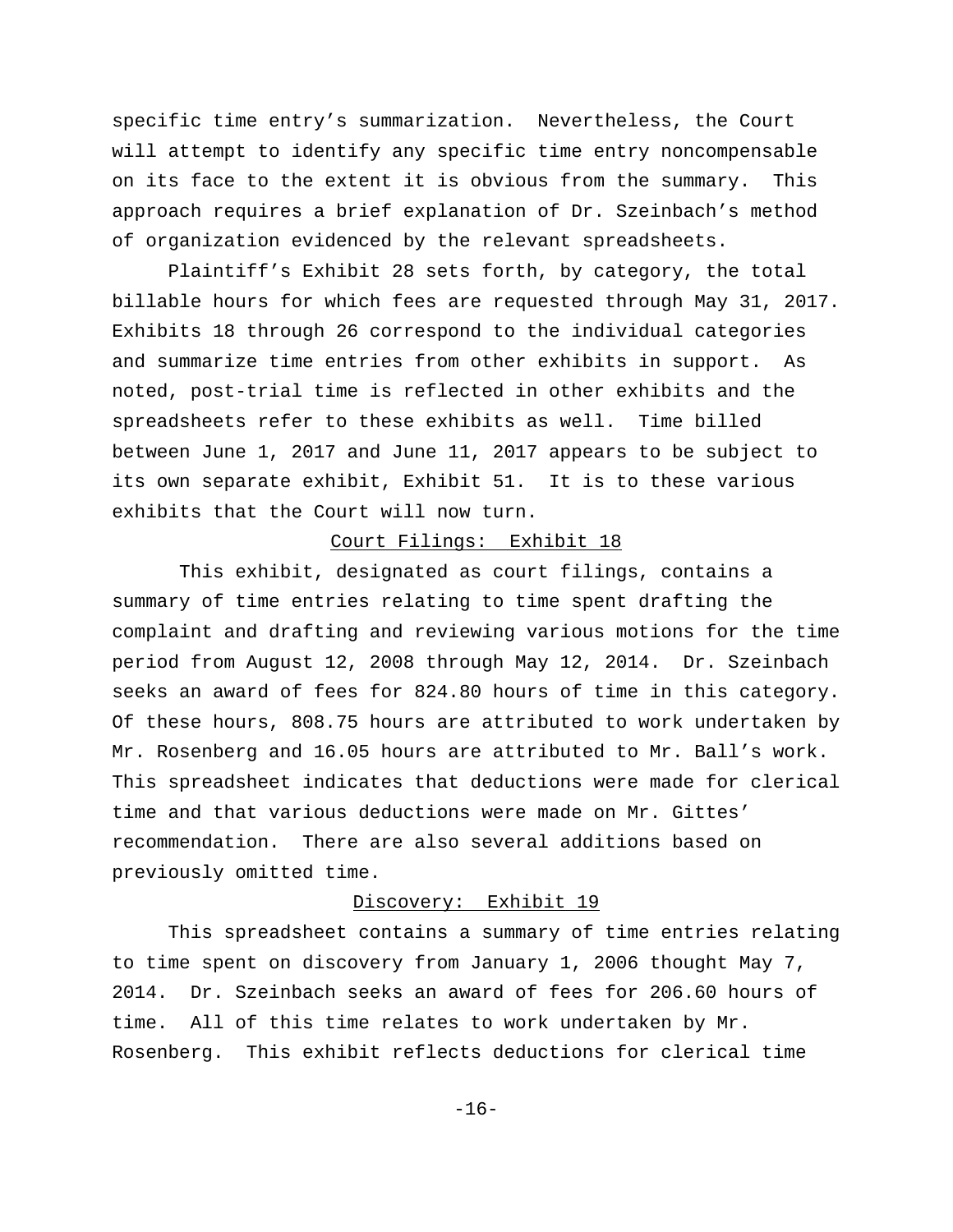specific time entry's summarization. Nevertheless, the Court will attempt to identify any specific time entry noncompensable on its face to the extent it is obvious from the summary. This approach requires a brief explanation of Dr. Szeinbach's method of organization evidenced by the relevant spreadsheets.

Plaintiff's Exhibit 28 sets forth, by category, the total billable hours for which fees are requested through May 31, 2017. Exhibits 18 through 26 correspond to the individual categories and summarize time entries from other exhibits in support. As noted, post-trial time is reflected in other exhibits and the spreadsheets refer to these exhibits as well. Time billed between June 1, 2017 and June 11, 2017 appears to be subject to its own separate exhibit, Exhibit 51. It is to these various exhibits that the Court will now turn.

# Court Filings: Exhibit 18

 This exhibit, designated as court filings, contains a summary of time entries relating to time spent drafting the complaint and drafting and reviewing various motions for the time period from August 12, 2008 through May 12, 2014. Dr. Szeinbach seeks an award of fees for 824.80 hours of time in this category. Of these hours, 808.75 hours are attributed to work undertaken by Mr. Rosenberg and 16.05 hours are attributed to Mr. Ball's work. This spreadsheet indicates that deductions were made for clerical time and that various deductions were made on Mr. Gittes' recommendation. There are also several additions based on previously omitted time.

# Discovery: Exhibit 19

This spreadsheet contains a summary of time entries relating to time spent on discovery from January 1, 2006 thought May 7, 2014. Dr. Szeinbach seeks an award of fees for 206.60 hours of time. All of this time relates to work undertaken by Mr. Rosenberg. This exhibit reflects deductions for clerical time

-16-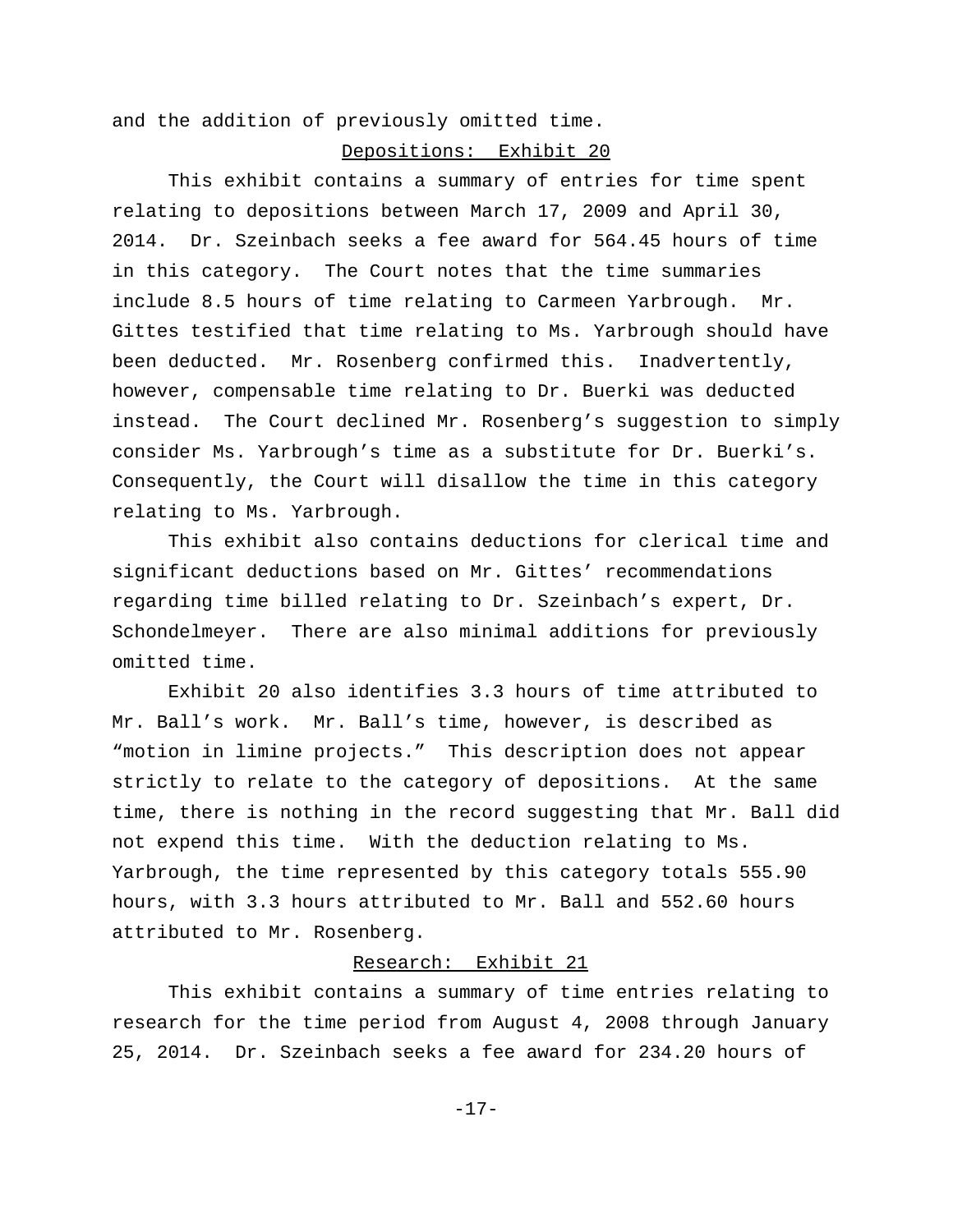and the addition of previously omitted time.

#### Depositions: Exhibit 20

This exhibit contains a summary of entries for time spent relating to depositions between March 17, 2009 and April 30, 2014. Dr. Szeinbach seeks a fee award for 564.45 hours of time in this category. The Court notes that the time summaries include 8.5 hours of time relating to Carmeen Yarbrough. Mr. Gittes testified that time relating to Ms. Yarbrough should have been deducted. Mr. Rosenberg confirmed this. Inadvertently, however, compensable time relating to Dr. Buerki was deducted instead. The Court declined Mr. Rosenberg's suggestion to simply consider Ms. Yarbrough's time as a substitute for Dr. Buerki's. Consequently, the Court will disallow the time in this category relating to Ms. Yarbrough.

This exhibit also contains deductions for clerical time and significant deductions based on Mr. Gittes' recommendations regarding time billed relating to Dr. Szeinbach's expert, Dr. Schondelmeyer. There are also minimal additions for previously omitted time.

Exhibit 20 also identifies 3.3 hours of time attributed to Mr. Ball's work. Mr. Ball's time, however, is described as "motion in limine projects." This description does not appear strictly to relate to the category of depositions. At the same time, there is nothing in the record suggesting that Mr. Ball did not expend this time. With the deduction relating to Ms. Yarbrough, the time represented by this category totals 555.90 hours, with 3.3 hours attributed to Mr. Ball and 552.60 hours attributed to Mr. Rosenberg.

## Research: Exhibit 21

This exhibit contains a summary of time entries relating to research for the time period from August 4, 2008 through January 25, 2014. Dr. Szeinbach seeks a fee award for 234.20 hours of

-17-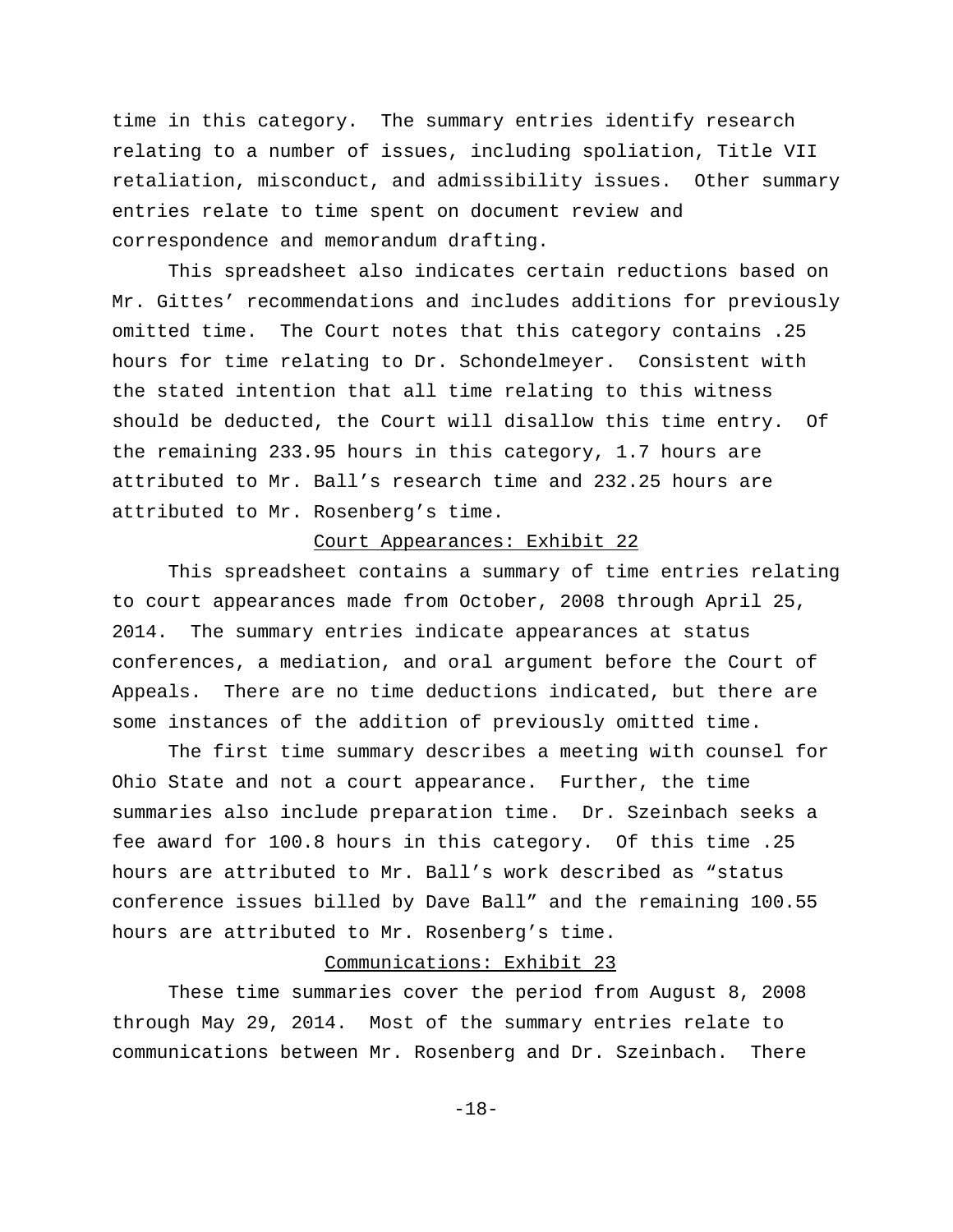time in this category. The summary entries identify research relating to a number of issues, including spoliation, Title VII retaliation, misconduct, and admissibility issues. Other summary entries relate to time spent on document review and correspondence and memorandum drafting.

This spreadsheet also indicates certain reductions based on Mr. Gittes' recommendations and includes additions for previously omitted time. The Court notes that this category contains .25 hours for time relating to Dr. Schondelmeyer. Consistent with the stated intention that all time relating to this witness should be deducted, the Court will disallow this time entry. Of the remaining 233.95 hours in this category, 1.7 hours are attributed to Mr. Ball's research time and 232.25 hours are attributed to Mr. Rosenberg's time.

## Court Appearances: Exhibit 22

This spreadsheet contains a summary of time entries relating to court appearances made from October, 2008 through April 25, 2014. The summary entries indicate appearances at status conferences, a mediation, and oral argument before the Court of Appeals. There are no time deductions indicated, but there are some instances of the addition of previously omitted time.

The first time summary describes a meeting with counsel for Ohio State and not a court appearance. Further, the time summaries also include preparation time. Dr. Szeinbach seeks a fee award for 100.8 hours in this category. Of this time .25 hours are attributed to Mr. Ball's work described as "status conference issues billed by Dave Ball" and the remaining 100.55 hours are attributed to Mr. Rosenberg's time.

# Communications: Exhibit 23

These time summaries cover the period from August 8, 2008 through May 29, 2014. Most of the summary entries relate to communications between Mr. Rosenberg and Dr. Szeinbach. There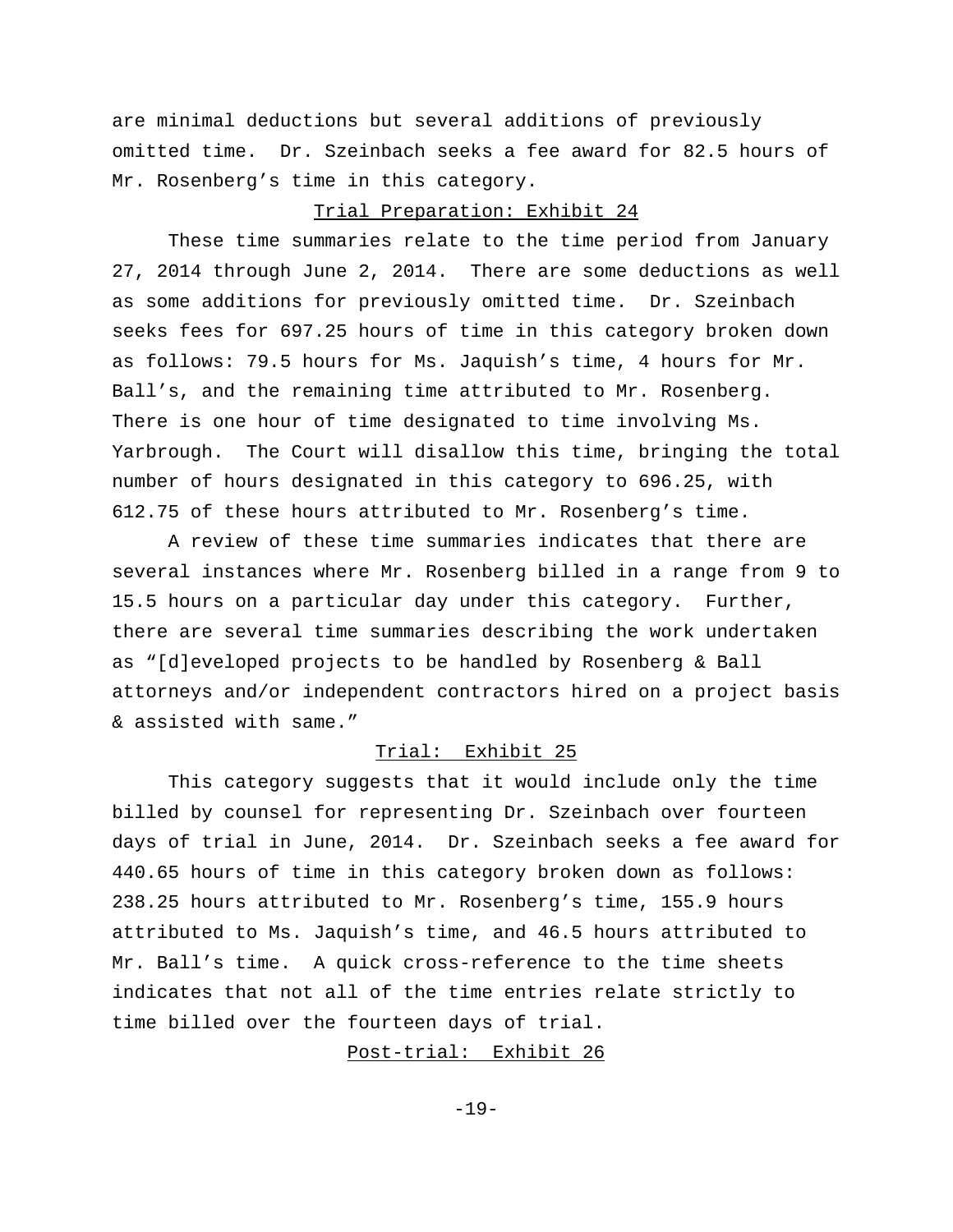are minimal deductions but several additions of previously omitted time. Dr. Szeinbach seeks a fee award for 82.5 hours of Mr. Rosenberg's time in this category.

## Trial Preparation: Exhibit 24

These time summaries relate to the time period from January 27, 2014 through June 2, 2014. There are some deductions as well as some additions for previously omitted time. Dr. Szeinbach seeks fees for 697.25 hours of time in this category broken down as follows: 79.5 hours for Ms. Jaquish's time, 4 hours for Mr. Ball's, and the remaining time attributed to Mr. Rosenberg. There is one hour of time designated to time involving Ms. Yarbrough. The Court will disallow this time, bringing the total number of hours designated in this category to 696.25, with 612.75 of these hours attributed to Mr. Rosenberg's time.

A review of these time summaries indicates that there are several instances where Mr. Rosenberg billed in a range from 9 to 15.5 hours on a particular day under this category. Further, there are several time summaries describing the work undertaken as "[d]eveloped projects to be handled by Rosenberg & Ball attorneys and/or independent contractors hired on a project basis & assisted with same."

# Trial: Exhibit 25

This category suggests that it would include only the time billed by counsel for representing Dr. Szeinbach over fourteen days of trial in June, 2014. Dr. Szeinbach seeks a fee award for 440.65 hours of time in this category broken down as follows: 238.25 hours attributed to Mr. Rosenberg's time, 155.9 hours attributed to Ms. Jaquish's time, and 46.5 hours attributed to Mr. Ball's time. A quick cross-reference to the time sheets indicates that not all of the time entries relate strictly to time billed over the fourteen days of trial.

Post-trial: Exhibit 26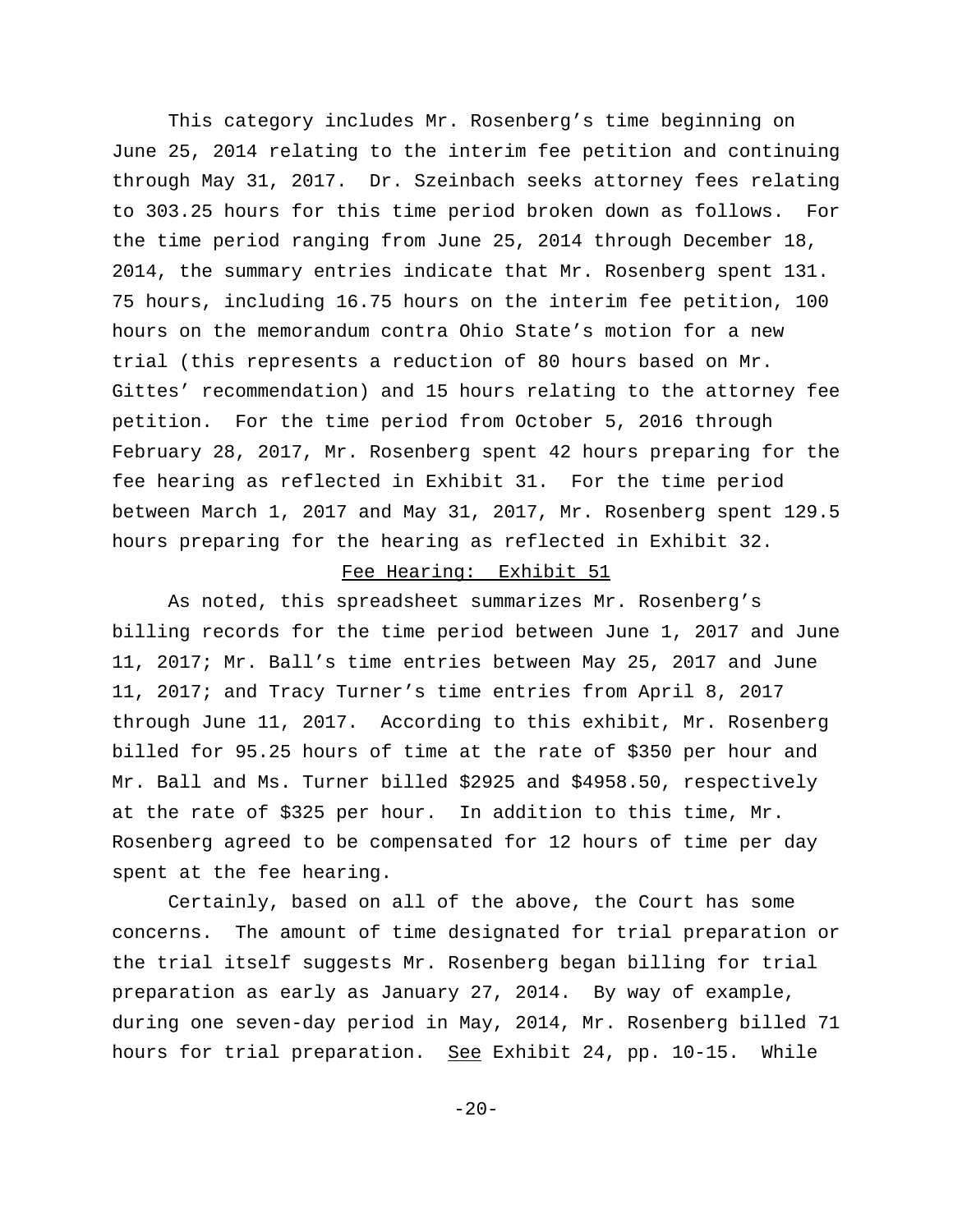This category includes Mr. Rosenberg's time beginning on June 25, 2014 relating to the interim fee petition and continuing through May 31, 2017. Dr. Szeinbach seeks attorney fees relating to 303.25 hours for this time period broken down as follows. For the time period ranging from June 25, 2014 through December 18, 2014, the summary entries indicate that Mr. Rosenberg spent 131. 75 hours, including 16.75 hours on the interim fee petition, 100 hours on the memorandum contra Ohio State's motion for a new trial (this represents a reduction of 80 hours based on Mr. Gittes' recommendation) and 15 hours relating to the attorney fee petition. For the time period from October 5, 2016 through February 28, 2017, Mr. Rosenberg spent 42 hours preparing for the fee hearing as reflected in Exhibit 31. For the time period between March 1, 2017 and May 31, 2017, Mr. Rosenberg spent 129.5 hours preparing for the hearing as reflected in Exhibit 32.

#### Fee Hearing: Exhibit 51

As noted, this spreadsheet summarizes Mr. Rosenberg's billing records for the time period between June 1, 2017 and June 11, 2017; Mr. Ball's time entries between May 25, 2017 and June 11, 2017; and Tracy Turner's time entries from April 8, 2017 through June 11, 2017. According to this exhibit, Mr. Rosenberg billed for 95.25 hours of time at the rate of \$350 per hour and Mr. Ball and Ms. Turner billed \$2925 and \$4958.50, respectively at the rate of \$325 per hour. In addition to this time, Mr. Rosenberg agreed to be compensated for 12 hours of time per day spent at the fee hearing.

Certainly, based on all of the above, the Court has some concerns. The amount of time designated for trial preparation or the trial itself suggests Mr. Rosenberg began billing for trial preparation as early as January 27, 2014. By way of example, during one seven-day period in May, 2014, Mr. Rosenberg billed 71 hours for trial preparation. See Exhibit 24, pp. 10-15. While

 $-20-$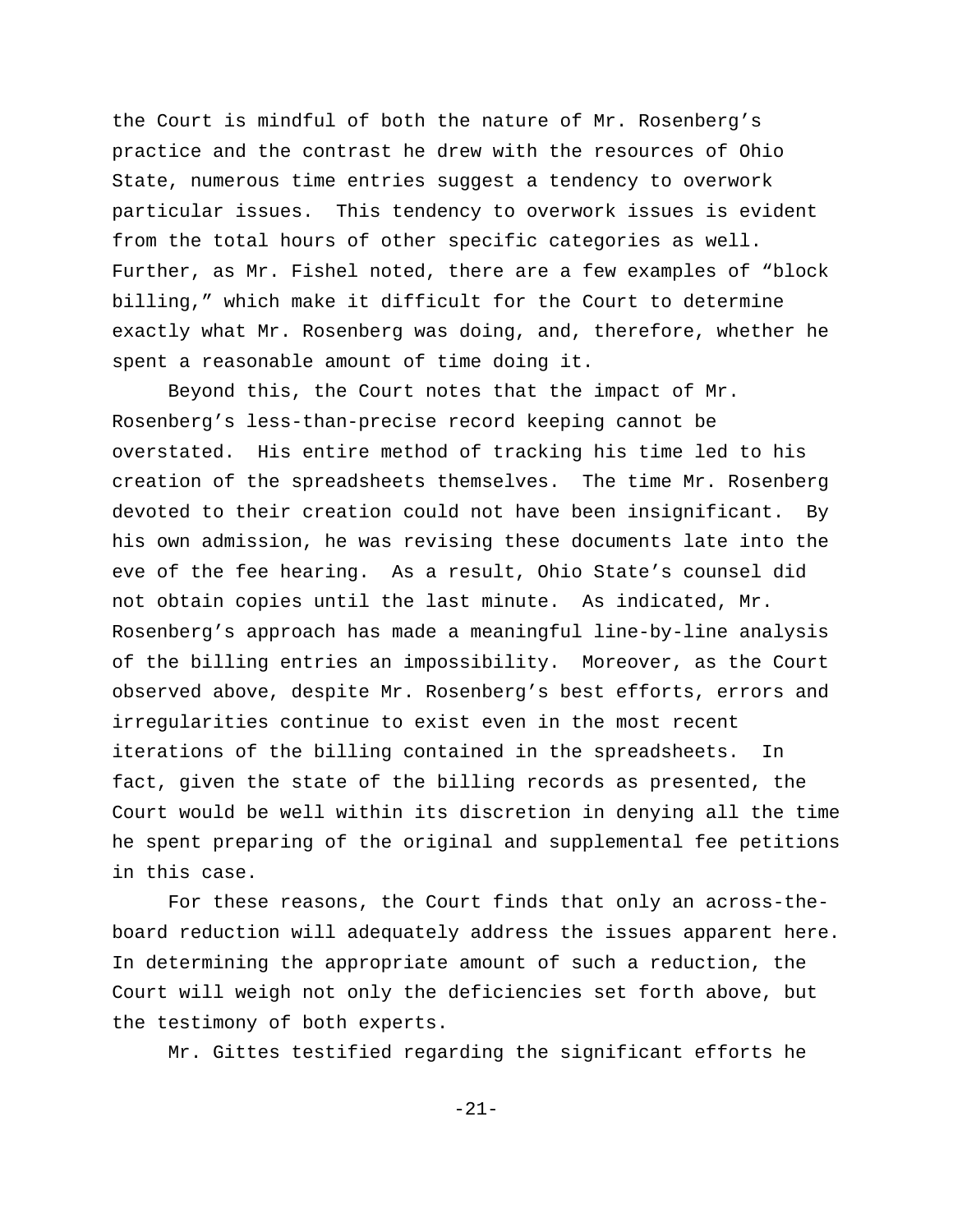the Court is mindful of both the nature of Mr. Rosenberg's practice and the contrast he drew with the resources of Ohio State, numerous time entries suggest a tendency to overwork particular issues. This tendency to overwork issues is evident from the total hours of other specific categories as well. Further, as Mr. Fishel noted, there are a few examples of "block billing," which make it difficult for the Court to determine exactly what Mr. Rosenberg was doing, and, therefore, whether he spent a reasonable amount of time doing it.

Beyond this, the Court notes that the impact of Mr. Rosenberg's less-than-precise record keeping cannot be overstated. His entire method of tracking his time led to his creation of the spreadsheets themselves. The time Mr. Rosenberg devoted to their creation could not have been insignificant. By his own admission, he was revising these documents late into the eve of the fee hearing. As a result, Ohio State's counsel did not obtain copies until the last minute. As indicated, Mr. Rosenberg's approach has made a meaningful line-by-line analysis of the billing entries an impossibility. Moreover, as the Court observed above, despite Mr. Rosenberg's best efforts, errors and irregularities continue to exist even in the most recent iterations of the billing contained in the spreadsheets. In fact, given the state of the billing records as presented, the Court would be well within its discretion in denying all the time he spent preparing of the original and supplemental fee petitions in this case.

For these reasons, the Court finds that only an across-theboard reduction will adequately address the issues apparent here. In determining the appropriate amount of such a reduction, the Court will weigh not only the deficiencies set forth above, but the testimony of both experts.

Mr. Gittes testified regarding the significant efforts he

-21-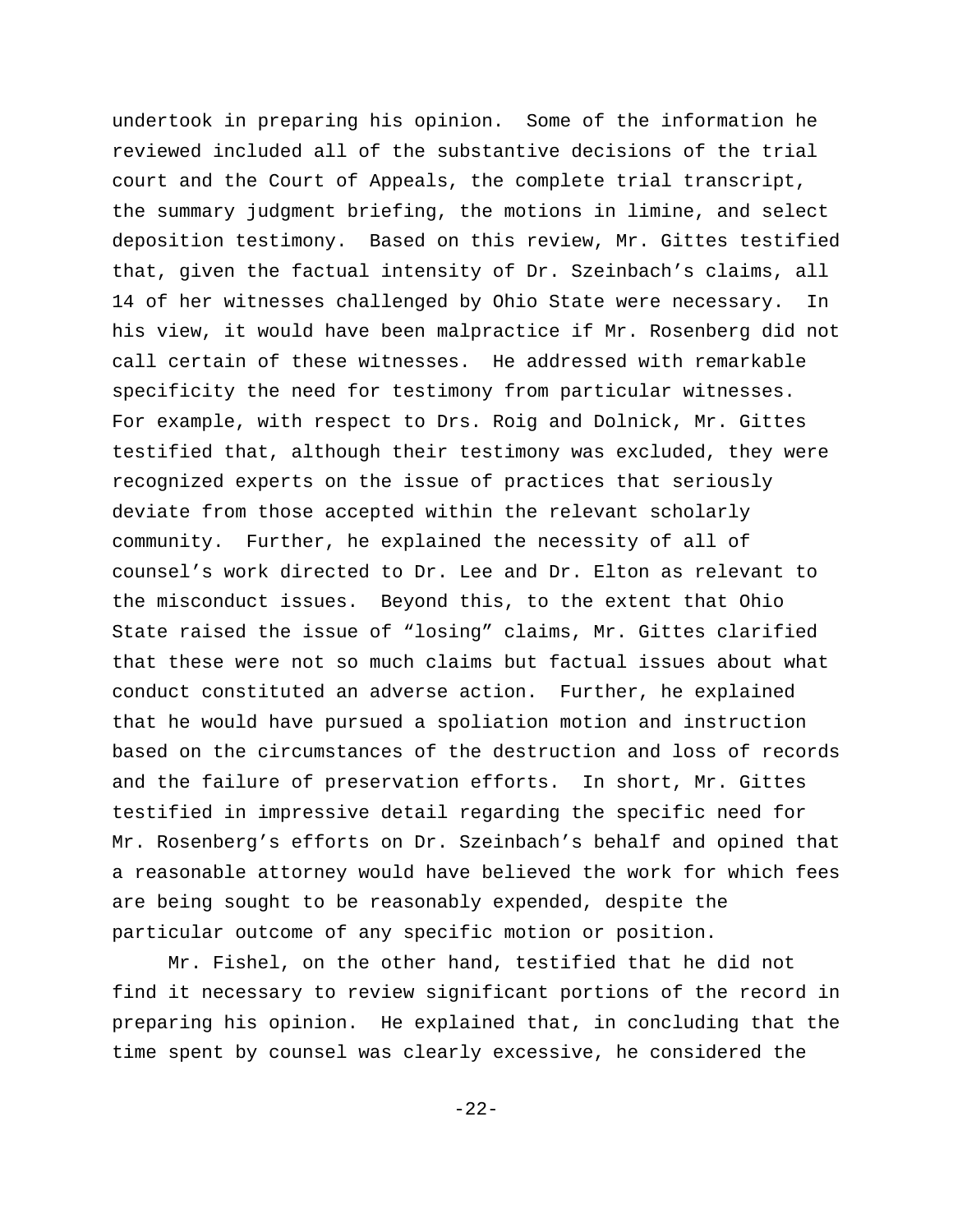undertook in preparing his opinion. Some of the information he reviewed included all of the substantive decisions of the trial court and the Court of Appeals, the complete trial transcript, the summary judgment briefing, the motions in limine, and select deposition testimony. Based on this review, Mr. Gittes testified that, given the factual intensity of Dr. Szeinbach's claims, all 14 of her witnesses challenged by Ohio State were necessary. In his view, it would have been malpractice if Mr. Rosenberg did not call certain of these witnesses. He addressed with remarkable specificity the need for testimony from particular witnesses. For example, with respect to Drs. Roig and Dolnick, Mr. Gittes testified that, although their testimony was excluded, they were recognized experts on the issue of practices that seriously deviate from those accepted within the relevant scholarly community. Further, he explained the necessity of all of counsel's work directed to Dr. Lee and Dr. Elton as relevant to the misconduct issues. Beyond this, to the extent that Ohio State raised the issue of "losing" claims, Mr. Gittes clarified that these were not so much claims but factual issues about what conduct constituted an adverse action. Further, he explained that he would have pursued a spoliation motion and instruction based on the circumstances of the destruction and loss of records and the failure of preservation efforts. In short, Mr. Gittes testified in impressive detail regarding the specific need for Mr. Rosenberg's efforts on Dr. Szeinbach's behalf and opined that a reasonable attorney would have believed the work for which fees are being sought to be reasonably expended, despite the particular outcome of any specific motion or position.

Mr. Fishel, on the other hand, testified that he did not find it necessary to review significant portions of the record in preparing his opinion. He explained that, in concluding that the time spent by counsel was clearly excessive, he considered the

-22-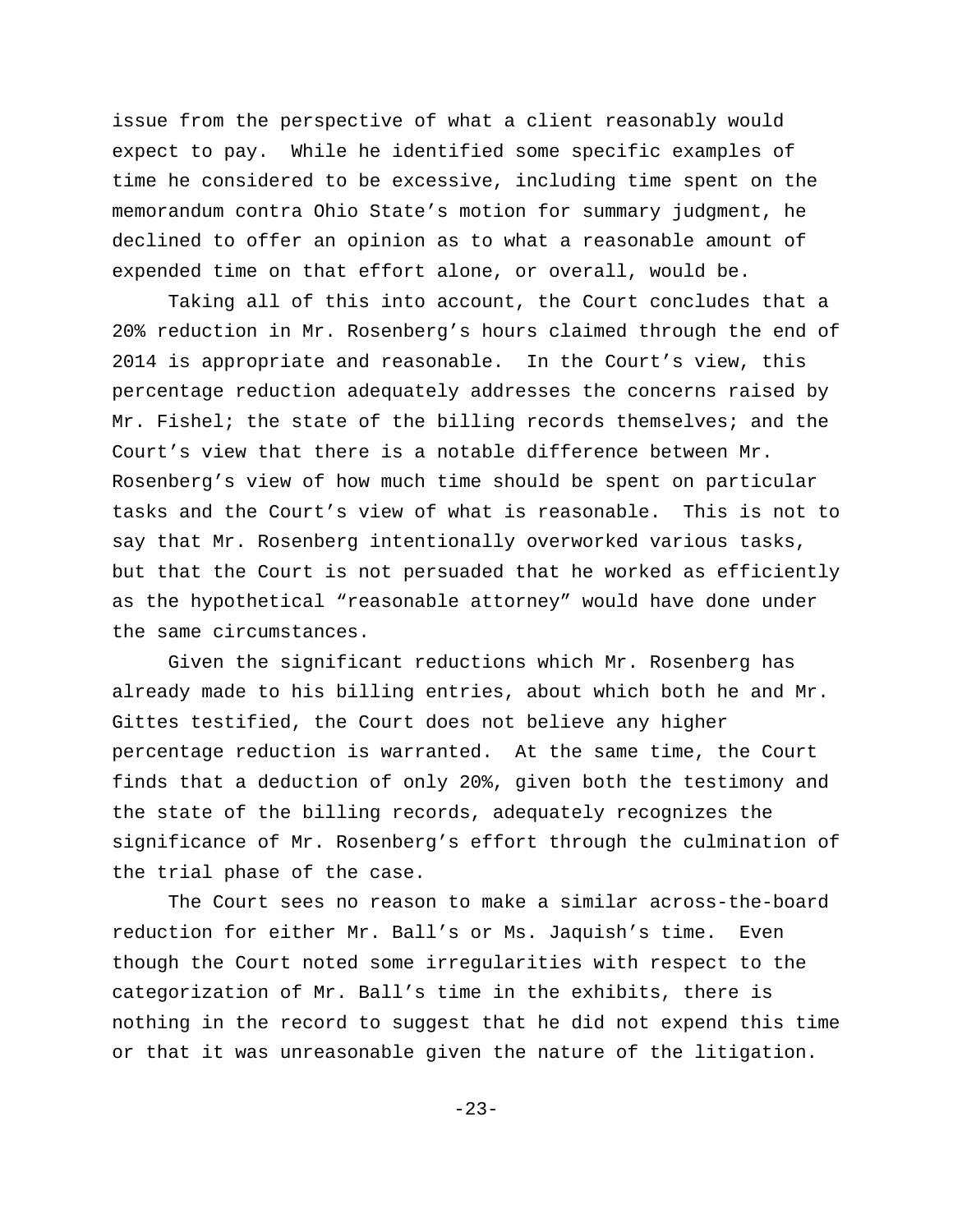issue from the perspective of what a client reasonably would expect to pay. While he identified some specific examples of time he considered to be excessive, including time spent on the memorandum contra Ohio State's motion for summary judgment, he declined to offer an opinion as to what a reasonable amount of expended time on that effort alone, or overall, would be.

Taking all of this into account, the Court concludes that a 20% reduction in Mr. Rosenberg's hours claimed through the end of 2014 is appropriate and reasonable. In the Court's view, this percentage reduction adequately addresses the concerns raised by Mr. Fishel; the state of the billing records themselves; and the Court's view that there is a notable difference between Mr. Rosenberg's view of how much time should be spent on particular tasks and the Court's view of what is reasonable. This is not to say that Mr. Rosenberg intentionally overworked various tasks, but that the Court is not persuaded that he worked as efficiently as the hypothetical "reasonable attorney" would have done under the same circumstances.

Given the significant reductions which Mr. Rosenberg has already made to his billing entries, about which both he and Mr. Gittes testified, the Court does not believe any higher percentage reduction is warranted. At the same time, the Court finds that a deduction of only 20%, given both the testimony and the state of the billing records, adequately recognizes the significance of Mr. Rosenberg's effort through the culmination of the trial phase of the case.

The Court sees no reason to make a similar across-the-board reduction for either Mr. Ball's or Ms. Jaquish's time. Even though the Court noted some irregularities with respect to the categorization of Mr. Ball's time in the exhibits, there is nothing in the record to suggest that he did not expend this time or that it was unreasonable given the nature of the litigation.

-23-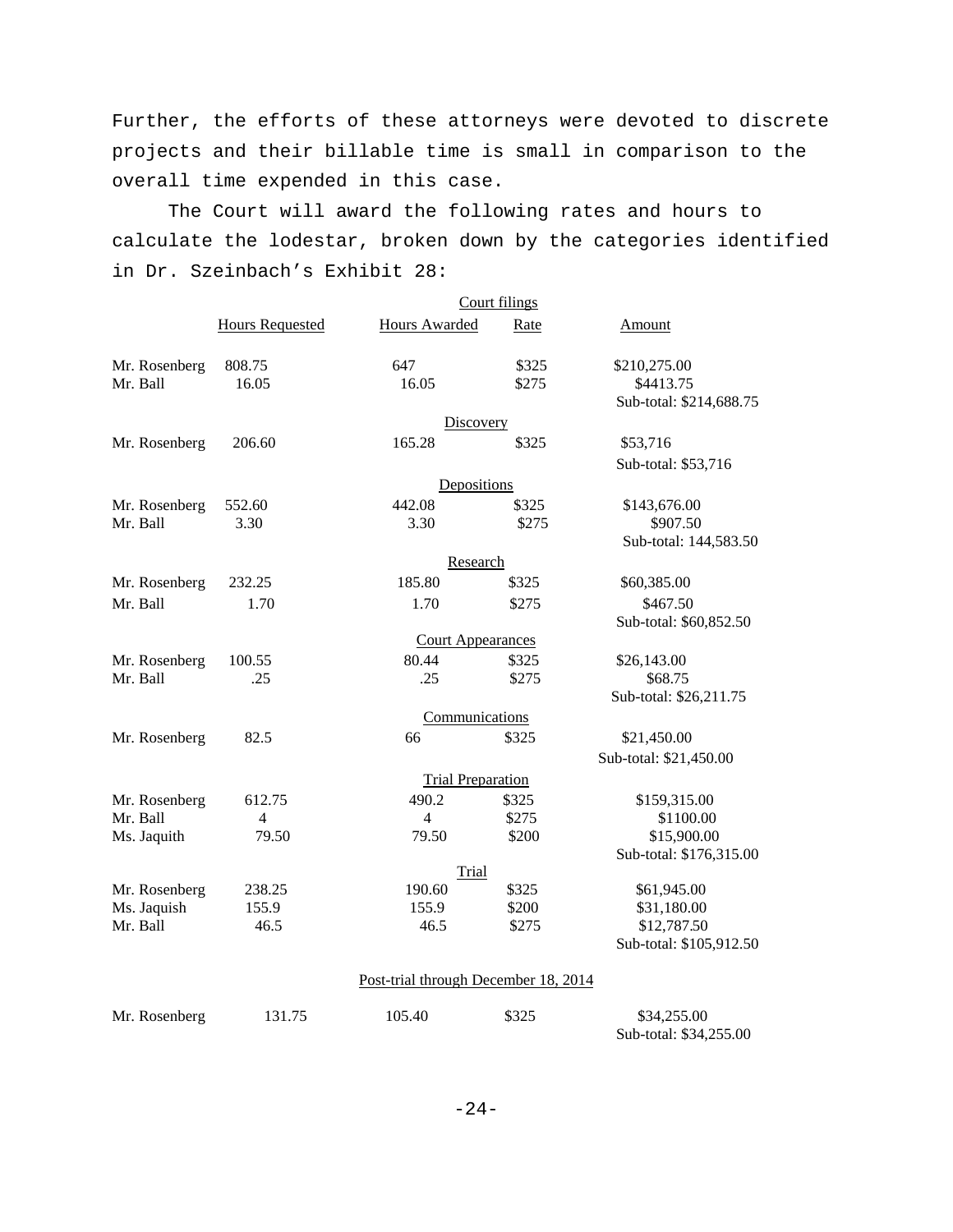Further, the efforts of these attorneys were devoted to discrete projects and their billable time is small in comparison to the overall time expended in this case.

The Court will award the following rates and hours to calculate the lodestar, broken down by the categories identified in Dr. Szeinbach's Exhibit 28:

|                              |                        |                                      | Court filings |                            |
|------------------------------|------------------------|--------------------------------------|---------------|----------------------------|
|                              | <b>Hours Requested</b> | Hours Awarded                        | Rate          | Amount                     |
| Mr. Rosenberg                | 808.75                 | 647                                  | \$325         | \$210,275.00               |
| Mr. Ball                     | 16.05                  | 16.05                                | \$275         | \$4413.75                  |
|                              |                        |                                      |               | Sub-total: \$214,688.75    |
|                              |                        | Discovery                            |               |                            |
| Mr. Rosenberg                | 206.60                 | 165.28                               | \$325         | \$53,716                   |
|                              |                        |                                      |               | Sub-total: \$53,716        |
|                              |                        | Depositions                          |               |                            |
| Mr. Rosenberg                | 552.60                 | 442.08                               | \$325         | \$143,676.00               |
| Mr. Ball                     | 3.30                   | 3.30                                 | \$275         | \$907.50                   |
|                              |                        |                                      |               | Sub-total: 144,583.50      |
|                              |                        | Research                             |               |                            |
| Mr. Rosenberg                | 232.25                 | 185.80                               | \$325         | \$60,385.00                |
| Mr. Ball                     | 1.70                   | 1.70                                 | \$275         | \$467.50                   |
|                              |                        |                                      |               | Sub-total: \$60,852.50     |
|                              |                        | <b>Court Appearances</b>             |               |                            |
| Mr. Rosenberg                | 100.55                 | 80.44                                | \$325         | \$26,143.00                |
| Mr. Ball                     | .25                    | .25                                  | \$275         | \$68.75                    |
|                              |                        |                                      |               | Sub-total: \$26,211.75     |
|                              |                        | Communications                       |               |                            |
| Mr. Rosenberg                | 82.5                   | 66                                   | \$325         | \$21,450.00                |
|                              |                        |                                      |               | Sub-total: \$21,450.00     |
|                              |                        | <b>Trial Preparation</b>             |               |                            |
| Mr. Rosenberg                | 612.75                 | 490.2                                | \$325         | \$159,315.00               |
| Mr. Ball                     | 4                      | $\overline{4}$                       | \$275         | \$1100.00                  |
| Ms. Jaquith                  | 79.50                  | 79.50                                | \$200         | \$15,900.00                |
|                              |                        |                                      |               | Sub-total: \$176,315.00    |
|                              | 238.25                 | Trial<br>190.60                      | \$325         |                            |
| Mr. Rosenberg<br>Ms. Jaquish | 155.9                  | 155.9                                | \$200         | \$61,945.00<br>\$31,180.00 |
| Mr. Ball                     | 46.5                   | 46.5                                 | \$275         | \$12,787.50                |
|                              |                        |                                      |               | Sub-total: \$105,912.50    |
|                              |                        |                                      |               |                            |
|                              |                        | Post-trial through December 18, 2014 |               |                            |
| Mr. Rosenberg                | 131.75                 | 105.40                               | \$325         | \$34,255.00                |

Sub-total: \$34,255.00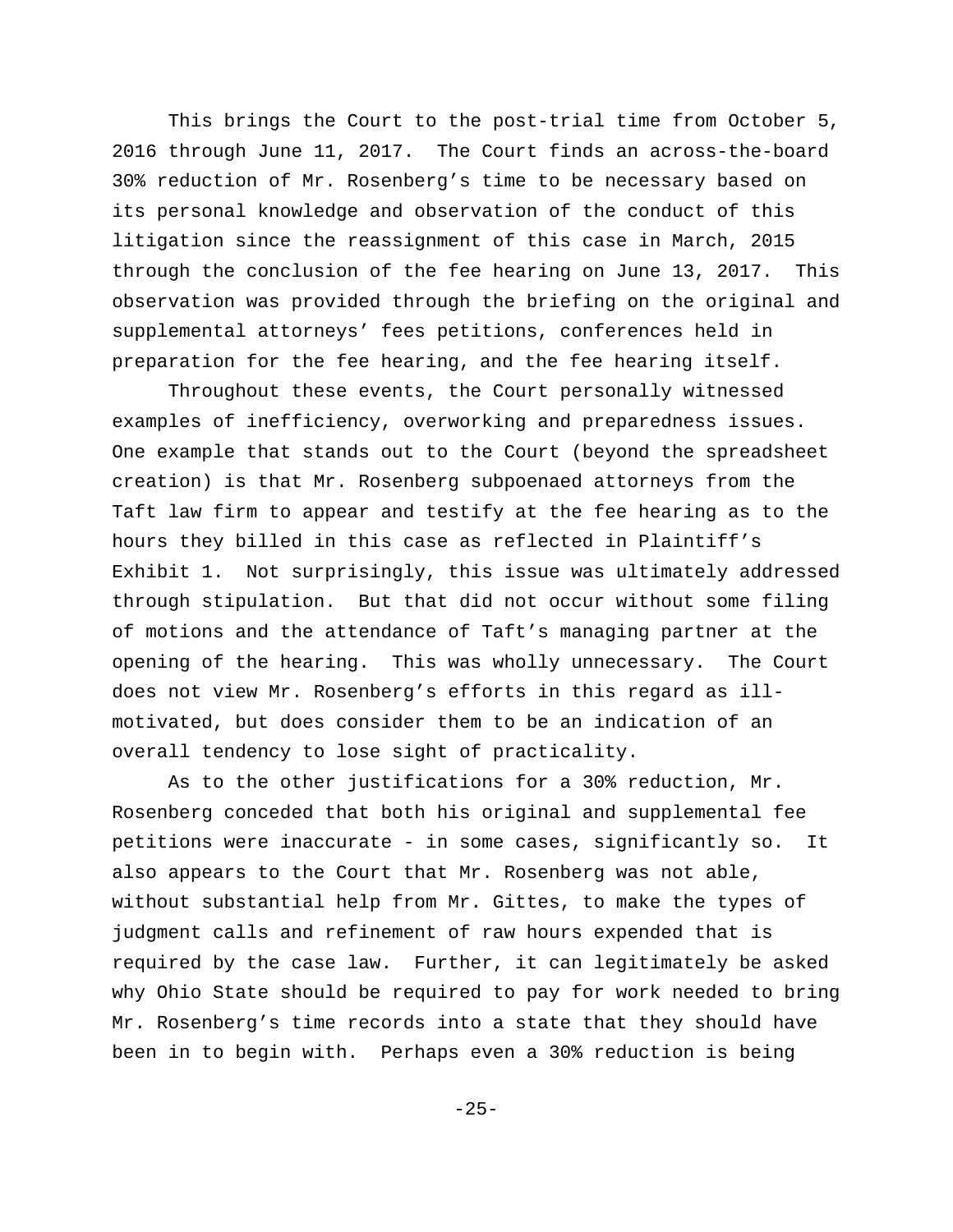This brings the Court to the post-trial time from October 5, 2016 through June 11, 2017. The Court finds an across-the-board 30% reduction of Mr. Rosenberg's time to be necessary based on its personal knowledge and observation of the conduct of this litigation since the reassignment of this case in March, 2015 through the conclusion of the fee hearing on June 13, 2017. This observation was provided through the briefing on the original and supplemental attorneys' fees petitions, conferences held in preparation for the fee hearing, and the fee hearing itself.

Throughout these events, the Court personally witnessed examples of inefficiency, overworking and preparedness issues. One example that stands out to the Court (beyond the spreadsheet creation) is that Mr. Rosenberg subpoenaed attorneys from the Taft law firm to appear and testify at the fee hearing as to the hours they billed in this case as reflected in Plaintiff's Exhibit 1. Not surprisingly, this issue was ultimately addressed through stipulation. But that did not occur without some filing of motions and the attendance of Taft's managing partner at the opening of the hearing. This was wholly unnecessary. The Court does not view Mr. Rosenberg's efforts in this regard as illmotivated, but does consider them to be an indication of an overall tendency to lose sight of practicality.

As to the other justifications for a 30% reduction, Mr. Rosenberg conceded that both his original and supplemental fee petitions were inaccurate - in some cases, significantly so. It also appears to the Court that Mr. Rosenberg was not able, without substantial help from Mr. Gittes, to make the types of judgment calls and refinement of raw hours expended that is required by the case law. Further, it can legitimately be asked why Ohio State should be required to pay for work needed to bring Mr. Rosenberg's time records into a state that they should have been in to begin with. Perhaps even a 30% reduction is being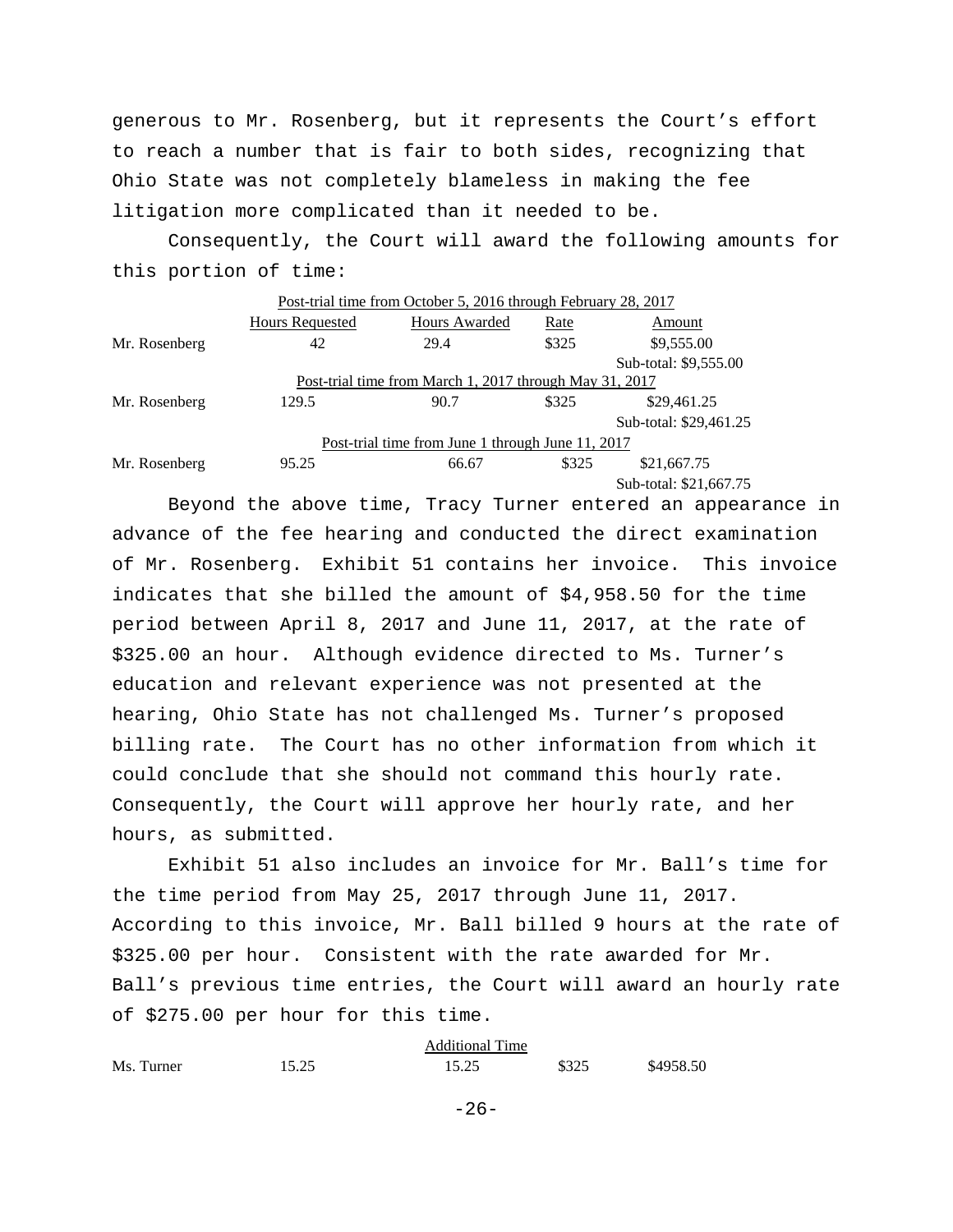generous to Mr. Rosenberg, but it represents the Court's effort to reach a number that is fair to both sides, recognizing that Ohio State was not completely blameless in making the fee litigation more complicated than it needed to be.

Consequently, the Court will award the following amounts for this portion of time:

|                                                         |                        | Post-trial time from October 5, 2016 through February 28, 2017 |       |                        |  |
|---------------------------------------------------------|------------------------|----------------------------------------------------------------|-------|------------------------|--|
|                                                         | <b>Hours Requested</b> | Hours Awarded                                                  | Rate  | Amount                 |  |
| Mr. Rosenberg                                           | 42                     | 29.4                                                           | \$325 | \$9,555.00             |  |
|                                                         |                        |                                                                |       | Sub-total: \$9,555.00  |  |
| Post-trial time from March 1, 2017 through May 31, 2017 |                        |                                                                |       |                        |  |
| Mr. Rosenberg                                           | 129.5                  | 90.7                                                           | \$325 | \$29,461.25            |  |
|                                                         |                        |                                                                |       | Sub-total: \$29,461.25 |  |
| Post-trial time from June 1 through June 11, 2017       |                        |                                                                |       |                        |  |
| Mr. Rosenberg                                           | 95.25                  | 66.67                                                          | \$325 | \$21,667.75            |  |
|                                                         |                        |                                                                |       | Sub-total: \$21,667.75 |  |

Beyond the above time, Tracy Turner entered an appearance in advance of the fee hearing and conducted the direct examination of Mr. Rosenberg. Exhibit 51 contains her invoice. This invoice indicates that she billed the amount of \$4,958.50 for the time period between April 8, 2017 and June 11, 2017, at the rate of \$325.00 an hour. Although evidence directed to Ms. Turner's education and relevant experience was not presented at the hearing, Ohio State has not challenged Ms. Turner's proposed billing rate. The Court has no other information from which it could conclude that she should not command this hourly rate. Consequently, the Court will approve her hourly rate, and her hours, as submitted.

Exhibit 51 also includes an invoice for Mr. Ball's time for the time period from May 25, 2017 through June 11, 2017. According to this invoice, Mr. Ball billed 9 hours at the rate of \$325.00 per hour. Consistent with the rate awarded for Mr. Ball's previous time entries, the Court will award an hourly rate of \$275.00 per hour for this time.

Additional Time Ms. Turner 15.25 15.25 \$325 \$4958.50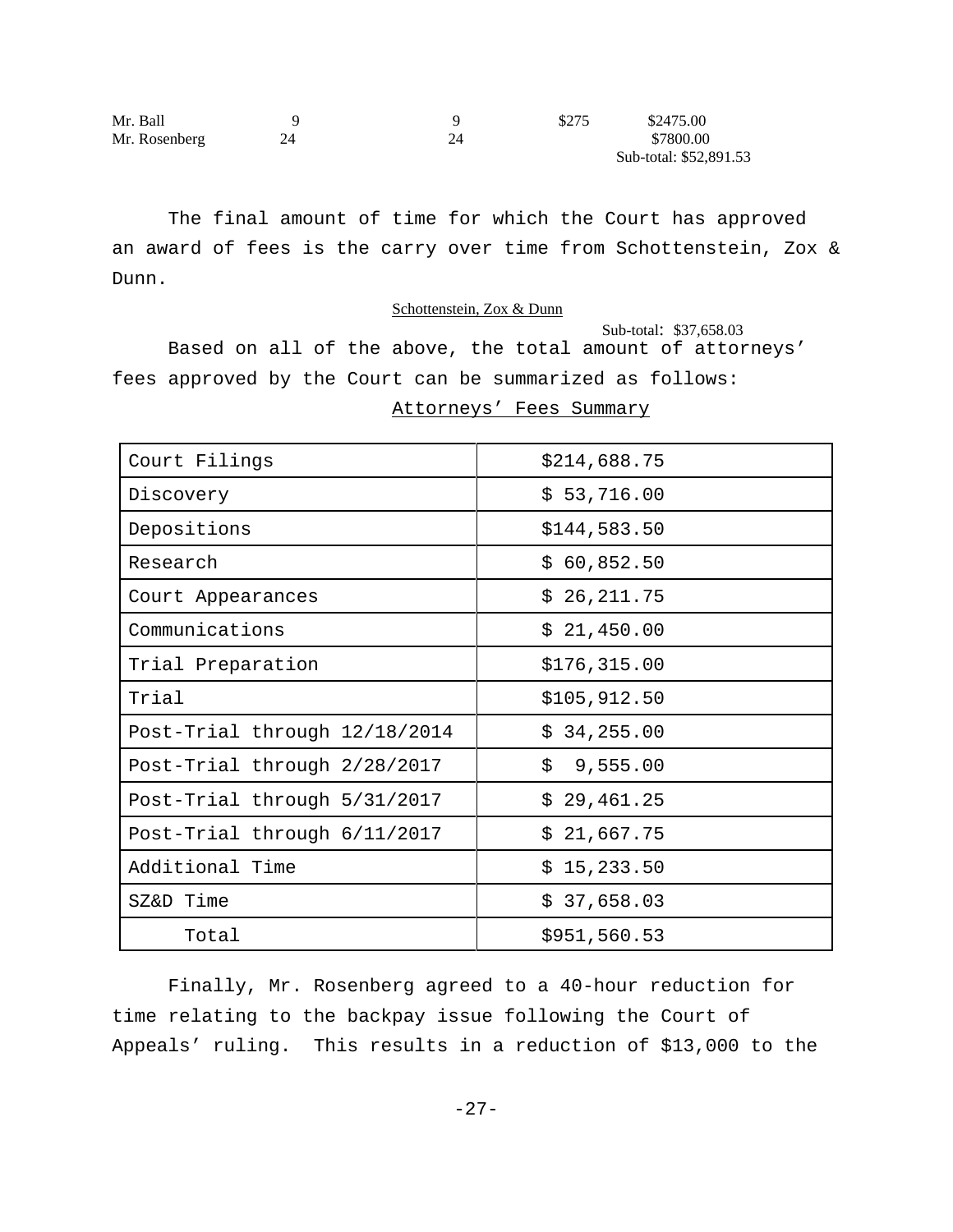| Mr. Ball      |  | \$275 | \$2475.00              |
|---------------|--|-------|------------------------|
| Mr. Rosenberg |  |       | \$7800.00              |
|               |  |       | Sub-total: \$52,891.53 |

The final amount of time for which the Court has approved an award of fees is the carry over time from Schottenstein, Zox & Dunn.

#### Schottenstein, Zox & Dunn

 Sub-total: \$37,658.03 Based on all of the above, the total amount of attorneys' fees approved by the Court can be summarized as follows:

Attorneys' Fees Summary

| Court Filings                 | \$214,688.75  |
|-------------------------------|---------------|
| Discovery                     | \$53,716.00   |
| Depositions                   | \$144,583.50  |
| Research                      | \$60,852.50   |
| Court Appearances             | \$26,211.75   |
| Communications                | \$21,450.00   |
| Trial Preparation             | \$176, 315.00 |
| Trial                         | \$105, 912.50 |
| Post-Trial through 12/18/2014 | \$34,255.00   |
| Post-Trial through 2/28/2017  | \$9,555.00    |
| Post-Trial through 5/31/2017  | \$29,461.25   |
| Post-Trial through 6/11/2017  | \$21,667.75   |
| Additional Time               | \$15,233.50   |
| SZ&D Time                     | \$37,658.03   |
| Total                         | \$951,560.53  |

Finally, Mr. Rosenberg agreed to a 40-hour reduction for time relating to the backpay issue following the Court of Appeals' ruling. This results in a reduction of \$13,000 to the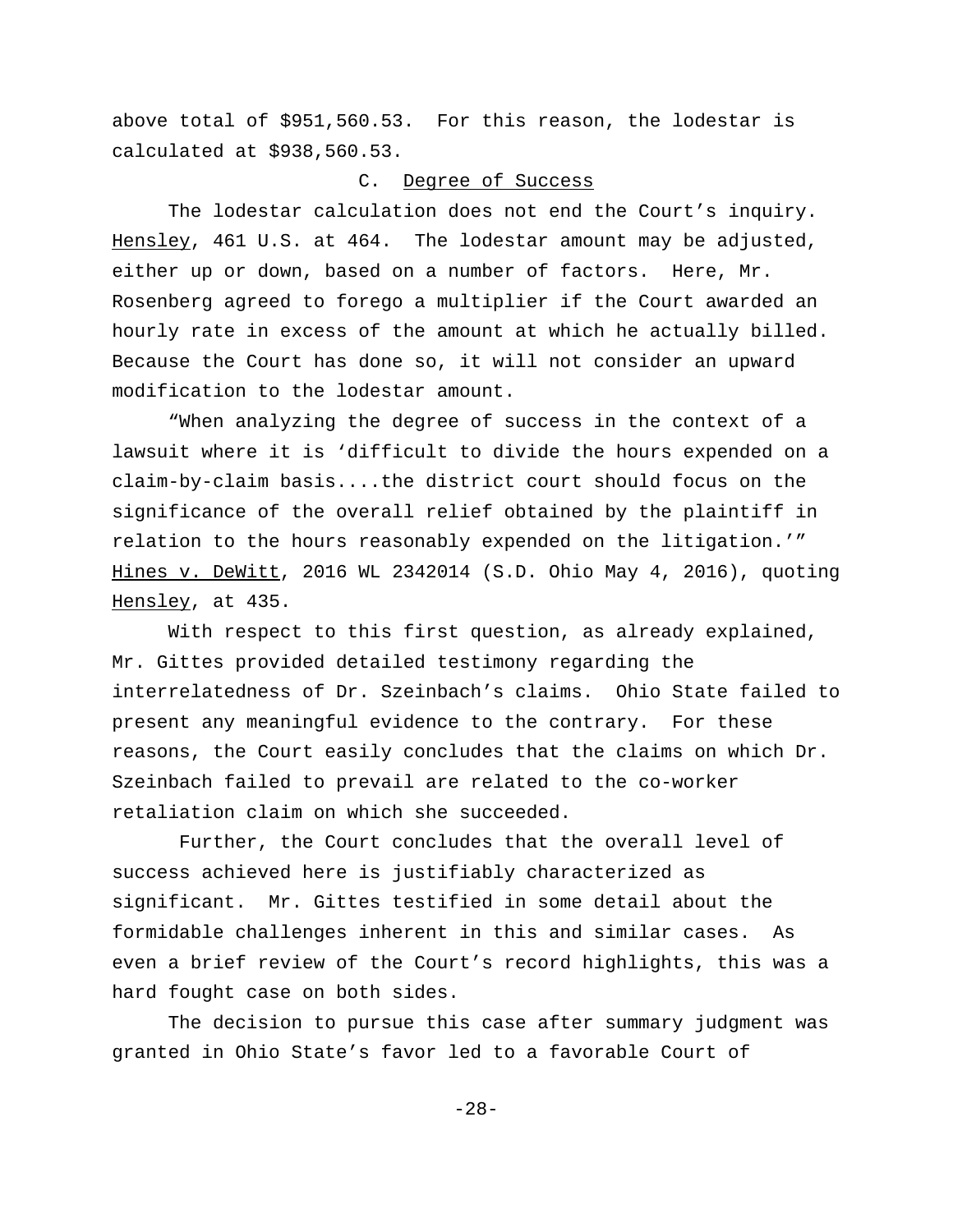above total of \$951,560.53. For this reason, the lodestar is calculated at \$938,560.53.

## C. Degree of Success

The lodestar calculation does not end the Court's inquiry. Hensley, 461 U.S. at 464. The lodestar amount may be adjusted, either up or down, based on a number of factors. Here, Mr. Rosenberg agreed to forego a multiplier if the Court awarded an hourly rate in excess of the amount at which he actually billed. Because the Court has done so, it will not consider an upward modification to the lodestar amount.

"When analyzing the degree of success in the context of a lawsuit where it is 'difficult to divide the hours expended on a claim-by-claim basis....the district court should focus on the significance of the overall relief obtained by the plaintiff in relation to the hours reasonably expended on the litigation.'" Hines v. DeWitt, 2016 WL 2342014 (S.D. Ohio May 4, 2016), quoting Hensley, at 435.

With respect to this first question, as already explained, Mr. Gittes provided detailed testimony regarding the interrelatedness of Dr. Szeinbach's claims. Ohio State failed to present any meaningful evidence to the contrary. For these reasons, the Court easily concludes that the claims on which Dr. Szeinbach failed to prevail are related to the co-worker retaliation claim on which she succeeded.

 Further, the Court concludes that the overall level of success achieved here is justifiably characterized as significant. Mr. Gittes testified in some detail about the formidable challenges inherent in this and similar cases. As even a brief review of the Court's record highlights, this was a hard fought case on both sides.

The decision to pursue this case after summary judgment was granted in Ohio State's favor led to a favorable Court of

-28-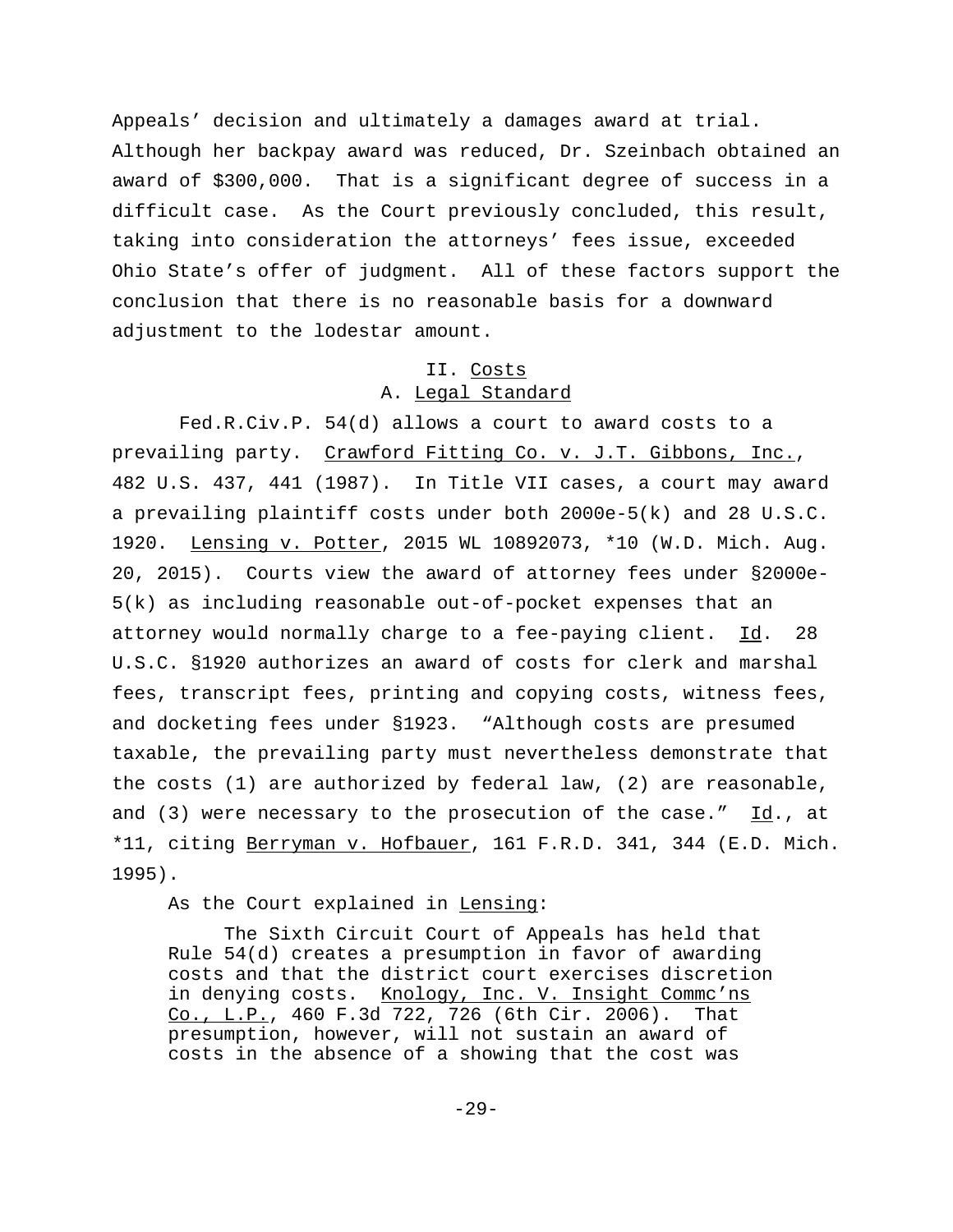Appeals' decision and ultimately a damages award at trial. Although her backpay award was reduced, Dr. Szeinbach obtained an award of \$300,000. That is a significant degree of success in a difficult case. As the Court previously concluded, this result, taking into consideration the attorneys' fees issue, exceeded Ohio State's offer of judgment. All of these factors support the conclusion that there is no reasonable basis for a downward adjustment to the lodestar amount.

# II. Costs A. Legal Standard

 Fed.R.Civ.P. 54(d) allows a court to award costs to a prevailing party. Crawford Fitting Co. v. J.T. Gibbons, Inc., 482 U.S. 437, 441 (1987). In Title VII cases, a court may award a prevailing plaintiff costs under both 2000e-5(k) and 28 U.S.C. 1920. Lensing v. Potter, 2015 WL 10892073, \*10 (W.D. Mich. Aug. 20, 2015). Courts view the award of attorney fees under §2000e-5(k) as including reasonable out-of-pocket expenses that an attorney would normally charge to a fee-paying client. Id. 28 U.S.C. §1920 authorizes an award of costs for clerk and marshal fees, transcript fees, printing and copying costs, witness fees, and docketing fees under §1923. "Although costs are presumed taxable, the prevailing party must nevertheless demonstrate that the costs (1) are authorized by federal law, (2) are reasonable, and (3) were necessary to the prosecution of the case."  $Id.$ , at \*11, citing Berryman v. Hofbauer, 161 F.R.D. 341, 344 (E.D. Mich. 1995).

As the Court explained in Lensing:

The Sixth Circuit Court of Appeals has held that Rule 54(d) creates a presumption in favor of awarding costs and that the district court exercises discretion in denying costs. Knology, Inc. V. Insight Commc'ns Co., L.P., 460 F.3d 722, 726 (6th Cir. 2006). That presumption, however, will not sustain an award of costs in the absence of a showing that the cost was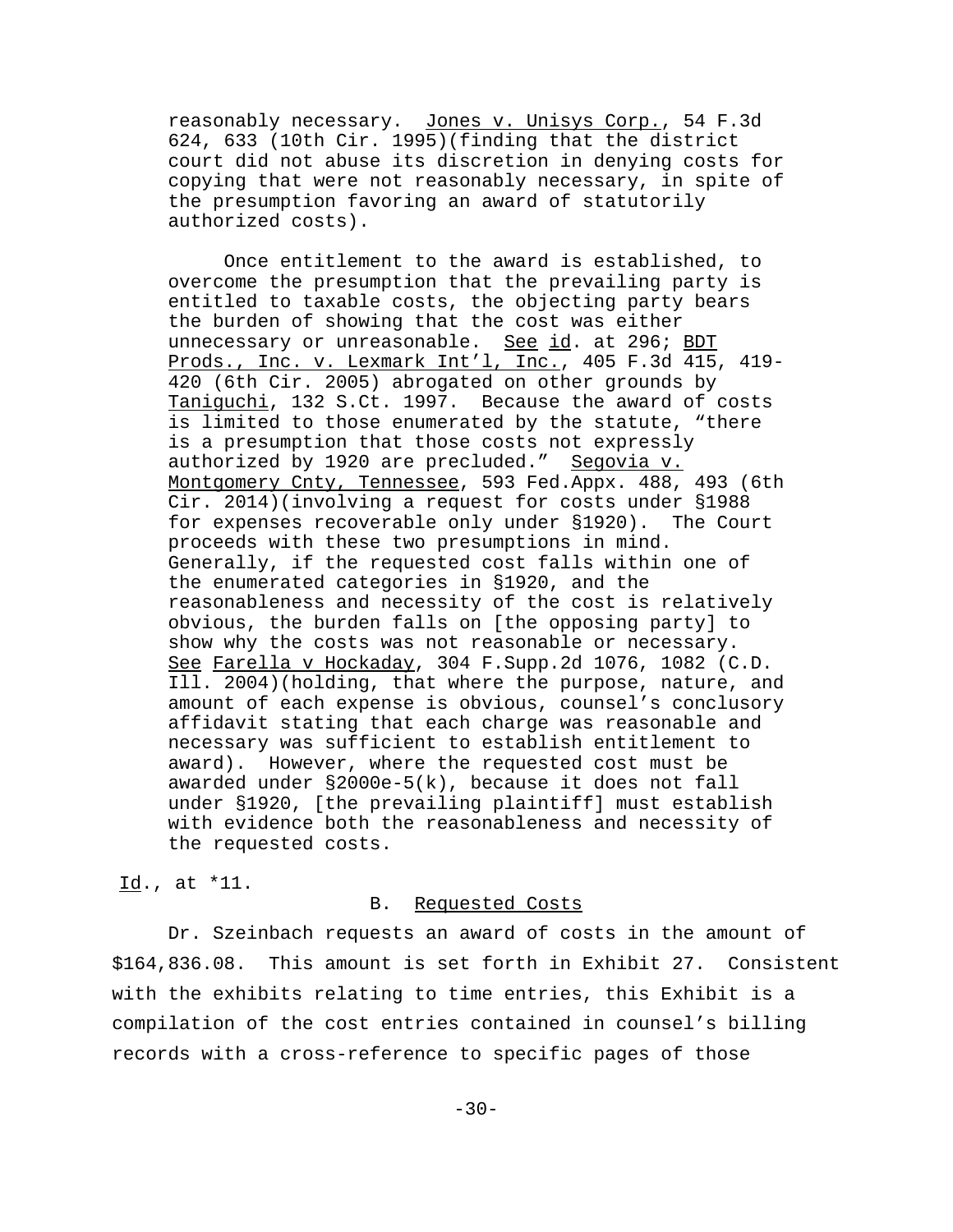reasonably necessary. Jones v. Unisys Corp., 54 F.3d 624, 633 (10th Cir. 1995)(finding that the district court did not abuse its discretion in denying costs for copying that were not reasonably necessary, in spite of the presumption favoring an award of statutorily authorized costs).

Once entitlement to the award is established, to overcome the presumption that the prevailing party is entitled to taxable costs, the objecting party bears the burden of showing that the cost was either unnecessary or unreasonable. See id. at 296; BDT Prods., Inc. v. Lexmark Int'l, Inc., 405 F.3d 415, 419- 420 (6th Cir. 2005) abrogated on other grounds by Taniguchi, 132 S.Ct. 1997. Because the award of costs is limited to those enumerated by the statute, "there is a presumption that those costs not expressly authorized by 1920 are precluded." Segovia v. Montgomery Cnty, Tennessee, 593 Fed.Appx. 488, 493 (6th Cir. 2014)(involving a request for costs under §1988 for expenses recoverable only under §1920). The Court proceeds with these two presumptions in mind. Generally, if the requested cost falls within one of the enumerated categories in §1920, and the reasonableness and necessity of the cost is relatively obvious, the burden falls on [the opposing party] to show why the costs was not reasonable or necessary. See Farella v Hockaday, 304 F.Supp.2d 1076, 1082 (C.D. Ill. 2004)(holding, that where the purpose, nature, and amount of each expense is obvious, counsel's conclusory affidavit stating that each charge was reasonable and necessary was sufficient to establish entitlement to award). However, where the requested cost must be awarded under §2000e-5(k), because it does not fall under §1920, [the prevailing plaintiff] must establish with evidence both the reasonableness and necessity of the requested costs.

## Id., at \*11.

#### B. Requested Costs

Dr. Szeinbach requests an award of costs in the amount of \$164,836.08. This amount is set forth in Exhibit 27. Consistent with the exhibits relating to time entries, this Exhibit is a compilation of the cost entries contained in counsel's billing records with a cross-reference to specific pages of those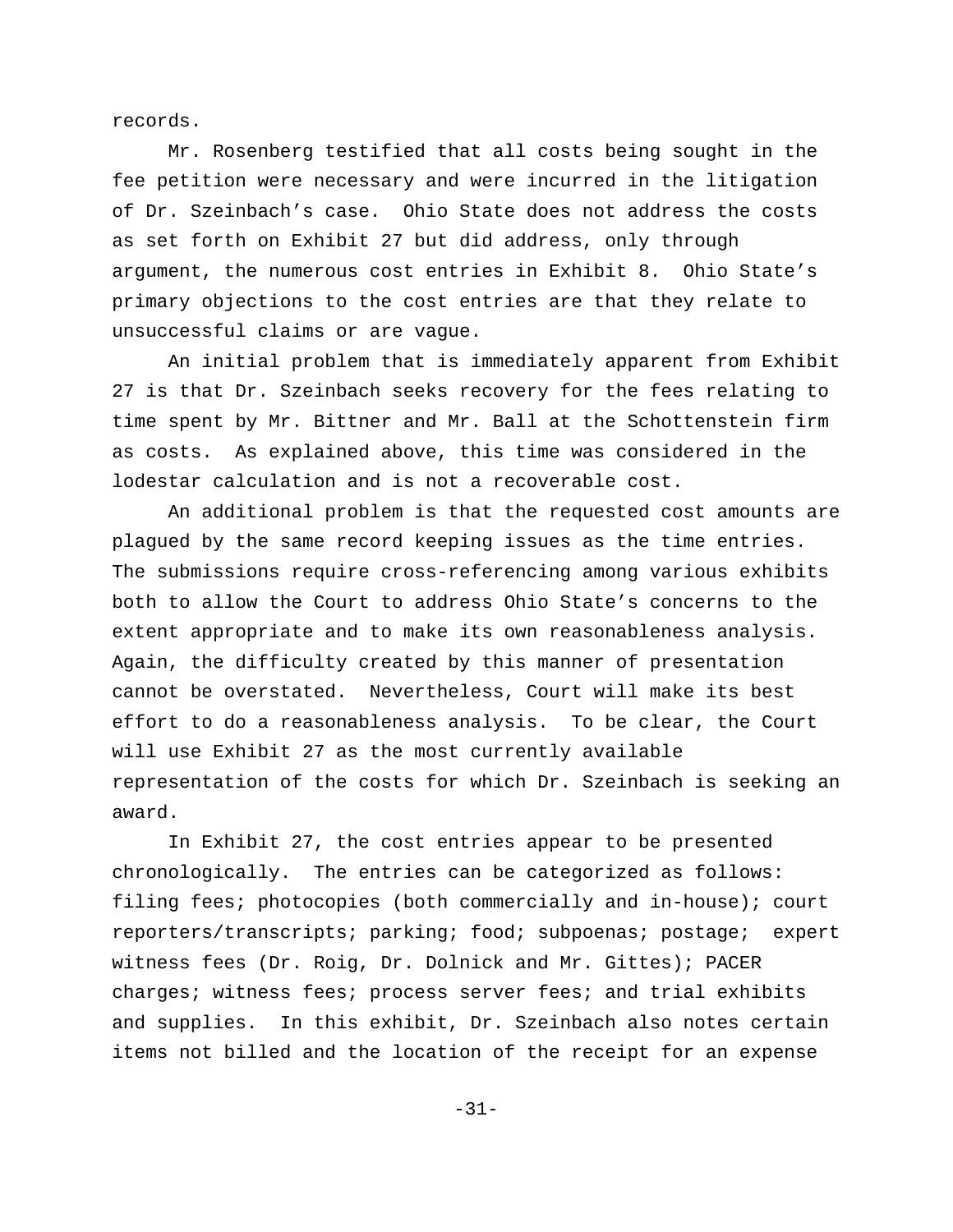records.

Mr. Rosenberg testified that all costs being sought in the fee petition were necessary and were incurred in the litigation of Dr. Szeinbach's case. Ohio State does not address the costs as set forth on Exhibit 27 but did address, only through argument, the numerous cost entries in Exhibit 8. Ohio State's primary objections to the cost entries are that they relate to unsuccessful claims or are vague.

An initial problem that is immediately apparent from Exhibit 27 is that Dr. Szeinbach seeks recovery for the fees relating to time spent by Mr. Bittner and Mr. Ball at the Schottenstein firm as costs. As explained above, this time was considered in the lodestar calculation and is not a recoverable cost.

An additional problem is that the requested cost amounts are plagued by the same record keeping issues as the time entries. The submissions require cross-referencing among various exhibits both to allow the Court to address Ohio State's concerns to the extent appropriate and to make its own reasonableness analysis. Again, the difficulty created by this manner of presentation cannot be overstated. Nevertheless, Court will make its best effort to do a reasonableness analysis. To be clear, the Court will use Exhibit 27 as the most currently available representation of the costs for which Dr. Szeinbach is seeking an award.

In Exhibit 27, the cost entries appear to be presented chronologically. The entries can be categorized as follows: filing fees; photocopies (both commercially and in-house); court reporters/transcripts; parking; food; subpoenas; postage; expert witness fees (Dr. Roig, Dr. Dolnick and Mr. Gittes); PACER charges; witness fees; process server fees; and trial exhibits and supplies. In this exhibit, Dr. Szeinbach also notes certain items not billed and the location of the receipt for an expense

-31-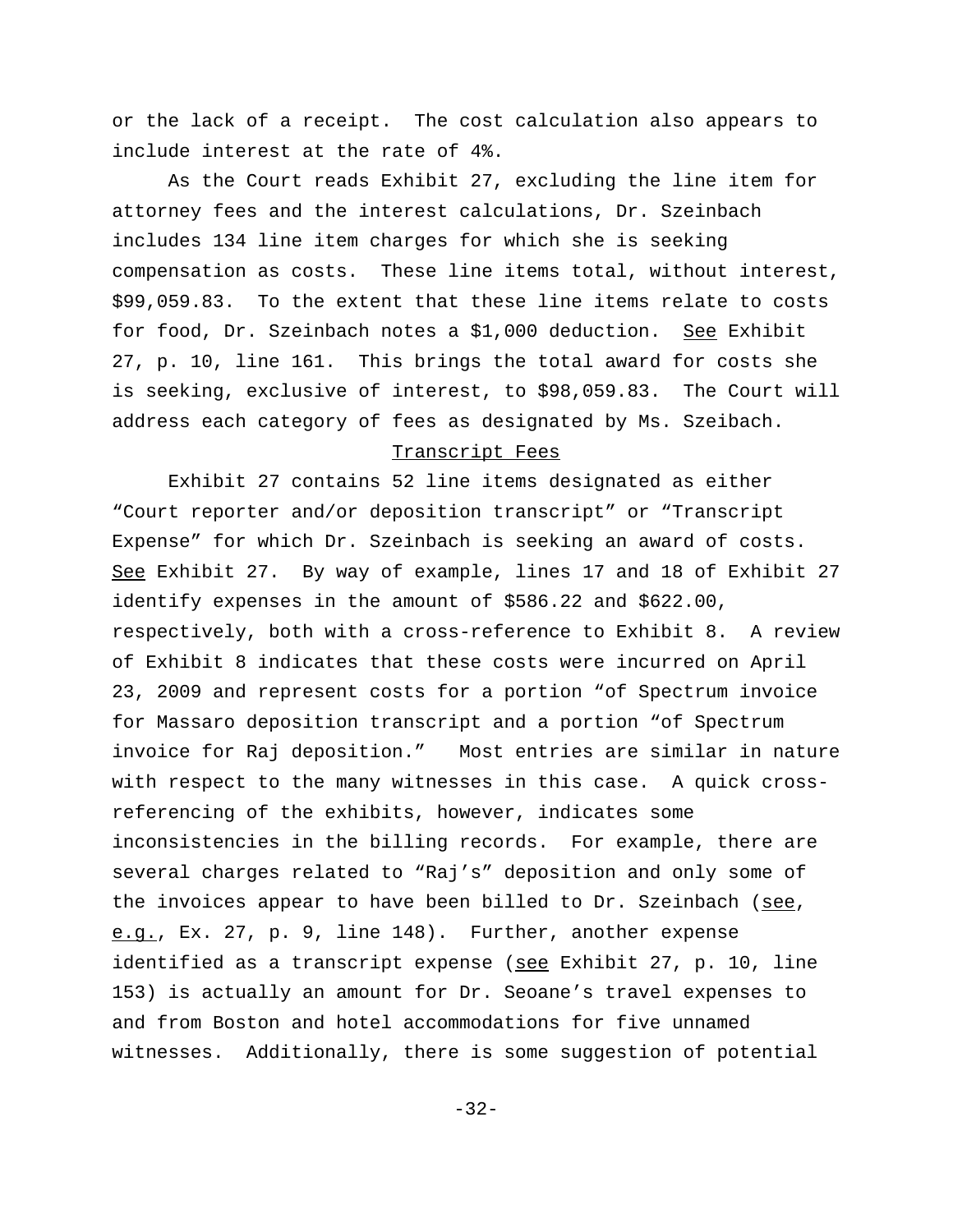or the lack of a receipt. The cost calculation also appears to include interest at the rate of 4%.

As the Court reads Exhibit 27, excluding the line item for attorney fees and the interest calculations, Dr. Szeinbach includes 134 line item charges for which she is seeking compensation as costs. These line items total, without interest, \$99,059.83. To the extent that these line items relate to costs for food, Dr. Szeinbach notes a \$1,000 deduction. See Exhibit 27, p. 10, line 161. This brings the total award for costs she is seeking, exclusive of interest, to \$98,059.83. The Court will address each category of fees as designated by Ms. Szeibach.

#### Transcript Fees

Exhibit 27 contains 52 line items designated as either "Court reporter and/or deposition transcript" or "Transcript Expense" for which Dr. Szeinbach is seeking an award of costs. See Exhibit 27. By way of example, lines 17 and 18 of Exhibit 27 identify expenses in the amount of \$586.22 and \$622.00, respectively, both with a cross-reference to Exhibit 8. A review of Exhibit 8 indicates that these costs were incurred on April 23, 2009 and represent costs for a portion "of Spectrum invoice for Massaro deposition transcript and a portion "of Spectrum invoice for Raj deposition." Most entries are similar in nature with respect to the many witnesses in this case. A quick crossreferencing of the exhibits, however, indicates some inconsistencies in the billing records. For example, there are several charges related to "Raj's" deposition and only some of the invoices appear to have been billed to Dr. Szeinbach (see, e.g., Ex. 27, p. 9, line 148). Further, another expense identified as a transcript expense (see Exhibit 27, p. 10, line 153) is actually an amount for Dr. Seoane's travel expenses to and from Boston and hotel accommodations for five unnamed witnesses. Additionally, there is some suggestion of potential

-32-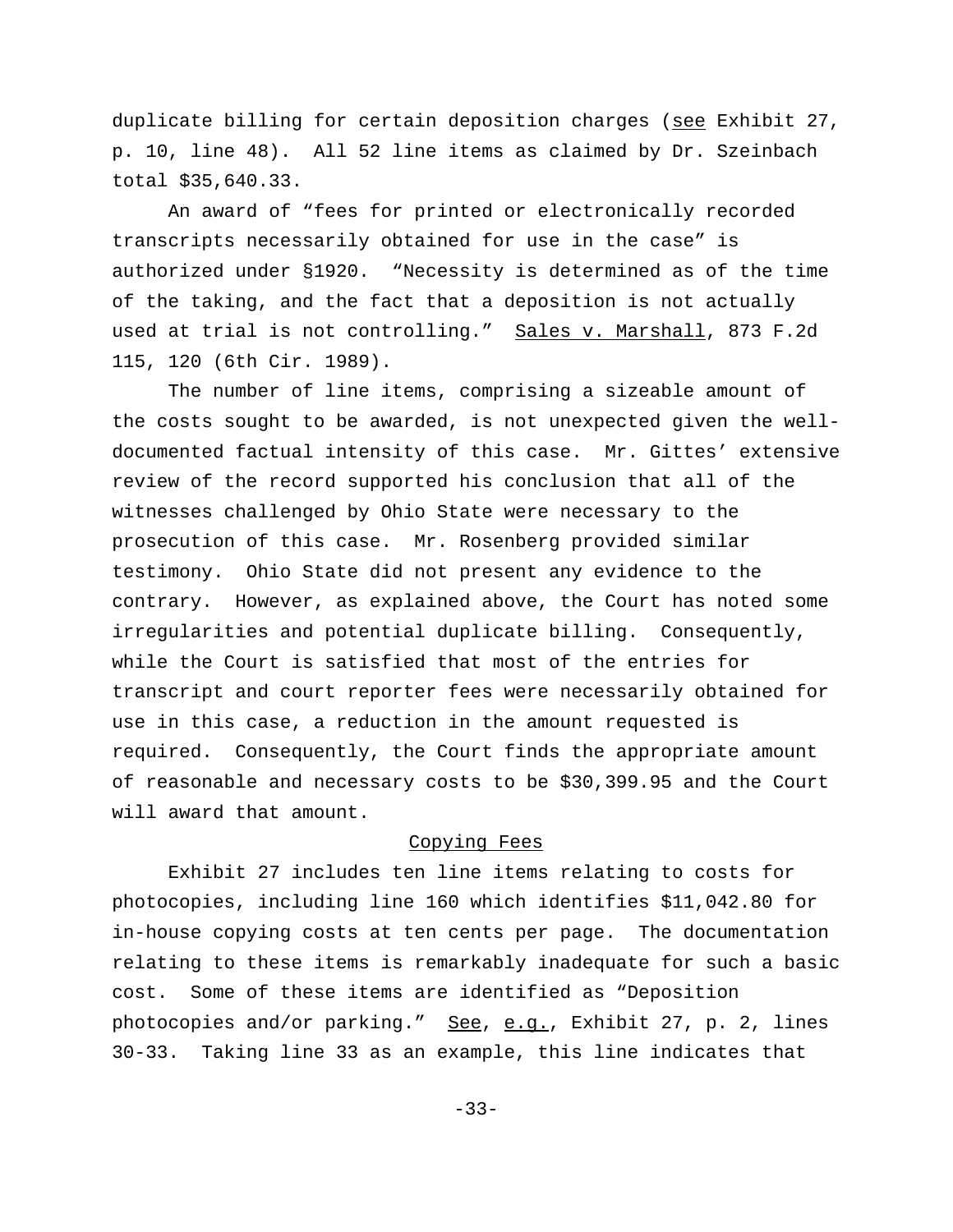duplicate billing for certain deposition charges (see Exhibit 27, p. 10, line 48). All 52 line items as claimed by Dr. Szeinbach total \$35,640.33.

An award of "fees for printed or electronically recorded transcripts necessarily obtained for use in the case" is authorized under §1920. "Necessity is determined as of the time of the taking, and the fact that a deposition is not actually used at trial is not controlling." Sales v. Marshall, 873 F.2d 115, 120 (6th Cir. 1989).

The number of line items, comprising a sizeable amount of the costs sought to be awarded, is not unexpected given the welldocumented factual intensity of this case. Mr. Gittes' extensive review of the record supported his conclusion that all of the witnesses challenged by Ohio State were necessary to the prosecution of this case. Mr. Rosenberg provided similar testimony. Ohio State did not present any evidence to the contrary. However, as explained above, the Court has noted some irregularities and potential duplicate billing. Consequently, while the Court is satisfied that most of the entries for transcript and court reporter fees were necessarily obtained for use in this case, a reduction in the amount requested is required. Consequently, the Court finds the appropriate amount of reasonable and necessary costs to be \$30,399.95 and the Court will award that amount.

# Copying Fees

Exhibit 27 includes ten line items relating to costs for photocopies, including line 160 which identifies \$11,042.80 for in-house copying costs at ten cents per page. The documentation relating to these items is remarkably inadequate for such a basic cost. Some of these items are identified as "Deposition photocopies and/or parking." See, e.g., Exhibit 27, p. 2, lines 30-33. Taking line 33 as an example, this line indicates that

-33-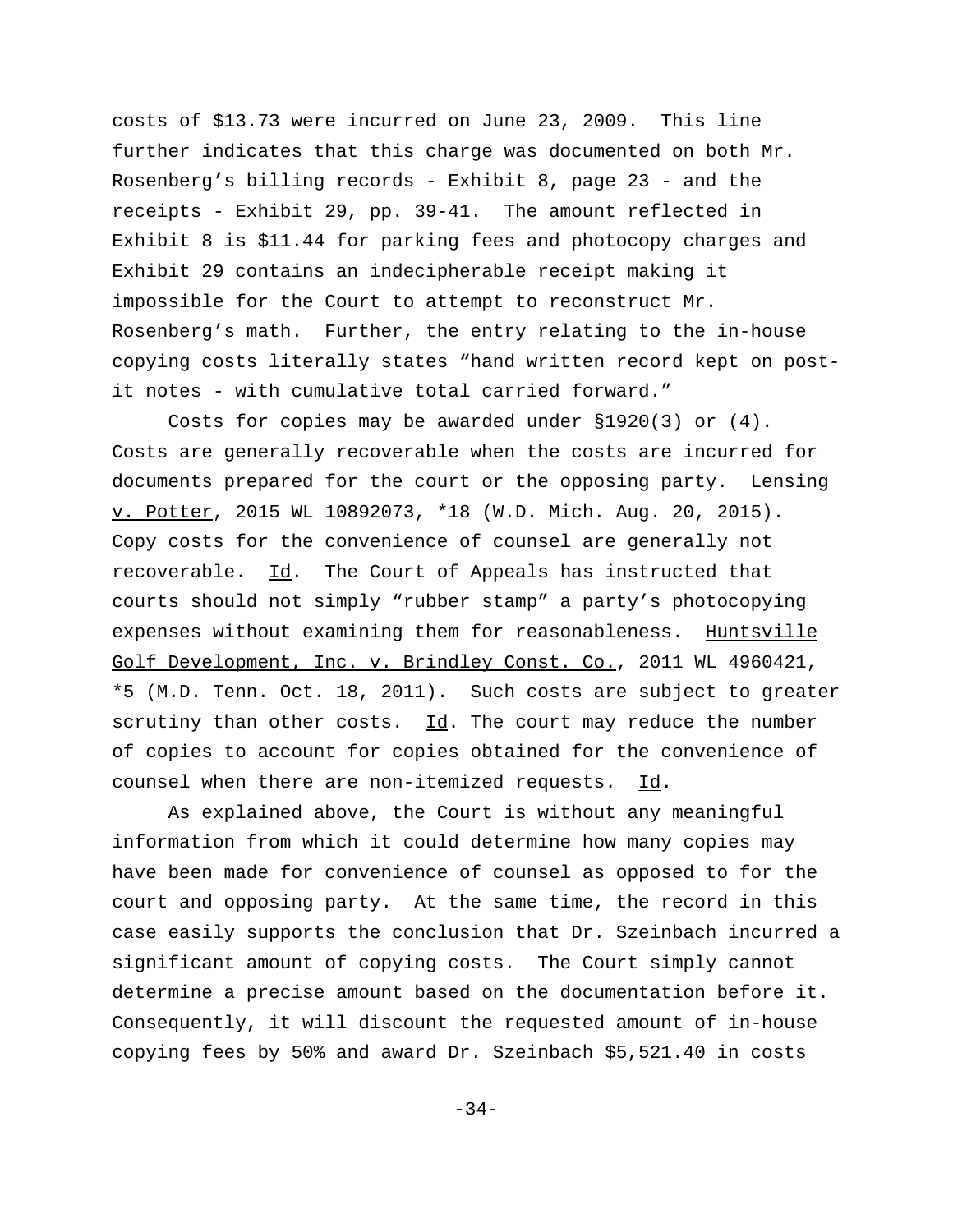costs of \$13.73 were incurred on June 23, 2009. This line further indicates that this charge was documented on both Mr. Rosenberg's billing records - Exhibit 8, page 23 - and the receipts - Exhibit 29, pp. 39-41. The amount reflected in Exhibit 8 is \$11.44 for parking fees and photocopy charges and Exhibit 29 contains an indecipherable receipt making it impossible for the Court to attempt to reconstruct Mr. Rosenberg's math. Further, the entry relating to the in-house copying costs literally states "hand written record kept on postit notes - with cumulative total carried forward."

Costs for copies may be awarded under §1920(3) or (4). Costs are generally recoverable when the costs are incurred for documents prepared for the court or the opposing party. Lensing v. Potter, 2015 WL 10892073, \*18 (W.D. Mich. Aug. 20, 2015). Copy costs for the convenience of counsel are generally not recoverable. Id. The Court of Appeals has instructed that courts should not simply "rubber stamp" a party's photocopying expenses without examining them for reasonableness. Huntsville Golf Development, Inc. v. Brindley Const. Co., 2011 WL 4960421, \*5 (M.D. Tenn. Oct. 18, 2011). Such costs are subject to greater scrutiny than other costs.  $\underline{Id}$ . The court may reduce the number of copies to account for copies obtained for the convenience of counsel when there are non-itemized requests. Id.

As explained above, the Court is without any meaningful information from which it could determine how many copies may have been made for convenience of counsel as opposed to for the court and opposing party. At the same time, the record in this case easily supports the conclusion that Dr. Szeinbach incurred a significant amount of copying costs. The Court simply cannot determine a precise amount based on the documentation before it. Consequently, it will discount the requested amount of in-house copying fees by 50% and award Dr. Szeinbach \$5,521.40 in costs

-34-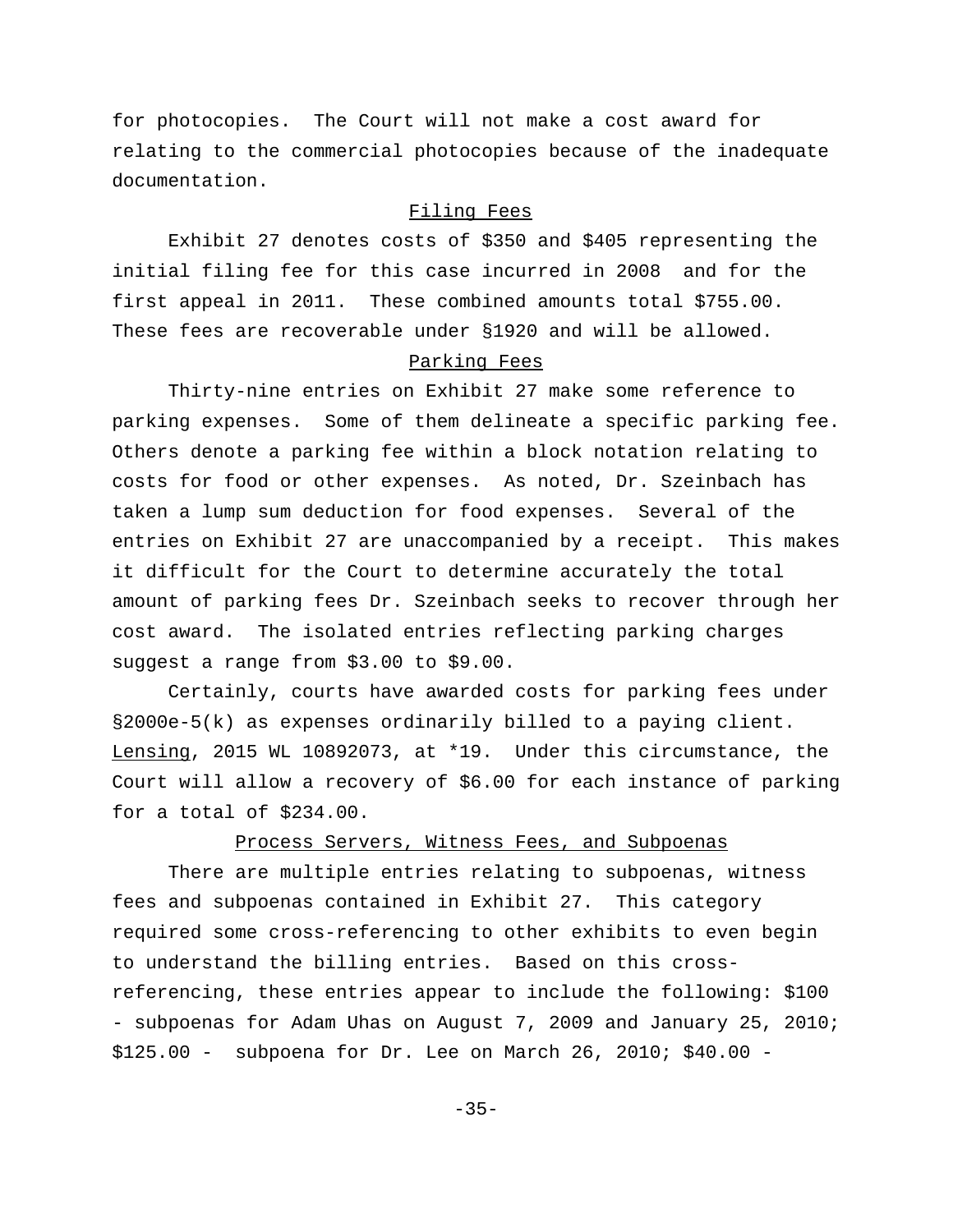for photocopies. The Court will not make a cost award for relating to the commercial photocopies because of the inadequate documentation.

# Filing Fees

Exhibit 27 denotes costs of \$350 and \$405 representing the initial filing fee for this case incurred in 2008 and for the first appeal in 2011. These combined amounts total \$755.00. These fees are recoverable under §1920 and will be allowed.

## Parking Fees

Thirty-nine entries on Exhibit 27 make some reference to parking expenses. Some of them delineate a specific parking fee. Others denote a parking fee within a block notation relating to costs for food or other expenses. As noted, Dr. Szeinbach has taken a lump sum deduction for food expenses. Several of the entries on Exhibit 27 are unaccompanied by a receipt. This makes it difficult for the Court to determine accurately the total amount of parking fees Dr. Szeinbach seeks to recover through her cost award. The isolated entries reflecting parking charges suggest a range from \$3.00 to \$9.00.

Certainly, courts have awarded costs for parking fees under §2000e-5(k) as expenses ordinarily billed to a paying client. Lensing, 2015 WL 10892073, at \*19. Under this circumstance, the Court will allow a recovery of \$6.00 for each instance of parking for a total of \$234.00.

# Process Servers, Witness Fees, and Subpoenas

There are multiple entries relating to subpoenas, witness fees and subpoenas contained in Exhibit 27. This category required some cross-referencing to other exhibits to even begin to understand the billing entries. Based on this crossreferencing, these entries appear to include the following: \$100 - subpoenas for Adam Uhas on August 7, 2009 and January 25, 2010; \$125.00 - subpoena for Dr. Lee on March 26, 2010; \$40.00 -

-35-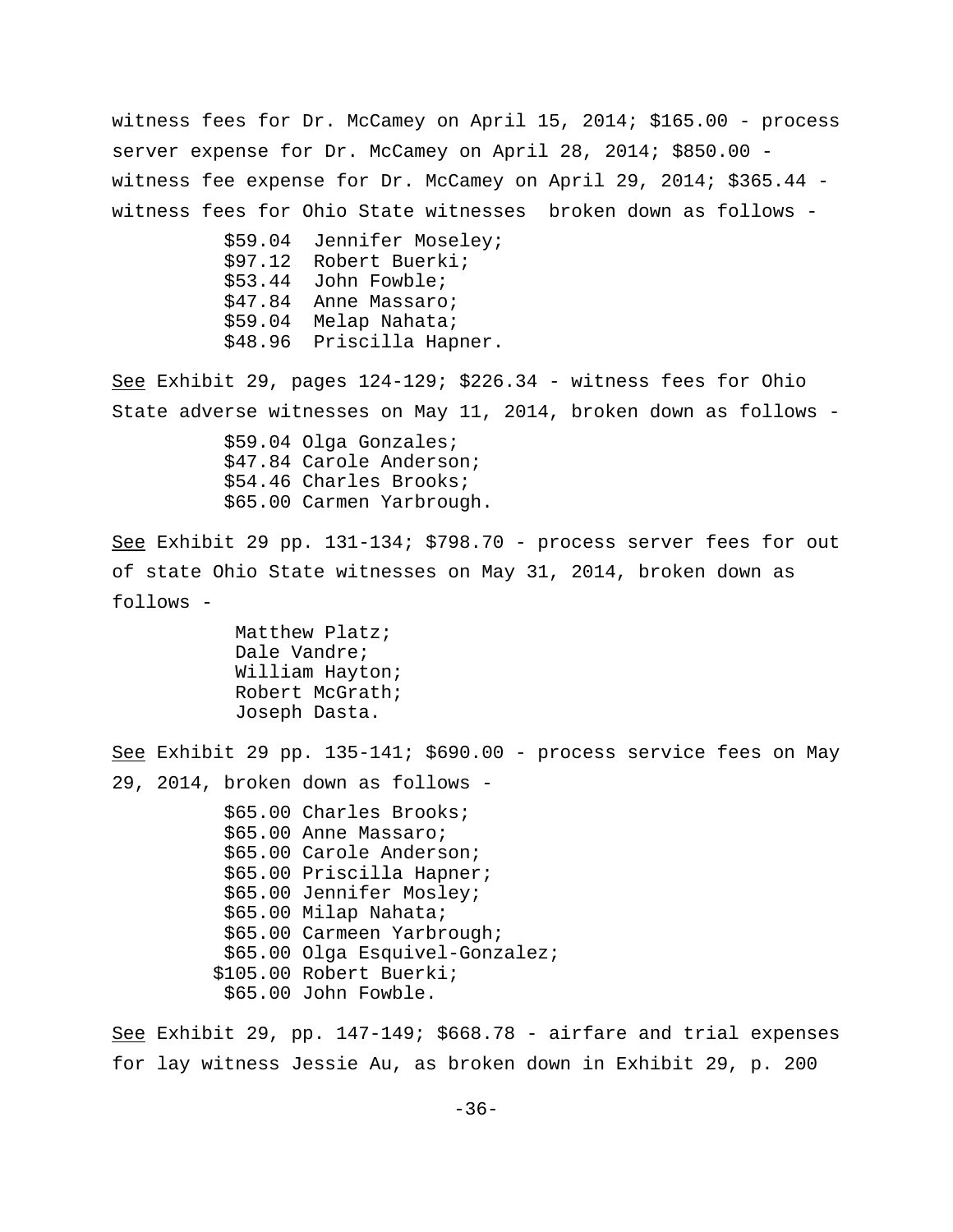witness fees for Dr. McCamey on April 15, 2014; \$165.00 - process server expense for Dr. McCamey on April 28, 2014; \$850.00 witness fee expense for Dr. McCamey on April 29, 2014; \$365.44 witness fees for Ohio State witnesses broken down as follows -

|         | \$59.04 Jennifer Moseley; |
|---------|---------------------------|
| \$97.12 | Robert Buerki;            |
|         | \$53.44 John Fowble;      |
|         | \$47.84 Anne Massaro;     |
| \$59.04 | Melap Nahata;             |
|         | \$48.96 Priscilla Hapner. |

See Exhibit 29, pages 124-129; \$226.34 - witness fees for Ohio State adverse witnesses on May 11, 2014, broken down as follows -

> \$59.04 Olga Gonzales; \$47.84 Carole Anderson; \$54.46 Charles Brooks; \$65.00 Carmen Yarbrough.

See Exhibit 29 pp. 131-134; \$798.70 - process server fees for out of state Ohio State witnesses on May 31, 2014, broken down as follows -

> Matthew Platz; Dale Vandre; William Hayton; Robert McGrath; Joseph Dasta.

See Exhibit 29 pp. 135-141; \$690.00 - process service fees on May 29, 2014, broken down as follows -

> \$65.00 Charles Brooks; \$65.00 Anne Massaro; \$65.00 Carole Anderson; \$65.00 Priscilla Hapner; \$65.00 Jennifer Mosley; \$65.00 Milap Nahata; \$65.00 Carmeen Yarbrough; \$65.00 Olga Esquivel-Gonzalez; \$105.00 Robert Buerki; \$65.00 John Fowble.

See Exhibit 29, pp. 147-149; \$668.78 - airfare and trial expenses for lay witness Jessie Au, as broken down in Exhibit 29, p. 200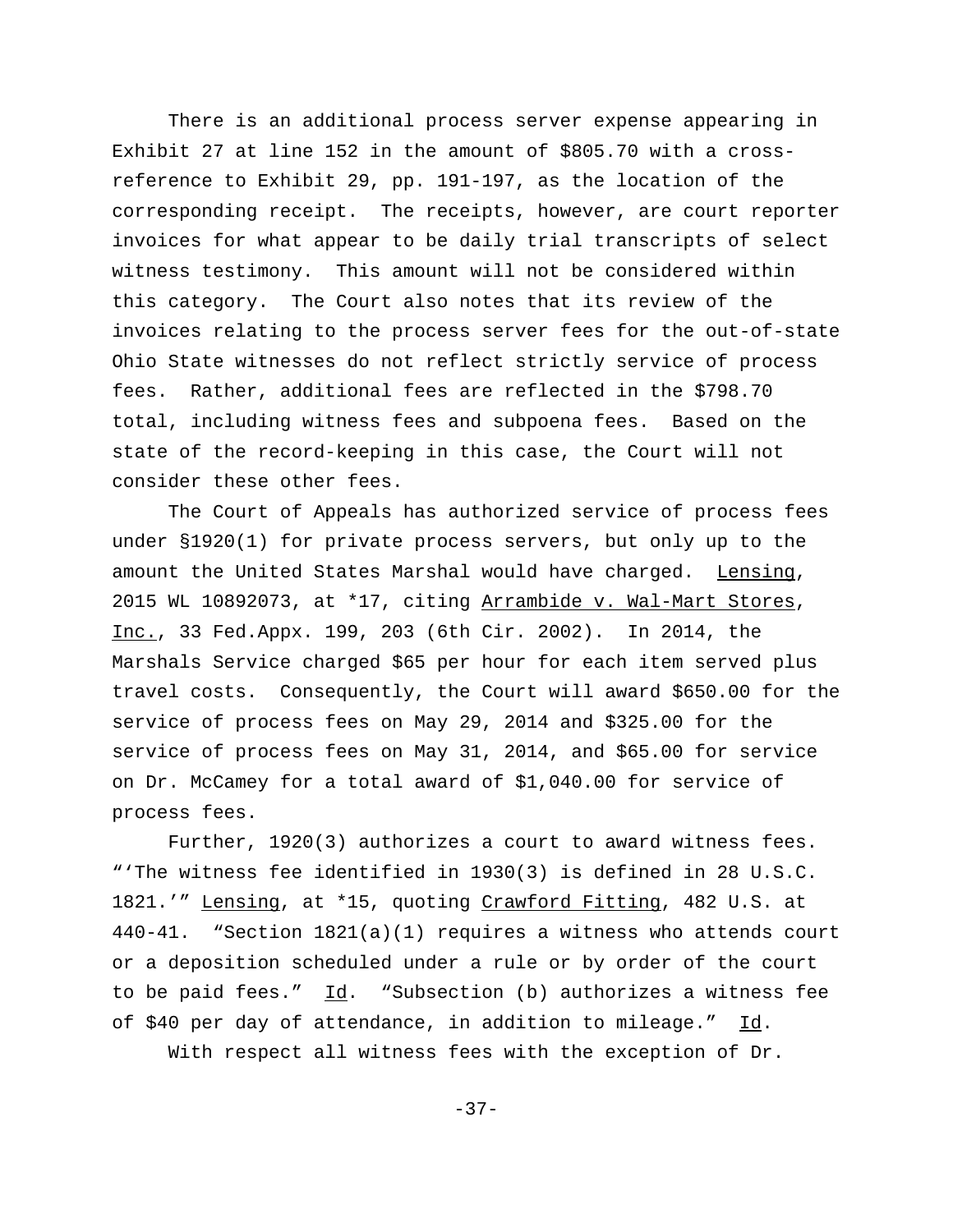There is an additional process server expense appearing in Exhibit 27 at line 152 in the amount of \$805.70 with a crossreference to Exhibit 29, pp. 191-197, as the location of the corresponding receipt. The receipts, however, are court reporter invoices for what appear to be daily trial transcripts of select witness testimony. This amount will not be considered within this category. The Court also notes that its review of the invoices relating to the process server fees for the out-of-state Ohio State witnesses do not reflect strictly service of process fees. Rather, additional fees are reflected in the \$798.70 total, including witness fees and subpoena fees. Based on the state of the record-keeping in this case, the Court will not consider these other fees.

The Court of Appeals has authorized service of process fees under §1920(1) for private process servers, but only up to the amount the United States Marshal would have charged. Lensing, 2015 WL 10892073, at \*17, citing Arrambide v. Wal-Mart Stores, Inc., 33 Fed.Appx. 199, 203 (6th Cir. 2002). In 2014, the Marshals Service charged \$65 per hour for each item served plus travel costs. Consequently, the Court will award \$650.00 for the service of process fees on May 29, 2014 and \$325.00 for the service of process fees on May 31, 2014, and \$65.00 for service on Dr. McCamey for a total award of \$1,040.00 for service of process fees.

Further, 1920(3) authorizes a court to award witness fees. "'The witness fee identified in 1930(3) is defined in 28 U.S.C. 1821.'" Lensing, at \*15, quoting Crawford Fitting, 482 U.S. at 440-41. "Section 1821(a)(1) requires a witness who attends court or a deposition scheduled under a rule or by order of the court to be paid fees."  $\underline{Id}$ . "Subsection (b) authorizes a witness fee of \$40 per day of attendance, in addition to mileage." Id. With respect all witness fees with the exception of Dr.

-37-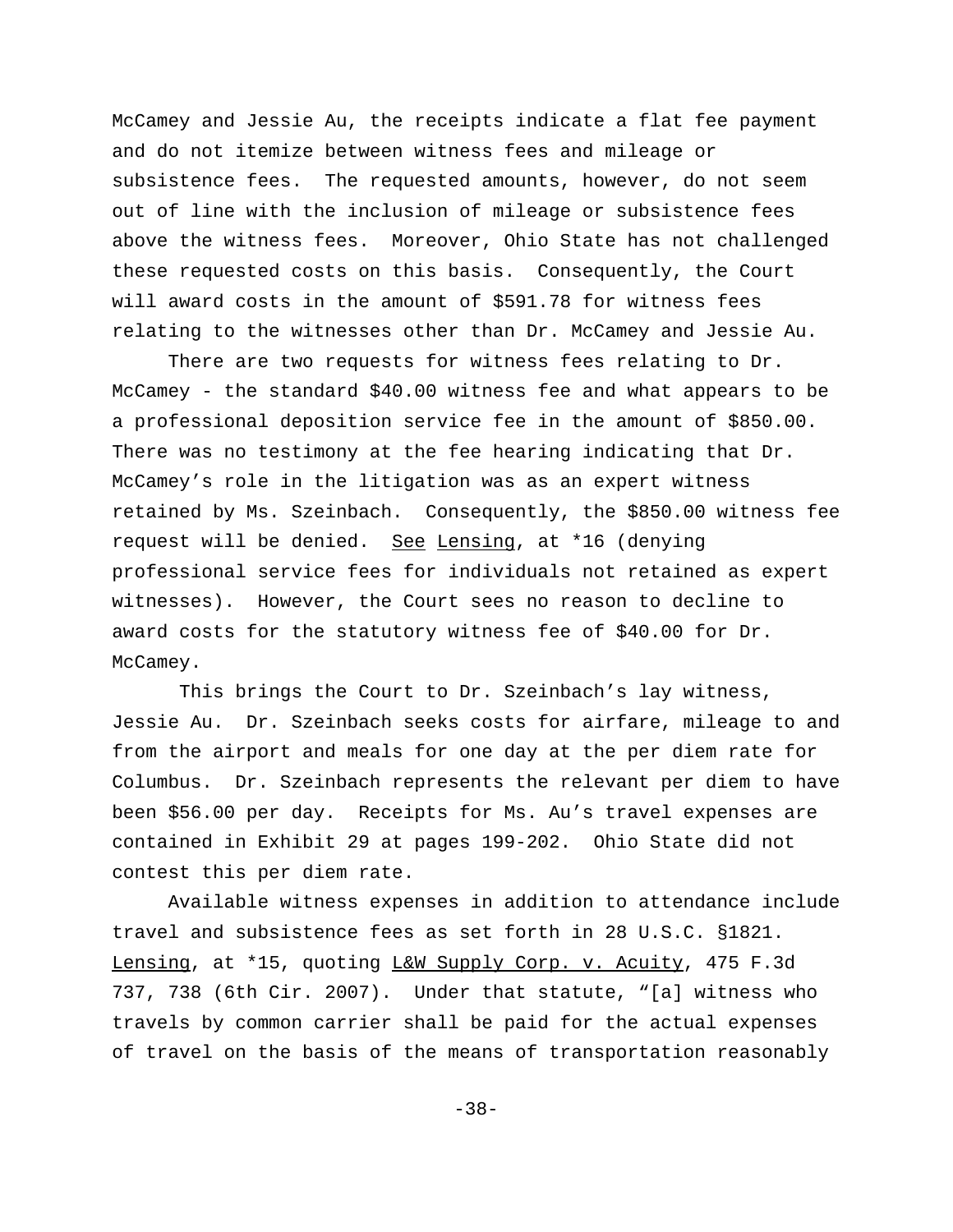McCamey and Jessie Au, the receipts indicate a flat fee payment and do not itemize between witness fees and mileage or subsistence fees. The requested amounts, however, do not seem out of line with the inclusion of mileage or subsistence fees above the witness fees. Moreover, Ohio State has not challenged these requested costs on this basis. Consequently, the Court will award costs in the amount of \$591.78 for witness fees relating to the witnesses other than Dr. McCamey and Jessie Au.

There are two requests for witness fees relating to Dr. McCamey - the standard \$40.00 witness fee and what appears to be a professional deposition service fee in the amount of \$850.00. There was no testimony at the fee hearing indicating that Dr. McCamey's role in the litigation was as an expert witness retained by Ms. Szeinbach. Consequently, the \$850.00 witness fee request will be denied. See Lensing, at \*16 (denying professional service fees for individuals not retained as expert witnesses). However, the Court sees no reason to decline to award costs for the statutory witness fee of \$40.00 for Dr. McCamey.

 This brings the Court to Dr. Szeinbach's lay witness, Jessie Au. Dr. Szeinbach seeks costs for airfare, mileage to and from the airport and meals for one day at the per diem rate for Columbus. Dr. Szeinbach represents the relevant per diem to have been \$56.00 per day. Receipts for Ms. Au's travel expenses are contained in Exhibit 29 at pages 199-202. Ohio State did not contest this per diem rate.

Available witness expenses in addition to attendance include travel and subsistence fees as set forth in 28 U.S.C. §1821. Lensing, at \*15, quoting L&W Supply Corp. v. Acuity, 475 F.3d 737, 738 (6th Cir. 2007). Under that statute, "[a] witness who travels by common carrier shall be paid for the actual expenses of travel on the basis of the means of transportation reasonably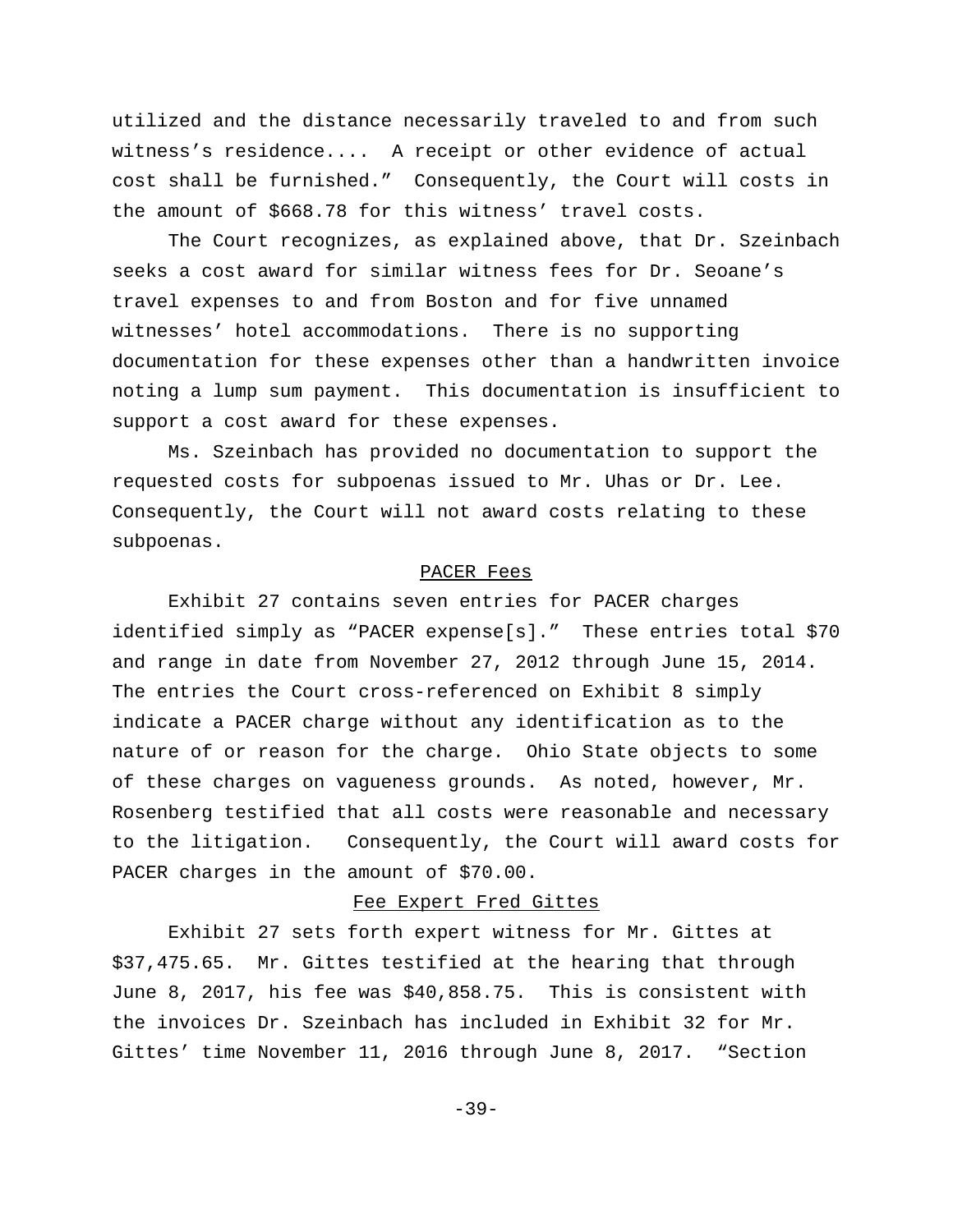utilized and the distance necessarily traveled to and from such witness's residence.... A receipt or other evidence of actual cost shall be furnished." Consequently, the Court will costs in the amount of \$668.78 for this witness' travel costs.

The Court recognizes, as explained above, that Dr. Szeinbach seeks a cost award for similar witness fees for Dr. Seoane's travel expenses to and from Boston and for five unnamed witnesses' hotel accommodations. There is no supporting documentation for these expenses other than a handwritten invoice noting a lump sum payment. This documentation is insufficient to support a cost award for these expenses.

Ms. Szeinbach has provided no documentation to support the requested costs for subpoenas issued to Mr. Uhas or Dr. Lee. Consequently, the Court will not award costs relating to these subpoenas.

#### PACER Fees

Exhibit 27 contains seven entries for PACER charges identified simply as "PACER expense[s]." These entries total \$70 and range in date from November 27, 2012 through June 15, 2014. The entries the Court cross-referenced on Exhibit 8 simply indicate a PACER charge without any identification as to the nature of or reason for the charge. Ohio State objects to some of these charges on vagueness grounds. As noted, however, Mr. Rosenberg testified that all costs were reasonable and necessary to the litigation. Consequently, the Court will award costs for PACER charges in the amount of \$70.00.

#### Fee Expert Fred Gittes

Exhibit 27 sets forth expert witness for Mr. Gittes at \$37,475.65. Mr. Gittes testified at the hearing that through June 8, 2017, his fee was \$40,858.75. This is consistent with the invoices Dr. Szeinbach has included in Exhibit 32 for Mr. Gittes' time November 11, 2016 through June 8, 2017. "Section

-39-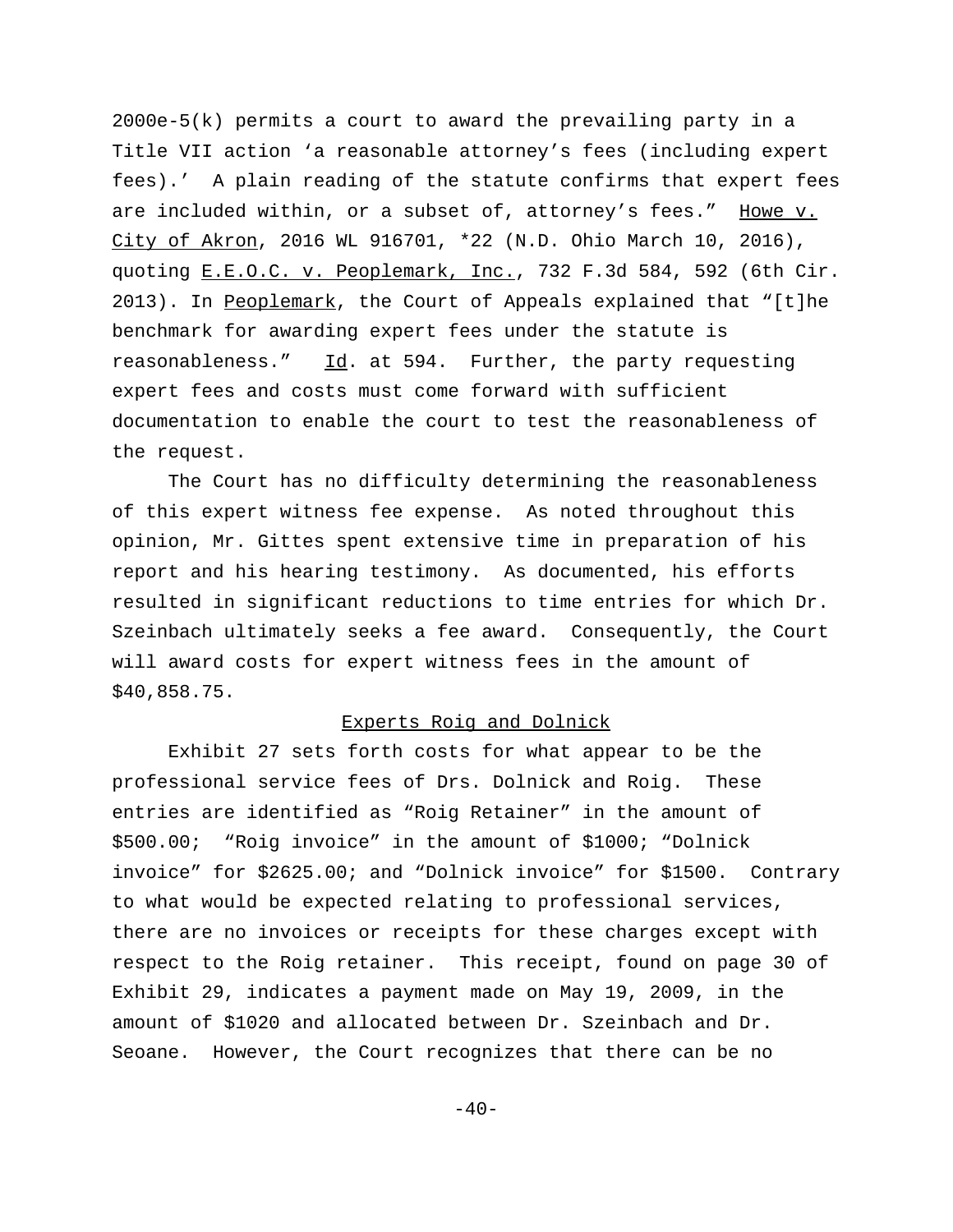2000e-5(k) permits a court to award the prevailing party in a Title VII action 'a reasonable attorney's fees (including expert fees).' A plain reading of the statute confirms that expert fees are included within, or a subset of, attorney's fees." Howe v. City of Akron, 2016 WL 916701, \*22 (N.D. Ohio March 10, 2016), quoting E.E.O.C. v. Peoplemark, Inc., 732 F.3d 584, 592 (6th Cir. 2013). In Peoplemark, the Court of Appeals explained that "[t]he benchmark for awarding expert fees under the statute is reasonableness." Id. at 594. Further, the party requesting expert fees and costs must come forward with sufficient documentation to enable the court to test the reasonableness of the request.

The Court has no difficulty determining the reasonableness of this expert witness fee expense. As noted throughout this opinion, Mr. Gittes spent extensive time in preparation of his report and his hearing testimony. As documented, his efforts resulted in significant reductions to time entries for which Dr. Szeinbach ultimately seeks a fee award. Consequently, the Court will award costs for expert witness fees in the amount of \$40,858.75.

### Experts Roig and Dolnick

Exhibit 27 sets forth costs for what appear to be the professional service fees of Drs. Dolnick and Roig. These entries are identified as "Roig Retainer" in the amount of \$500.00; "Roig invoice" in the amount of \$1000; "Dolnick invoice" for \$2625.00; and "Dolnick invoice" for \$1500. Contrary to what would be expected relating to professional services, there are no invoices or receipts for these charges except with respect to the Roig retainer. This receipt, found on page 30 of Exhibit 29, indicates a payment made on May 19, 2009, in the amount of \$1020 and allocated between Dr. Szeinbach and Dr. Seoane. However, the Court recognizes that there can be no

 $-40-$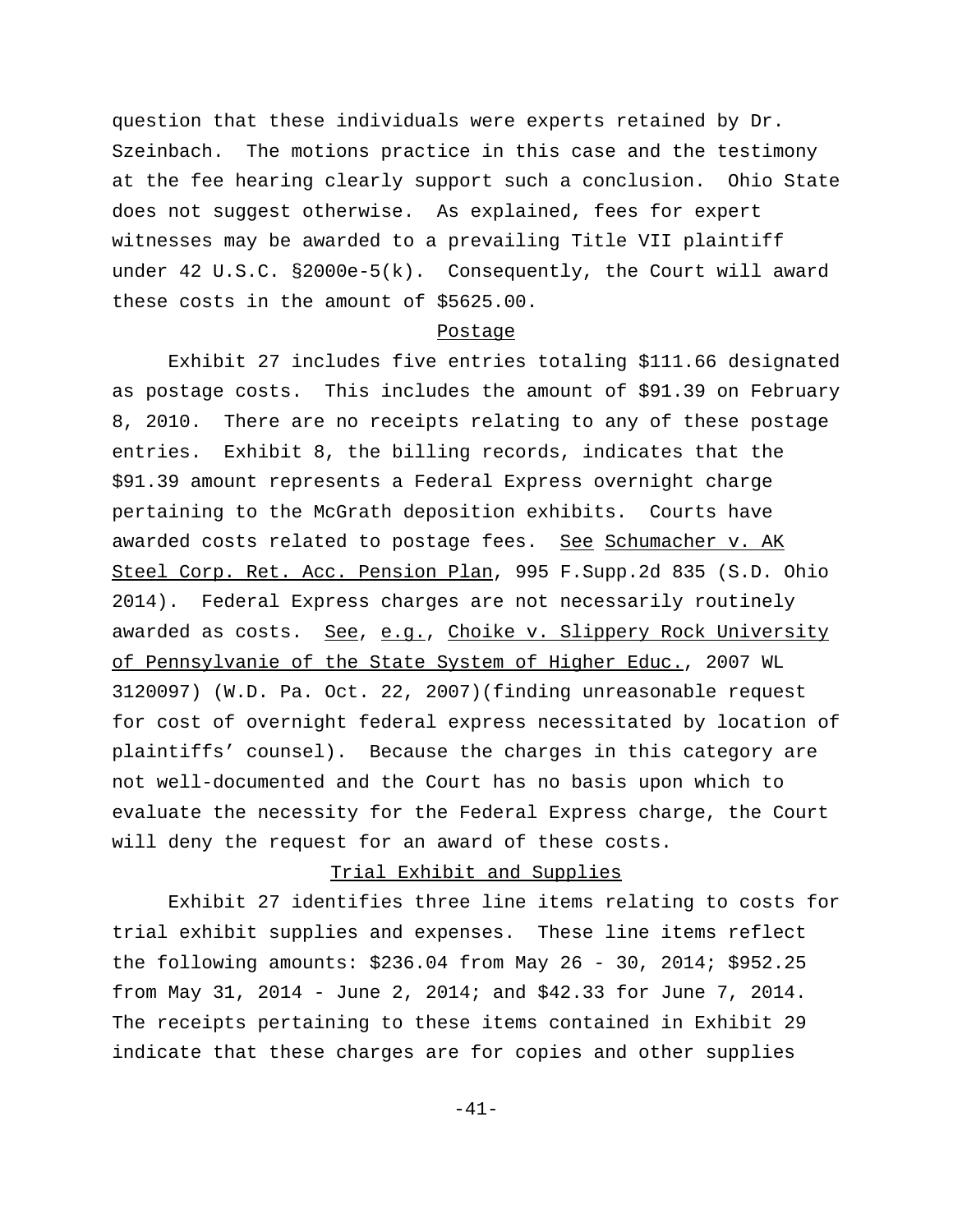question that these individuals were experts retained by Dr. Szeinbach. The motions practice in this case and the testimony at the fee hearing clearly support such a conclusion. Ohio State does not suggest otherwise. As explained, fees for expert witnesses may be awarded to a prevailing Title VII plaintiff under 42 U.S.C. §2000e-5(k). Consequently, the Court will award these costs in the amount of \$5625.00.

#### Postage

Exhibit 27 includes five entries totaling \$111.66 designated as postage costs. This includes the amount of \$91.39 on February 8, 2010. There are no receipts relating to any of these postage entries. Exhibit 8, the billing records, indicates that the \$91.39 amount represents a Federal Express overnight charge pertaining to the McGrath deposition exhibits. Courts have awarded costs related to postage fees. See Schumacher v. AK Steel Corp. Ret. Acc. Pension Plan, 995 F.Supp.2d 835 (S.D. Ohio 2014). Federal Express charges are not necessarily routinely awarded as costs. See, e.g., Choike v. Slippery Rock University of Pennsylvanie of the State System of Higher Educ., 2007 WL 3120097) (W.D. Pa. Oct. 22, 2007)(finding unreasonable request for cost of overnight federal express necessitated by location of plaintiffs' counsel). Because the charges in this category are not well-documented and the Court has no basis upon which to evaluate the necessity for the Federal Express charge, the Court will deny the request for an award of these costs.

## Trial Exhibit and Supplies

Exhibit 27 identifies three line items relating to costs for trial exhibit supplies and expenses. These line items reflect the following amounts: \$236.04 from May 26 - 30, 2014; \$952.25 from May 31, 2014 - June 2, 2014; and \$42.33 for June 7, 2014. The receipts pertaining to these items contained in Exhibit 29 indicate that these charges are for copies and other supplies

-41-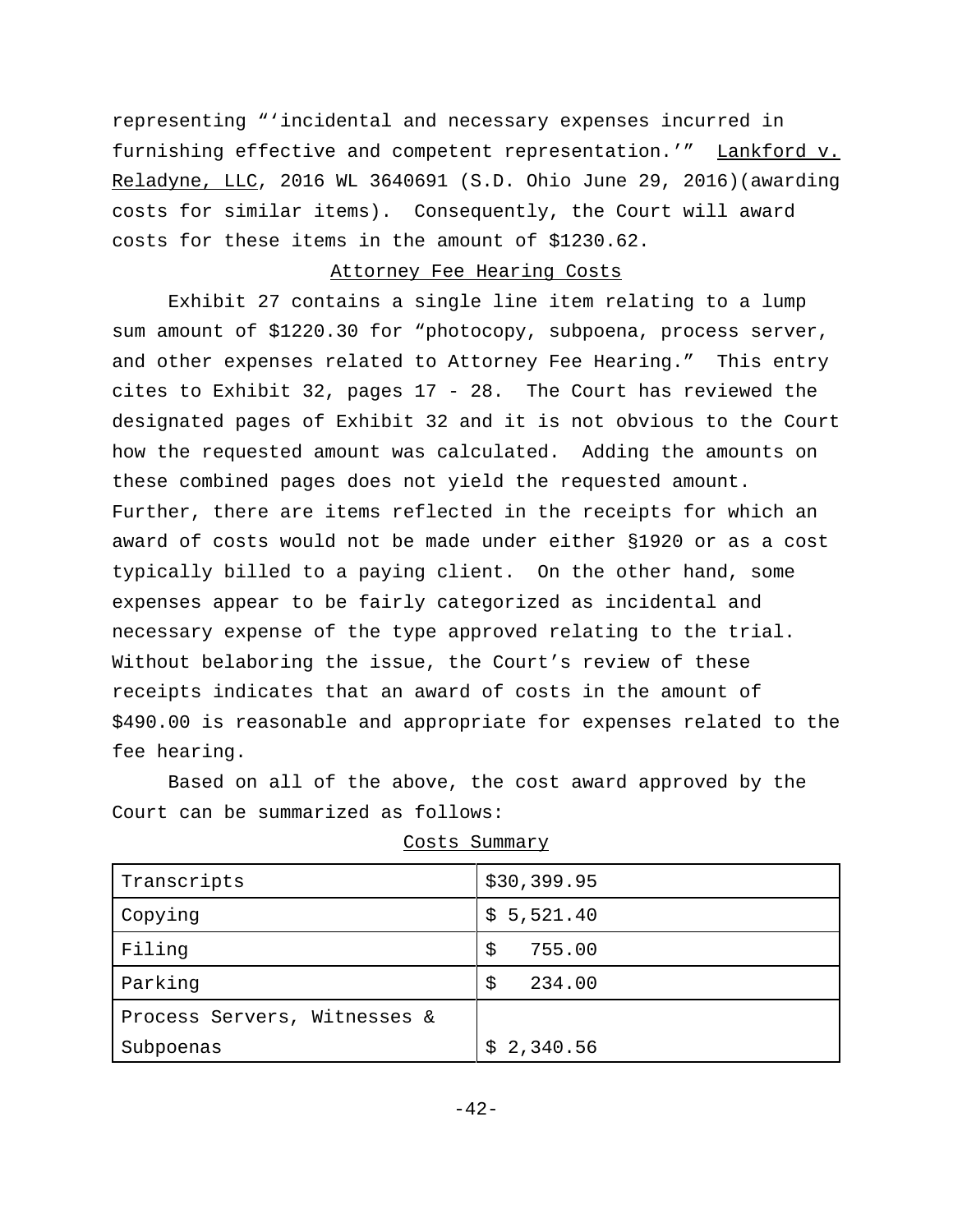representing "'incidental and necessary expenses incurred in furnishing effective and competent representation.'" Lankford v. Reladyne, LLC, 2016 WL 3640691 (S.D. Ohio June 29, 2016)(awarding costs for similar items). Consequently, the Court will award costs for these items in the amount of \$1230.62.

#### Attorney Fee Hearing Costs

Exhibit 27 contains a single line item relating to a lump sum amount of \$1220.30 for "photocopy, subpoena, process server, and other expenses related to Attorney Fee Hearing." This entry cites to Exhibit 32, pages 17 - 28. The Court has reviewed the designated pages of Exhibit 32 and it is not obvious to the Court how the requested amount was calculated. Adding the amounts on these combined pages does not yield the requested amount. Further, there are items reflected in the receipts for which an award of costs would not be made under either §1920 or as a cost typically billed to a paying client. On the other hand, some expenses appear to be fairly categorized as incidental and necessary expense of the type approved relating to the trial. Without belaboring the issue, the Court's review of these receipts indicates that an award of costs in the amount of \$490.00 is reasonable and appropriate for expenses related to the fee hearing.

Based on all of the above, the cost award approved by the Court can be summarized as follows:

| Transcripts                  | \$30,399.95  |
|------------------------------|--------------|
| Copying                      | \$5,521.40   |
| Filing                       | 755.00<br>\$ |
| Parking                      | \$<br>234.00 |
| Process Servers, Witnesses & |              |
| Subpoenas                    | \$2,340.56   |

| Costs Summarv |
|---------------|
|               |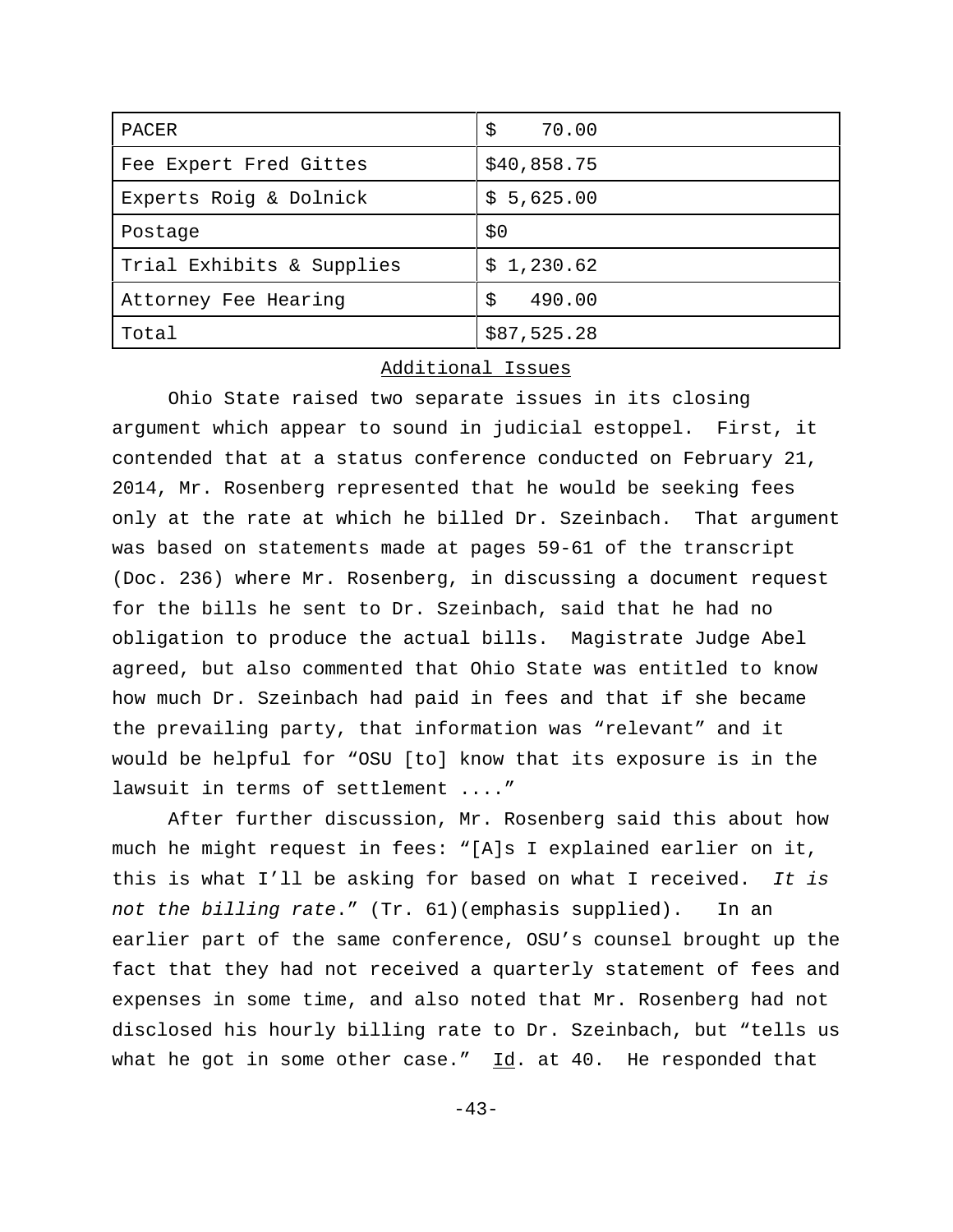| PACER                     | \$<br>70.00  |
|---------------------------|--------------|
| Fee Expert Fred Gittes    | \$40,858.75  |
| Experts Roig & Dolnick    | \$5,625.00   |
| Postage                   | \$0          |
| Trial Exhibits & Supplies | \$1,230.62   |
| Attorney Fee Hearing      | \$<br>490.00 |
| Total                     | \$87,525.28  |

## Additional Issues

Ohio State raised two separate issues in its closing argument which appear to sound in judicial estoppel. First, it contended that at a status conference conducted on February 21, 2014, Mr. Rosenberg represented that he would be seeking fees only at the rate at which he billed Dr. Szeinbach. That argument was based on statements made at pages 59-61 of the transcript (Doc. 236) where Mr. Rosenberg, in discussing a document request for the bills he sent to Dr. Szeinbach, said that he had no obligation to produce the actual bills. Magistrate Judge Abel agreed, but also commented that Ohio State was entitled to know how much Dr. Szeinbach had paid in fees and that if she became the prevailing party, that information was "relevant" and it would be helpful for "OSU [to] know that its exposure is in the lawsuit in terms of settlement ...."

After further discussion, Mr. Rosenberg said this about how much he might request in fees: "[A]s I explained earlier on it, this is what I'll be asking for based on what I received. It is not the billing rate." (Tr. 61)(emphasis supplied). In an earlier part of the same conference, OSU's counsel brought up the fact that they had not received a quarterly statement of fees and expenses in some time, and also noted that Mr. Rosenberg had not disclosed his hourly billing rate to Dr. Szeinbach, but "tells us what he got in some other case."  $\underline{Id}$ . at 40. He responded that

 $-43-$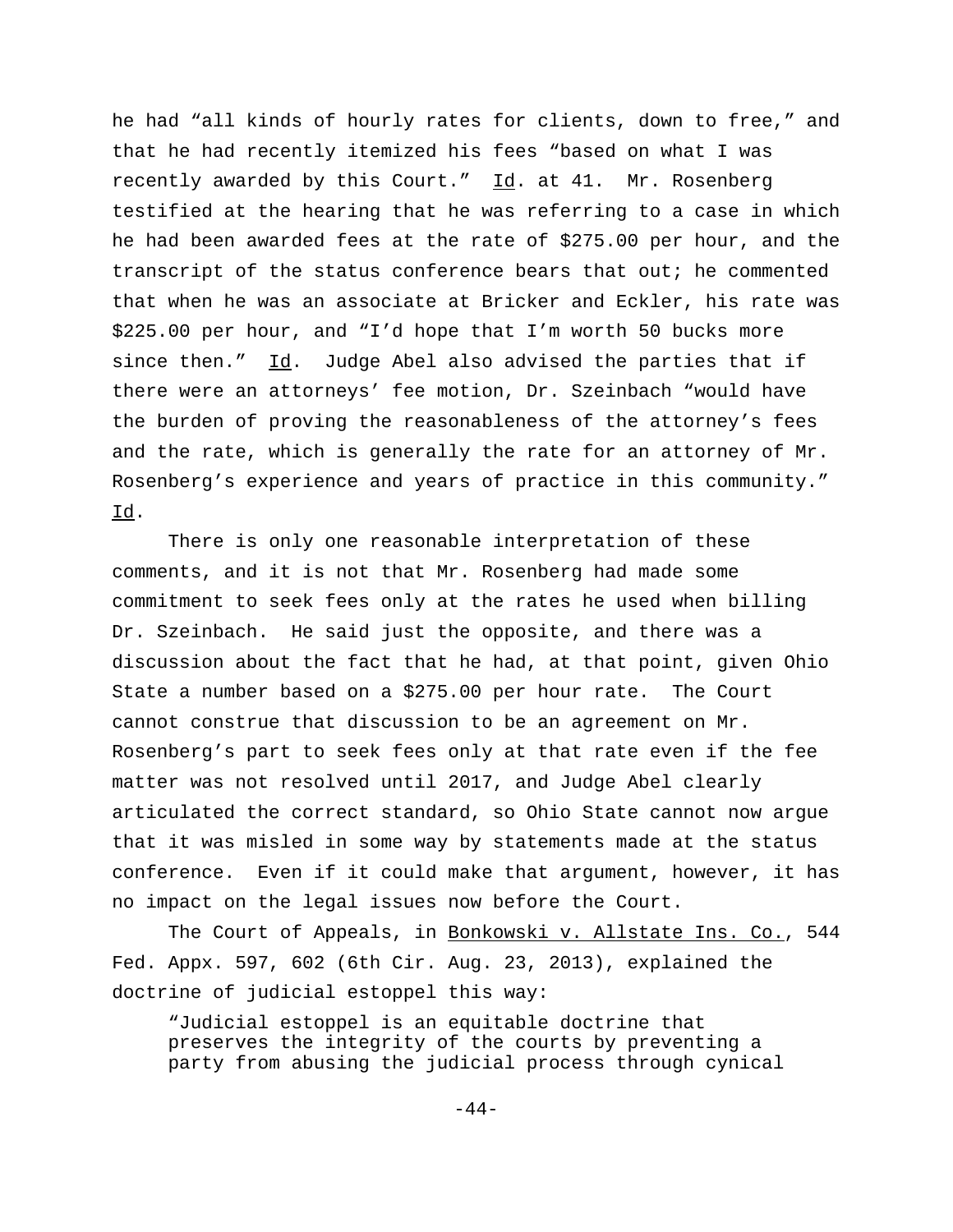he had "all kinds of hourly rates for clients, down to free," and that he had recently itemized his fees "based on what I was recently awarded by this Court."  $\underline{Id}$ . at 41. Mr. Rosenberg testified at the hearing that he was referring to a case in which he had been awarded fees at the rate of \$275.00 per hour, and the transcript of the status conference bears that out; he commented that when he was an associate at Bricker and Eckler, his rate was \$225.00 per hour, and "I'd hope that I'm worth 50 bucks more since then." Id. Judge Abel also advised the parties that if there were an attorneys' fee motion, Dr. Szeinbach "would have the burden of proving the reasonableness of the attorney's fees and the rate, which is generally the rate for an attorney of Mr. Rosenberg's experience and years of practice in this community." Id.

There is only one reasonable interpretation of these comments, and it is not that Mr. Rosenberg had made some commitment to seek fees only at the rates he used when billing Dr. Szeinbach. He said just the opposite, and there was a discussion about the fact that he had, at that point, given Ohio State a number based on a \$275.00 per hour rate. The Court cannot construe that discussion to be an agreement on Mr. Rosenberg's part to seek fees only at that rate even if the fee matter was not resolved until 2017, and Judge Abel clearly articulated the correct standard, so Ohio State cannot now argue that it was misled in some way by statements made at the status conference. Even if it could make that argument, however, it has no impact on the legal issues now before the Court.

The Court of Appeals, in Bonkowski v. Allstate Ins. Co., 544 Fed. Appx. 597, 602 (6th Cir. Aug. 23, 2013), explained the doctrine of judicial estoppel this way:

"Judicial estoppel is an equitable doctrine that preserves the integrity of the courts by preventing a party from abusing the judicial process through cynical

-44-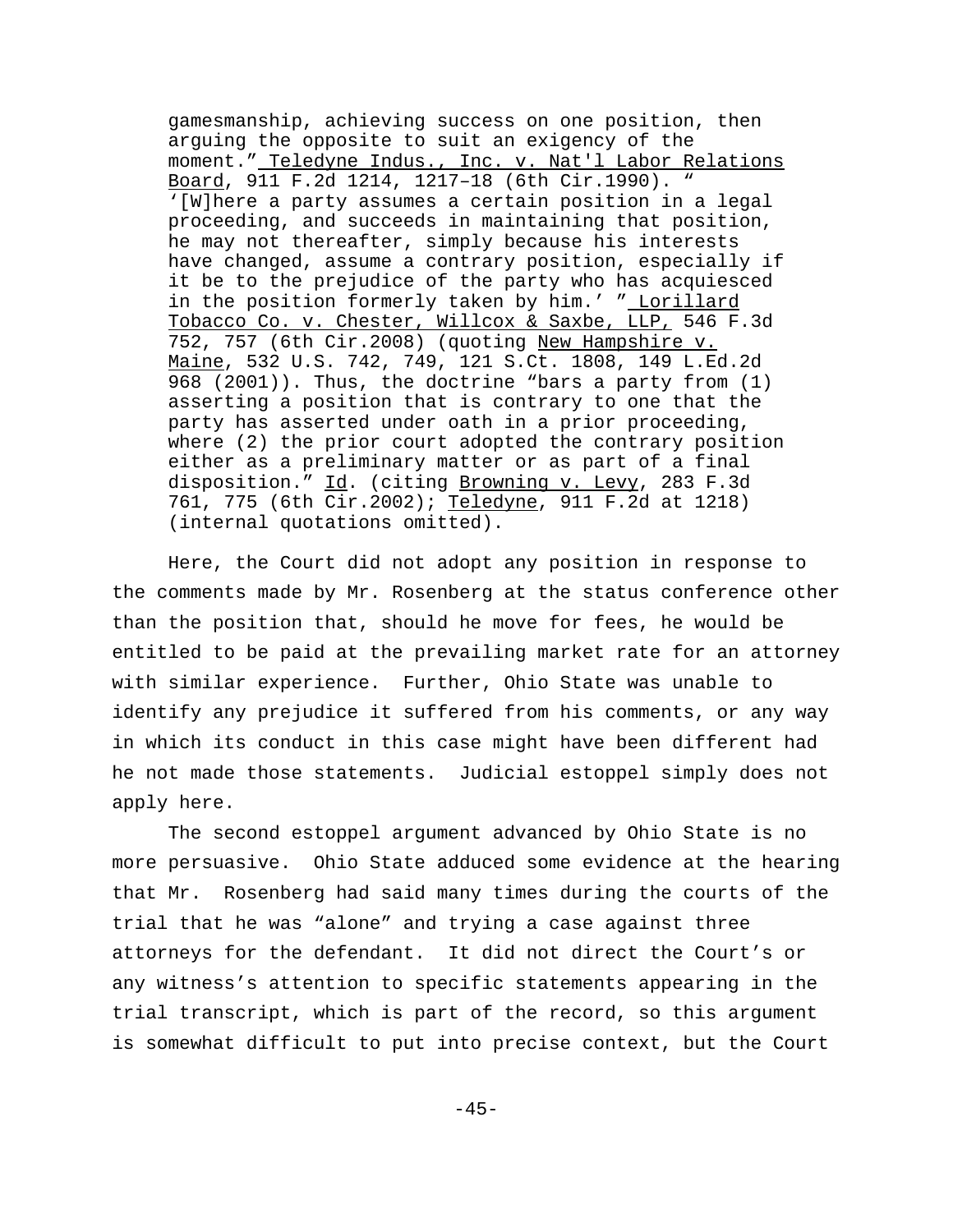gamesmanship, achieving success on one position, then arguing the opposite to suit an exigency of the moment." Teledyne Indus., Inc. v. Nat'l Labor Relations Board, 911 F.2d 1214, 1217–18 (6th Cir.1990). " '[W]here a party assumes a certain position in a legal proceeding, and succeeds in maintaining that position, he may not thereafter, simply because his interests have changed, assume a contrary position, especially if it be to the prejudice of the party who has acquiesced in the position formerly taken by him.' " Lorillard Tobacco Co. v. Chester, Willcox & Saxbe, LLP, 546 F.3d 752, 757 (6th Cir.2008) (quoting New Hampshire v. Maine, 532 U.S. 742, 749, 121 S.Ct. 1808, 149 L.Ed.2d 968 (2001)). Thus, the doctrine "bars a party from (1) asserting a position that is contrary to one that the party has asserted under oath in a prior proceeding, where (2) the prior court adopted the contrary position either as a preliminary matter or as part of a final disposition." Id. (citing Browning v. Levy, 283 F.3d 761, 775 (6th Cir.2002); Teledyne, 911 F.2d at 1218) (internal quotations omitted).

Here, the Court did not adopt any position in response to the comments made by Mr. Rosenberg at the status conference other than the position that, should he move for fees, he would be entitled to be paid at the prevailing market rate for an attorney with similar experience. Further, Ohio State was unable to identify any prejudice it suffered from his comments, or any way in which its conduct in this case might have been different had he not made those statements. Judicial estoppel simply does not apply here.

The second estoppel argument advanced by Ohio State is no more persuasive. Ohio State adduced some evidence at the hearing that Mr. Rosenberg had said many times during the courts of the trial that he was "alone" and trying a case against three attorneys for the defendant. It did not direct the Court's or any witness's attention to specific statements appearing in the trial transcript, which is part of the record, so this argument is somewhat difficult to put into precise context, but the Court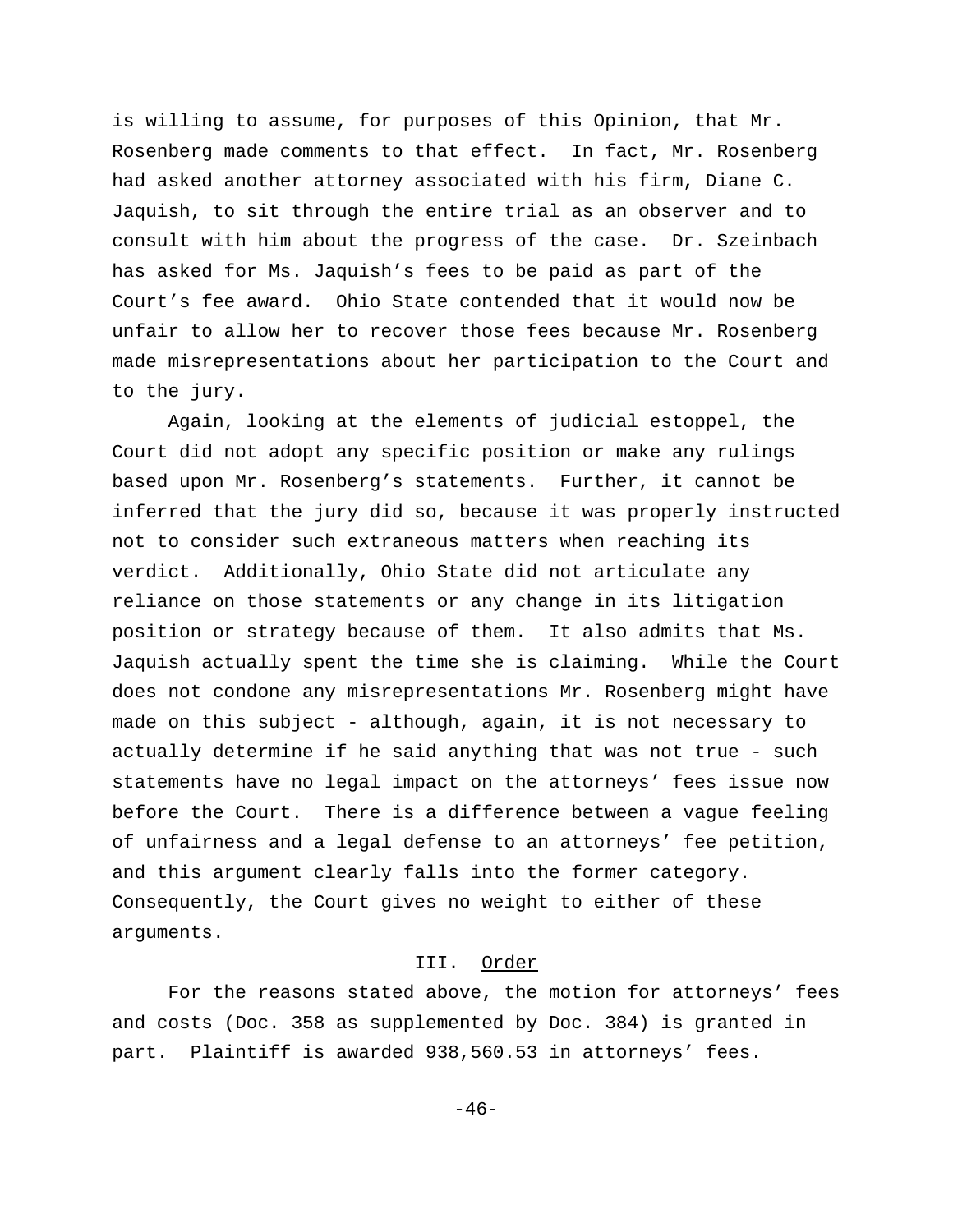is willing to assume, for purposes of this Opinion, that Mr. Rosenberg made comments to that effect. In fact, Mr. Rosenberg had asked another attorney associated with his firm, Diane C. Jaquish, to sit through the entire trial as an observer and to consult with him about the progress of the case. Dr. Szeinbach has asked for Ms. Jaquish's fees to be paid as part of the Court's fee award. Ohio State contended that it would now be unfair to allow her to recover those fees because Mr. Rosenberg made misrepresentations about her participation to the Court and to the jury.

Again, looking at the elements of judicial estoppel, the Court did not adopt any specific position or make any rulings based upon Mr. Rosenberg's statements. Further, it cannot be inferred that the jury did so, because it was properly instructed not to consider such extraneous matters when reaching its verdict. Additionally, Ohio State did not articulate any reliance on those statements or any change in its litigation position or strategy because of them. It also admits that Ms. Jaquish actually spent the time she is claiming. While the Court does not condone any misrepresentations Mr. Rosenberg might have made on this subject - although, again, it is not necessary to actually determine if he said anything that was not true - such statements have no legal impact on the attorneys' fees issue now before the Court. There is a difference between a vague feeling of unfairness and a legal defense to an attorneys' fee petition, and this argument clearly falls into the former category. Consequently, the Court gives no weight to either of these arguments.

## III. Order

For the reasons stated above, the motion for attorneys' fees and costs (Doc. 358 as supplemented by Doc. 384) is granted in part. Plaintiff is awarded 938,560.53 in attorneys' fees.

-46-